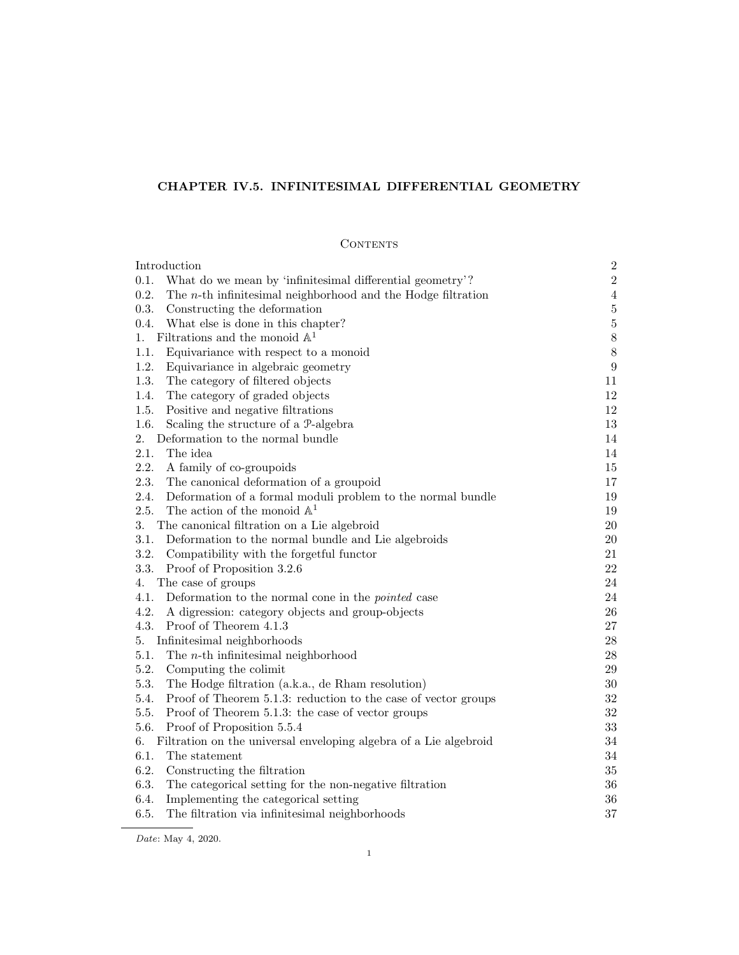# CHAPTER IV.5. INFINITESIMAL DIFFERENTIAL GEOMETRY

# **CONTENTS**

| Introduction                                                            | $\,2$            |
|-------------------------------------------------------------------------|------------------|
| What do we mean by 'infinitesimal differential geometry'?<br>0.1.       | $\,2$            |
| 0.2.<br>The $n$ -th infinitesimal neighborhood and the Hodge filtration | $\sqrt{4}$       |
| 0.3.<br>Constructing the deformation                                    | $\bf 5$          |
| 0.4.<br>What else is done in this chapter?                              | $\bf 5$          |
| Filtrations and the monoid $\mathbb{A}^1$<br>1.                         | $8\,$            |
| 1.1.<br>Equivariance with respect to a monoid                           | $8\,$            |
| 1.2.<br>Equivariance in algebraic geometry                              | $\boldsymbol{9}$ |
| 1.3.<br>The category of filtered objects                                | 11               |
| 1.4.<br>The category of graded objects                                  | 12               |
| Positive and negative filtrations<br>1.5.                               | 12               |
| 1.6.<br>Scaling the structure of a P-algebra                            | $13\,$           |
| 2.<br>Deformation to the normal bundle                                  | 14               |
| 2.1.<br>The idea                                                        | 14               |
| 2.2.<br>A family of co-groupoids                                        | 15               |
| 2.3.<br>The canonical deformation of a groupoid                         | 17               |
| 2.4.<br>Deformation of a formal moduli problem to the normal bundle     | 19               |
| The action of the monoid $\mathbb{A}^1$<br>2.5.                         | 19               |
| 3.<br>The canonical filtration on a Lie algebroid                       | $20\,$           |
| 3.1.<br>Deformation to the normal bundle and Lie algebroids             | 20               |
| 3.2.<br>Compatibility with the forgetful functor                        | 21               |
| 3.3.<br>Proof of Proposition 3.2.6                                      | 22               |
| The case of groups<br>4.                                                | 24               |
| 4.1.<br>Deformation to the normal cone in the <i>pointed</i> case       | 24               |
| 4.2.<br>A digression: category objects and group-objects                | 26               |
| 4.3.<br>Proof of Theorem 4.1.3                                          | $27\,$           |
| Infinitesimal neighborhoods<br>5.                                       | $\sqrt{28}$      |
| 5.1.<br>The $n$ -th infinitesimal neighborhood                          | 28               |
| 5.2.<br>Computing the colimit                                           | 29               |
| 5.3.<br>The Hodge filtration (a.k.a., de Rham resolution)               | $30\,$           |
| 5.4.<br>Proof of Theorem 5.1.3: reduction to the case of vector groups  | $32\,$           |
| 5.5.<br>Proof of Theorem 5.1.3: the case of vector groups               | $32\,$           |
| 5.6.<br>Proof of Proposition 5.5.4                                      | $33\,$           |
| 6.<br>Filtration on the universal enveloping algebra of a Lie algebroid | 34               |
| 6.1.<br>The statement                                                   | 34               |
| 6.2.<br>Constructing the filtration                                     | $35\,$           |
| 6.3.<br>The categorical setting for the non-negative filtration         | 36               |
| 6.4.<br>Implementing the categorical setting                            | $36\,$           |
| 6.5.<br>The filtration via infinitesimal neighborhoods                  | 37               |
|                                                                         |                  |

Date: May 4, 2020.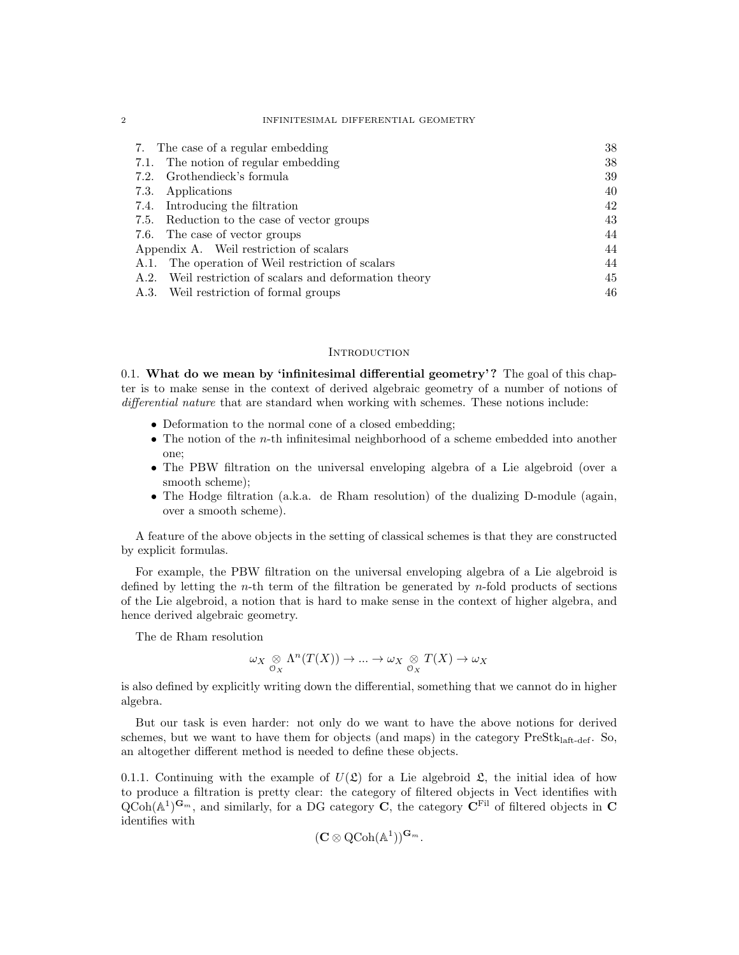#### 2 INFINITESIMAL DIFFERENTIAL GEOMETRY

| 7. The case of a regular embedding                      | 38 |
|---------------------------------------------------------|----|
| 7.1. The notion of regular embedding                    | 38 |
| 7.2. Grothendieck's formula                             | 39 |
| 7.3. Applications                                       | 40 |
| 7.4. Introducing the filtration                         | 42 |
| 7.5. Reduction to the case of vector groups             | 43 |
| 7.6. The case of vector groups                          | 44 |
| Appendix A. Weil restriction of scalars                 | 44 |
| A.1. The operation of Weil restriction of scalars       | 44 |
| A.2. Weil restriction of scalars and deformation theory | 45 |
| A.3. Weil restriction of formal groups                  | 46 |

#### **INTRODUCTION**

0.1. What do we mean by 'infinitesimal differential geometry'? The goal of this chapter is to make sense in the context of derived algebraic geometry of a number of notions of differential nature that are standard when working with schemes. These notions include:

- Deformation to the normal cone of a closed embedding;
- The notion of the *n*-th infinitesimal neighborhood of a scheme embedded into another one;
- The PBW filtration on the universal enveloping algebra of a Lie algebroid (over a smooth scheme);
- The Hodge filtration (a.k.a. de Rham resolution) of the dualizing D-module (again, over a smooth scheme).

A feature of the above objects in the setting of classical schemes is that they are constructed by explicit formulas.

For example, the PBW filtration on the universal enveloping algebra of a Lie algebroid is defined by letting the *n*-th term of the filtration be generated by *n*-fold products of sections of the Lie algebroid, a notion that is hard to make sense in the context of higher algebra, and hence derived algebraic geometry.

The de Rham resolution

$$
\omega_X \underset{\mathcal{O}_X}{\otimes} \Lambda^n(T(X)) \to \dots \to \omega_X \underset{\mathcal{O}_X}{\otimes} T(X) \to \omega_X
$$

is also defined by explicitly writing down the differential, something that we cannot do in higher algebra.

But our task is even harder: not only do we want to have the above notions for derived schemes, but we want to have them for objects (and maps) in the category  $PreStk<sub>laff-def</sub>$ . So, an altogether different method is needed to define these objects.

0.1.1. Continuing with the example of  $U(\mathfrak{L})$  for a Lie algebroid  $\mathfrak{L}$ , the initial idea of how to produce a filtration is pretty clear: the category of filtered objects in Vect identifies with  $Q\ddot{\text{Coh}}(\mathbb{A}^1)^{\mathbf{G}_m}$ , and similarly, for a DG category  $\ddot{\textbf{C}}$ , the category  $\ddot{\textbf{C}}^{\text{Fil}}$  of filtered objects in  $\textbf{C}$ identifies with

$$
(\mathbf{C} \otimes \mathrm{QCoh}(\mathbb{A}^1))^{\mathbf{G}_m}.
$$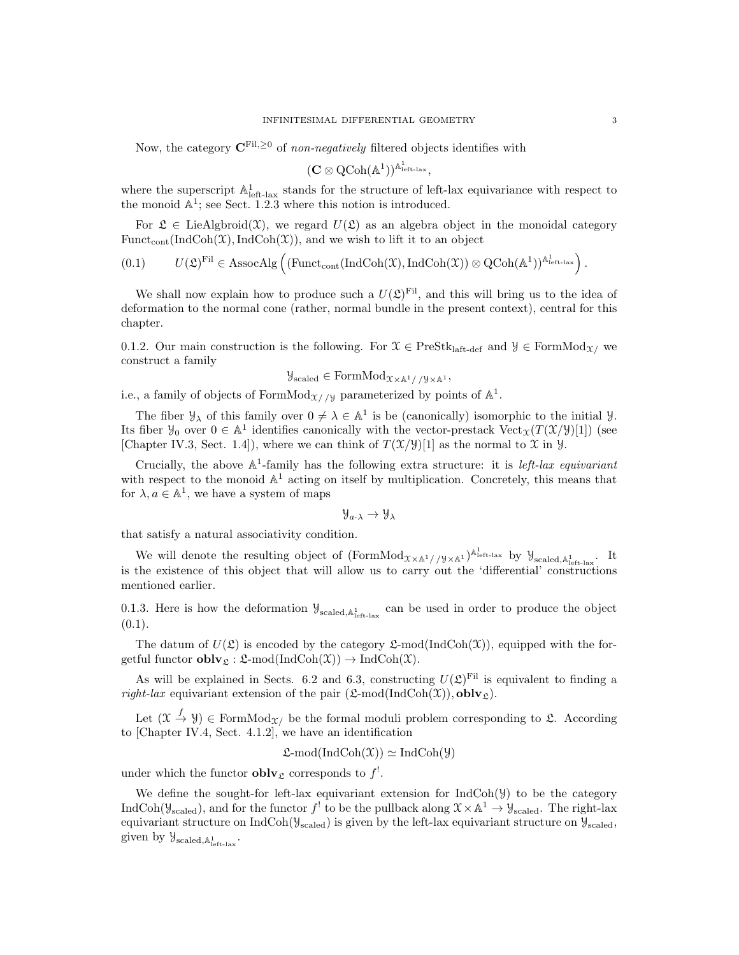Now, the category  $\mathbf{C}^{\text{Fil},\geq0}$  of non-negatively filtered objects identifies with

$$
(\mathbf{C} \otimes \operatorname{QCoh}(\mathbb{A}^1))^{\mathbb{A}^1_{\operatorname{left-lax}}},
$$

where the superscript  $\mathbb{A}^1_{\text{left-law}}$  stands for the structure of left-lax equivariance with respect to the monoid  $\mathbb{A}^1$ ; see Sect. 1.2.3 where this notion is introduced.

For  $\mathfrak{L} \in \text{LieAlgbroid}(\mathfrak{X})$ , we regard  $U(\mathfrak{L})$  as an algebra object in the monoidal category Funct<sub>cont</sub> (IndCoh(X), IndCoh(X)), and we wish to lift it to an object

$$
(0.1) \qquad U(\mathfrak{L})^{\mathrm{Fil}} \in \mathrm{AssocAlg}\left( (\mathrm{Funct}_{\mathrm{cont}}(\mathrm{IndCoh}(\mathfrak{X}), \mathrm{IndCoh}(\mathfrak{X})) \otimes \mathrm{QCoh}(\mathbb{A}^1))^{\mathbb{A}^1_{\mathrm{left-lax}}}\right).
$$

We shall now explain how to produce such a  $U(\mathfrak{L})^{\mathrm{Fil}}$ , and this will bring us to the idea of deformation to the normal cone (rather, normal bundle in the present context), central for this chapter.

0.1.2. Our main construction is the following. For  $\mathcal{X} \in \text{PreStk}_{\text{laff-def}}$  and  $\mathcal{Y} \in \text{FormMod}_{\mathcal{X}}$  we construct a family

$$
\mathcal{Y}_{\text{scaled}} \in \text{FormMod}_{\mathcal{X} \times \mathbb{A}^1//\mathcal{Y} \times \mathbb{A}^1},
$$

i.e., a family of objects of FormMod<sub> $\chi$ //y parameterized by points of  $\mathbb{A}^1$ .</sub>

The fiber  $\mathcal{Y}_\lambda$  of this family over  $0 \neq \lambda \in \mathbb{A}^1$  is be (canonically) isomorphic to the initial  $\mathcal{Y}$ . Its fiber  $\mathcal{Y}_0$  over  $0 \in \mathbb{A}^1$  identifies canonically with the vector-prestack  $Vect_{\mathcal{X}}(T(\mathcal{X}/\mathcal{Y})[1])$  (see [Chapter IV.3, Sect. 1.4]), where we can think of  $T(\mathcal{X}/\mathcal{Y})[1]$  as the normal to  $\mathcal X$  in  $\mathcal Y$ .

Crucially, the above  $\mathbb{A}^1$ -family has the following extra structure: it is *left-lax equivariant* with respect to the monoid  $\mathbb{A}^1$  acting on itself by multiplication. Concretely, this means that for  $\lambda, a \in \mathbb{A}^1$ , we have a system of maps

$$
\mathcal{Y}_{\alpha\cdot\lambda}\to\mathcal{Y}_\lambda
$$

that satisfy a natural associativity condition.

We will denote the resulting object of  $(FormMod_{X\times\mathbb{A}^1//y\times\mathbb{A}^1})^{\mathbb{A}^1_{left\{-\text{law}}}}$  by  $\mathcal{Y}_{scaled,\mathbb{A}^1_{left\{-\text{law}}}}$ . It is the existence of this object that will allow us to carry out the 'differential' constructions mentioned earlier.

0.1.3. Here is how the deformation  $\mathcal{Y}_{\text{scaled},\mathbb{A}^1_{\text{left-law}}}$  can be used in order to produce the object  $(0.1).$ 

The datum of  $U(\mathfrak{L})$  is encoded by the category  $\mathfrak{L}\text{-mod}(\text{IndCoh}(\mathfrak{X}))$ , equipped with the forgetful functor  $\textbf{oblv}_{\mathfrak{L}} : \mathfrak{L}\text{-mod}(\text{IndCoh}(\mathfrak{X})) \to \text{IndCoh}(\mathfrak{X}).$ 

As will be explained in Sects. 6.2 and 6.3, constructing  $U(\mathfrak{L})^{\text{Fil}}$  is equivalent to finding a *right-lax* equivariant extension of the pair  $(\mathcal{L}\text{-mod}(\text{IndCoh}(\mathcal{X}))$ , **obly**<sub>2</sub>).

Let  $(\mathfrak{X} \stackrel{f}{\to} \mathfrak{Y}) \in \text{FormMod}_{\mathfrak{X}}$  be the formal moduli problem corresponding to  $\mathfrak{L}$ . According to [Chapter IV.4, Sect. 4.1.2], we have an identification

$$
\mathfrak{L}\text{-mod}(\text{IndCoh}(\mathfrak{X})) \simeq \text{IndCoh}(\mathfrak{Y})
$$

under which the functor **obly** corresponds to  $f^!$ .

We define the sought-for left-lax equivariant extension for  $IndCoh(\mathcal{Y})$  to be the category IndCoh( $\mathcal{Y}_{\text{scaled}}$ ), and for the functor  $f'$  to be the pullback along  $\mathcal{X} \times \mathbb{A}^1 \to \mathcal{Y}_{\text{scaled}}$ . The right-lax equivariant structure on  $IndCoh(\mathcal{Y}_{scaled})$  is given by the left-lax equivariant structure on  $\mathcal{Y}_{scaled}$ , given by  $\mathcal{Y}_{\text{scaled},\mathbb{A}^1_{\text{left-lax}}}.$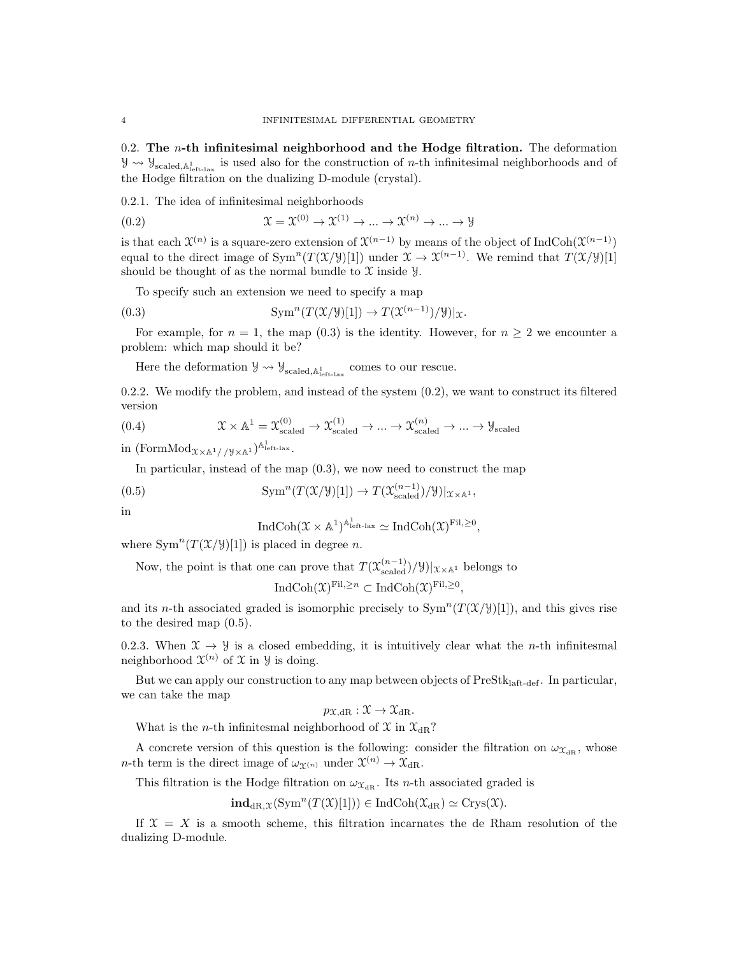0.2. The  $n$ -th infinitesimal neighborhood and the Hodge filtration. The deformation  $\mathcal{Y} \leadsto \mathcal{Y}_{\text{scaled},\mathbb{A}^1_{\text{left},\text{tax}}}$  is used also for the construction of *n*-th infinitesimal neighborhoods and of the Hodge filtration on the dualizing D-module (crystal).

0.2.1. The idea of infinitesimal neighborhoods

(0.2) 
$$
\mathfrak{X} = \mathfrak{X}^{(0)} \to \mathfrak{X}^{(1)} \to \dots \to \mathfrak{X}^{(n)} \to \dots \to \mathfrak{Y}
$$

is that each  $\mathfrak{X}^{(n)}$  is a square-zero extension of  $\mathfrak{X}^{(n-1)}$  by means of the object of IndCoh( $\mathfrak{X}^{(n-1)}$ ) equal to the direct image of  $Sym^n(T(\mathcal{X}/\mathcal{Y})[1])$  under  $\mathcal{X} \to \mathcal{X}^{(n-1)}$ . We remind that  $T(\mathcal{X}/\mathcal{Y})[1]$ should be thought of as the normal bundle to  $\mathfrak X$  inside  $\mathfrak Y$ .

To specify such an extension we need to specify a map

(0.3) 
$$
\mathrm{Sym}^n(T(\mathfrak{X}/\mathcal{Y})[1]) \to T(\mathfrak{X}^{(n-1)})/\mathcal{Y})|_{\mathfrak{X}}.
$$

For example, for  $n = 1$ , the map (0.3) is the identity. However, for  $n \geq 2$  we encounter a problem: which map should it be?

Here the deformation  $\mathcal{Y} \leadsto \mathcal{Y}_{scaled, \mathbb{A}^1_{\text{left-law}}}$  comes to our rescue.

0.2.2. We modify the problem, and instead of the system  $(0.2)$ , we want to construct its filtered version

(0.4) 
$$
\mathcal{X} \times \mathbb{A}^1 = \mathcal{X}_{\text{scaled}}^{(0)} \to \mathcal{X}_{\text{scaled}}^{(1)} \to \dots \to \mathcal{X}_{\text{scaled}}^{(n)} \to \dots \to \mathcal{Y}_{\text{scaled}}
$$

in  $(\mathrm{FormMod}_{\mathfrak{X}\times\mathbb{A}^1//\mathcal{Y}\times\mathbb{A}^1})^{\mathbb{A}^1_{\mathrm{left-lax}}}.$ 

In particular, instead of the map  $(0.3)$ , we now need to construct the map

(0.5) 
$$
\mathrm{Sym}^n(T(\mathcal{X}/\mathcal{Y})[1]) \to T(\mathcal{X}_{\mathrm{scaled}}^{(n-1)})/\mathcal{Y})|_{\mathcal{X} \times \mathbb{A}^1},
$$

in

$$
\operatorname{IndCoh}(\mathfrak{X} \times \mathbb{A}^1)^{\mathbb{A}^1_{\text{left-lax}}} \simeq \operatorname{IndCoh}(\mathfrak{X})^{\text{Fil}, \geq 0},
$$

where  $\text{Sym}^n(T(\mathfrak{X}/\mathcal{Y})[1])$  is placed in degree n.

Now, the point is that one can prove that  $T(\mathfrak{X}^{(n-1)}_{\text{scaled}})/\mathfrak{Y}||_{\mathfrak{X}\times\mathbb{A}^1}$  belongs to

$$
\operatorname{IndCoh}(\mathfrak{X})^{\mathrm{Fil}, \ge n} \subset \operatorname{IndCoh}(\mathfrak{X})^{\mathrm{Fil}, \ge 0},
$$

and its n-th associated graded is isomorphic precisely to  $\text{Sym}^n(T(\mathcal{X}/\mathcal{Y})[1])$ , and this gives rise to the desired map (0.5).

0.2.3. When  $\mathfrak{X} \to \mathfrak{Y}$  is a closed embedding, it is intuitively clear what the *n*-th infinitesmal neighborhood  $\mathfrak{X}^{(n)}$  of X in Y is doing.

But we can apply our construction to any map between objects of  $PreStk<sub>laff-def</sub>$ . In particular, we can take the map

$$
p_{\mathfrak{X},\mathrm{dR}}:\mathfrak{X}\to\mathfrak{X}_{\mathrm{dR}}.
$$

What is the *n*-th infinitesmal neighborhood of  $\mathfrak{X}$  in  $\mathfrak{X}_{\mathrm{dR}}$ ?

A concrete version of this question is the following: consider the filtration on  $\omega_{\mathfrak{X}_{\mathrm{dR}}}$ , whose *n*-th term is the direct image of  $\omega_{\chi(n)}$  under  $\chi^{(n)} \to \chi_{\text{dR}}$ .

This filtration is the Hodge filtration on  $\omega_{\mathfrak{X}_{\mathrm{dR}}}$ . Its *n*-th associated graded is

 $\textbf{ind}_{\text{dR},\mathfrak{X}}(\text{Sym}^n(T(\mathfrak{X})[1])) \in \text{IndCoh}(\mathfrak{X}_{\text{dR}}) \simeq \text{Crys}(\mathfrak{X}).$ 

If  $X = X$  is a smooth scheme, this filtration incarnates the de Rham resolution of the dualizing D-module.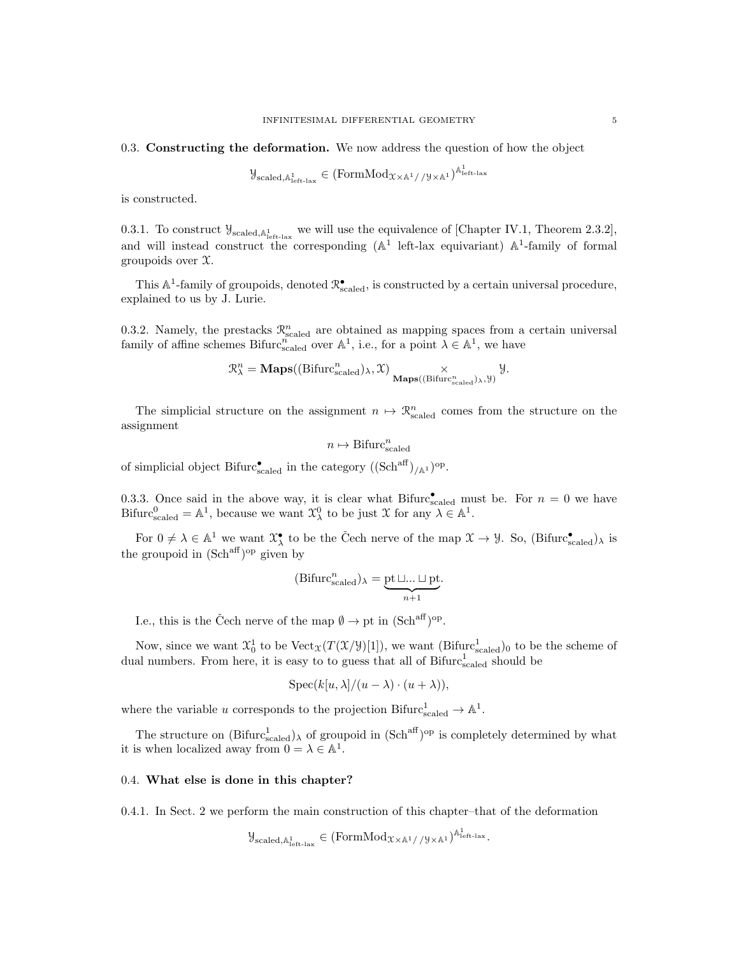#### 0.3. Constructing the deformation. We now address the question of how the object

$$
\mathcal{Y}_{\text{scaled},\mathbb{A}^1_{\text{left-law}}} \in (\text{FormMod}_{\mathfrak{X} \times \mathbb{A}^1//\mathcal{Y} \times \mathbb{A}^1})^{\mathbb{A}^1_{\text{left-law}}}
$$

is constructed.

0.3.1. To construct  $\mathcal{Y}_{\text{scaled},\mathbb{A}^1_{\text{left-law}}}$  we will use the equivalence of [Chapter IV.1, Theorem 2.3.2], and will instead construct the corresponding  $(A^1 \text{ left-lax equivariant})$   $A^1$ -family of formal groupoids over  $\mathfrak{X}$ .

This  $\mathbb{A}^1$ -family of groupoids, denoted  $\mathbb{R}^\bullet_{\text{scaled}}$ , is constructed by a certain universal procedure, explained to us by J. Lurie.

0.3.2. Namely, the prestacks  $\mathcal{R}^n_{\text{scaled}}$  are obtained as mapping spaces from a certain universal family of affine schemes Bifurc<sup>n</sup> over  $\mathbb{A}^1$ , i.e., for a point  $\lambda \in \mathbb{A}^1$ , we have

$$
\mathcal{R}^n_\lambda = \mathbf{Maps}((\mathrm{Bifurc}^n_{\mathrm{scaled}})_\lambda, \mathfrak{X})\underset{\mathbf{Maps}((\mathrm{Bifurc}^n_{\mathrm{scaled}})_\lambda, \mathcal{Y})}{\times} \mathcal{Y}.
$$

The simplicial structure on the assignment  $n \mapsto \mathcal{R}^n_{\text{scaled}}$  comes from the structure on the assignment

$$
n \mapsto \operatorname{Bifurc}_{\text{scaled}}^n
$$

of simplicial object Bifurc $_{\text{scaled}}^{\bullet}$  in the category  $((\text{Sch}^{\text{aff}})_{/\mathbb{A}^1})^{\text{op}}$ .

0.3.3. Once said in the above way, it is clear what Bifurc $\mathcal{L}_{\text{scaled}}^{\bullet}$  must be. For  $n = 0$  we have Bifurc<sub>scaled</sub> =  $\mathbb{A}^1$ , because we want  $\mathfrak{X}_{\lambda}^0$  to be just X for any  $\lambda \in \mathbb{A}^1$ .

For  $0 \neq \lambda \in \mathbb{A}^1$  we want  $\mathfrak{X}_{\lambda}^{\bullet}$  to be the Čech nerve of the map  $\mathfrak{X} \to \mathcal{Y}$ . So, (Bifurc $_{\text{scaled}}^{\bullet}$ )<sub> $\lambda$ </sub> is the groupoid in  $(\text{Sch}^{\text{aff}})^\text{op}$  given by

$$
(\operatorname{Bifurc}_{\operatorname{scaled}}^n)_{\lambda} = \underbrace{\operatorname{pt}\sqcup...\sqcup\operatorname{pt}}_{n+1}.
$$

I.e., this is the Čech nerve of the map  $\emptyset \to pt$  in  $(Sch<sup>aff</sup>)<sup>op</sup>$ .

Now, since we want  $\mathfrak{X}_0^1$  to be  $Vect_{\mathfrak{X}}(T(\mathfrak{X}/\mathcal{Y})[1])$ , we want  $(\text{Bifurc}_{\text{scaled}}^1)_0$  to be the scheme of dual numbers. From here, it is easy to to guess that all of  $Bifurc<sub>scaled</sub><sup>1</sup>$  should be

$$
Spec(k[u,\lambda]/(u-\lambda)\cdot(u+\lambda)),
$$

where the variable u corresponds to the projection Bifurc $_{\text{scaled}}^1 \rightarrow \mathbb{A}^1$ .

The structure on  $(Bifurcl_{scaled})_\lambda$  of groupoid in  $(Sch^{aff})^{op}$  is completely determined by what it is when localized away from  $0 = \lambda \in \mathbb{A}^1$ .

### 0.4. What else is done in this chapter?

0.4.1. In Sect. 2 we perform the main construction of this chapter–that of the deformation

$$
\mathcal{Y}_{\text{scaled},\mathbb{A}^1_{\text{left-law}}} \in (\text{FormMod}_{\mathfrak{X} \times \mathbb{A}^1// \mathcal{Y} \times \mathbb{A}^1})^{\mathbb{A}^1_{\text{left-law}}}.
$$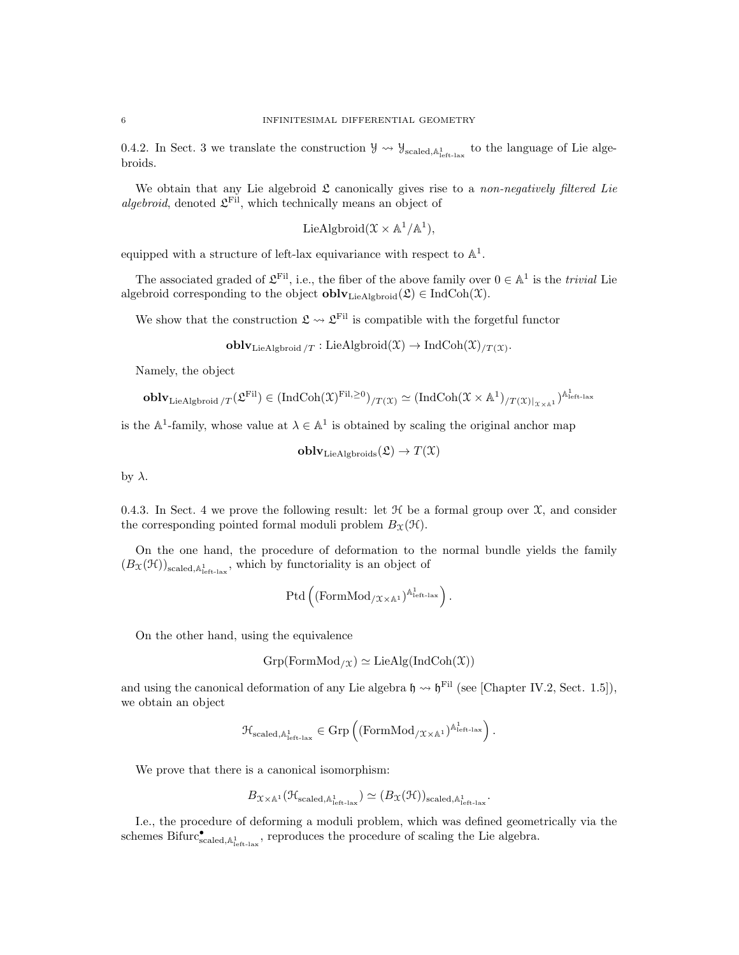0.4.2. In Sect. 3 we translate the construction  $\mathcal{Y} \rightsquigarrow \mathcal{Y}_{\text{scaled},\mathbb{A}^1_{\text{left-law}}}$  to the language of Lie algebroids.

We obtain that any Lie algebroid  $\mathfrak L$  canonically gives rise to a non-negatively filtered Lie *algebroid*, denoted  $\mathcal{L}^{\text{Fil}}$ , which technically means an object of

$$
LieAlgbroid(\mathcal{X} \times \mathbb{A}^1/\mathbb{A}^1),
$$

equipped with a structure of left-lax equivariance with respect to  $\mathbb{A}^1$ .

The associated graded of  $\mathcal{L}^{\text{Fil}}$ , i.e., the fiber of the above family over  $0 \in \mathbb{A}^1$  is the *trivial* Lie algebroid corresponding to the object  $\textbf{oblv}_{\text{LieAlgbroid}}(\mathcal{L}) \in \text{IndCoh}(\mathcal{X})$ .

We show that the construction  $\mathfrak{L} \leadsto \mathfrak{L}^{\text{Fil}}$  is compatible with the forgetful functor

 $\textbf{oblv}_{\text{LieAlgbroid}/T}:\text{LieAlgbroid}(\mathfrak{X})\to \text{IndCoh}(\mathfrak{X})_{/T(\mathfrak{X})}.$ 

Namely, the object

$$
\mathbf{oblv}_\mathrm{LieAlgbroid}\wr_T(\mathfrak{L}^\mathrm{Fil})\in (\mathrm{IndCoh}(\mathfrak{X})^\mathrm{Fil},^{\geq 0})_{/T(\mathfrak{X})}\simeq (\mathrm{IndCoh}(\mathfrak{X}\times\mathbb{A}^1)_{/T(\mathfrak{X})|_{\mathfrak{X}\times\mathbb{A}^1}})^{\mathbb{A}^1_\mathrm{left-lax}}
$$

is the  $A^1$ -family, whose value at  $\lambda \in A^1$  is obtained by scaling the original anchor map

 $\textbf{oblv}_{\text{LieAlgbroids}}(\mathfrak{L}) \to T(\mathfrak{X})$ 

by  $\lambda$ .

0.4.3. In Sect. 4 we prove the following result: let  $H$  be a formal group over  $\mathfrak{X}$ , and consider the corresponding pointed formal moduli problem  $B_{\mathfrak{X}}(\mathfrak{H})$ .

On the one hand, the procedure of deformation to the normal bundle yields the family  $(B_{\mathfrak{X}}(\mathfrak{H}))_{\text{scaled},\mathbb{A}^1_{\text{left-lax}}}$ , which by functoriality is an object of

$$
\mathrm{Ptd}\left((\mathrm{FormMod}_{/\mathfrak{X}\times\mathbb{A}^1})^{\mathbb{A}^1_{\mathrm{left-lax}}}\right).
$$

On the other hand, using the equivalence

$$
Grp(FormMod_{/\mathfrak{X}}) \simeq LieAlg(IndCoh(\mathfrak{X}))
$$

and using the canonical deformation of any Lie algebra  $\mathfrak{h} \rightarrow \mathfrak{h}^{\text{Fil}}$  (see [Chapter IV.2, Sect. 1.5]), we obtain an object

$$
\mathcal{H}_{\text{scaled},\mathbb{A}^1_{\text{left-lax}}} \in \text{Grp}\left((\text{FormMod}_{/\mathfrak{X}\times\mathbb{A}^1})^{\mathbb{A}^1_{\text{left-lax}}}\right).
$$

We prove that there is a canonical isomorphism:

$$
B\chi_{\times\mathbb{A}^1}(\mathcal{H}_{\text{scaled},\mathbb{A}^1_{\text{left-lax}}})\simeq (B\chi(\mathcal{H}))_{\text{scaled},\mathbb{A}^1_{\text{left-lax}}}.
$$

I.e., the procedure of deforming a moduli problem, which was defined geometrically via the schemes Bifurc $_{\text{scaled},A_{\text{left-law}}^1}^{\bullet}$ , reproduces the procedure of scaling the Lie algebra.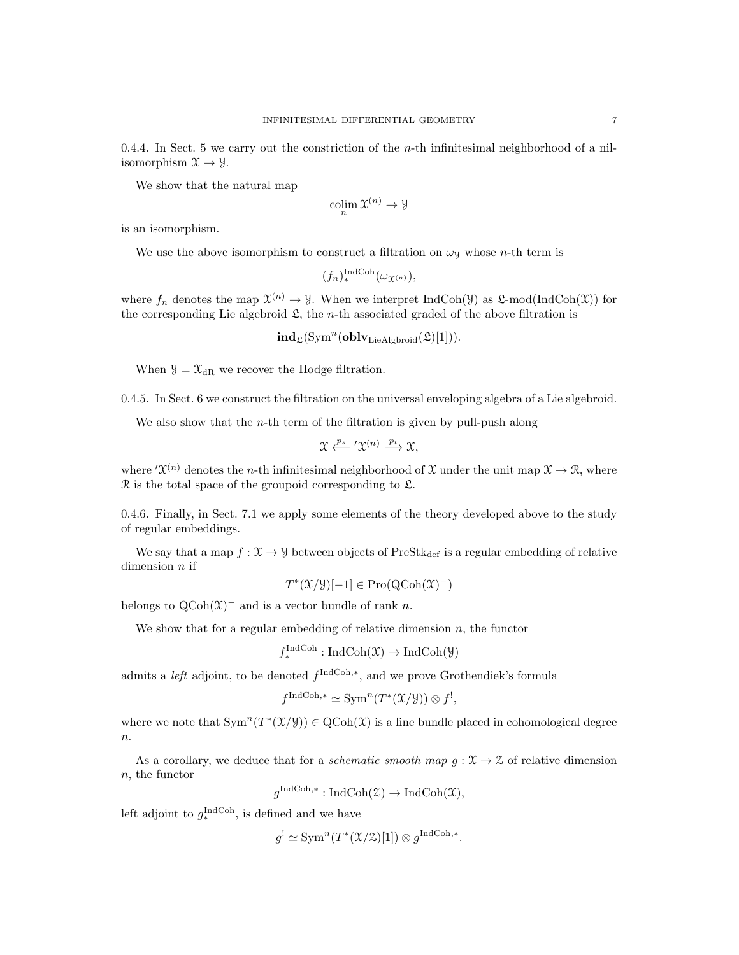0.4.4. In Sect. 5 we carry out the constriction of the *n*-th infinitesimal neighborhood of a nilisomorphism  $\mathfrak{X} \rightarrow \mathfrak{Y}$ .

We show that the natural map

$$
\operatornamewithlimits{colim}_n \mathfrak X^{(n)}\to \mathfrak Y
$$

is an isomorphism.

We use the above isomorphism to construct a filtration on  $\omega_y$  whose *n*-th term is

$$
(f_n)_*^{\mathrm{IndCoh}}(\omega_{\mathfrak{X}^{(n)}}),
$$

where  $f_n$  denotes the map  $\mathfrak{X}^{(n)} \to \mathcal{Y}$ . When we interpret IndCoh( $\mathcal{Y}$ ) as  $\mathcal{L}\text{-mod}(\text{IndCoh}(\mathfrak{X}))$  for the corresponding Lie algebroid  $\mathfrak{L}$ , the *n*-th associated graded of the above filtration is

 $\mathbf{ind}_{\mathfrak{L}}(\mathrm{Sym}^n(\mathbf{oblv}_\mathrm{LieAlgbroid}(\mathfrak{L})[1])).$ 

When  $\mathcal{Y} = \mathcal{X}_{dR}$  we recover the Hodge filtration.

0.4.5. In Sect. 6 we construct the filtration on the universal enveloping algebra of a Lie algebroid.

We also show that the  $n$ -th term of the filtration is given by pull-push along

$$
\mathfrak{X} \xleftarrow{p_s} ' \mathfrak{X}^{(n)} \xrightarrow{p_t} \mathfrak{X},
$$

where  $\mathcal{X}^{(n)}$  denotes the *n*-th infinitesimal neighborhood of X under the unit map  $\mathcal{X} \to \mathcal{R}$ , where R is the total space of the groupoid corresponding to L.

0.4.6. Finally, in Sect. 7.1 we apply some elements of the theory developed above to the study of regular embeddings.

We say that a map  $f: \mathcal{X} \to \mathcal{Y}$  between objects of PreSt $k_{def}$  is a regular embedding of relative dimension  $n$  if

$$
T^*(\mathfrak{X}/\mathfrak{Y})[-1] \in \mathrm{Pro}(\mathrm{QCoh}(\mathfrak{X})^-)
$$

belongs to  $Q\text{Coh}(\mathfrak{X})^-$  and is a vector bundle of rank n.

We show that for a regular embedding of relative dimension  $n$ , the functor

$$
f_*^{\text{IndCoh}} : \text{IndCoh}(\mathfrak{X}) \to \text{IndCoh}(\mathfrak{Y})
$$

admits a *left* adjoint, to be denoted  $f^{\text{IndCoh},*}$ , and we prove Grothendiek's formula

$$
f^{\text{IndCoh},*} \simeq \text{Sym}^n(T^*(\mathfrak{X}/\mathcal{Y})) \otimes f^!,
$$

where we note that  $\text{Sym}^n(T^*(\mathfrak{X}/\mathfrak{Y})) \in \text{QCoh}(\mathfrak{X})$  is a line bundle placed in cohomological degree  $\boldsymbol{n}.$ 

As a corollary, we deduce that for a *schematic smooth map*  $g: \mathcal{X} \to \mathcal{Z}$  of relative dimension  $n$ , the functor

 $g^{\text{IndCoh},*}: \text{IndCoh}(\mathcal{Z}) \to \text{IndCoh}(\mathcal{X}),$ 

left adjoint to  $g_*^{\text{IndCoh}}$ , is defined and we have

$$
g' \simeq \text{Sym}^n(T^*(\mathfrak{X}/\mathfrak{X})[1]) \otimes g^{\text{IndCoh},*}.
$$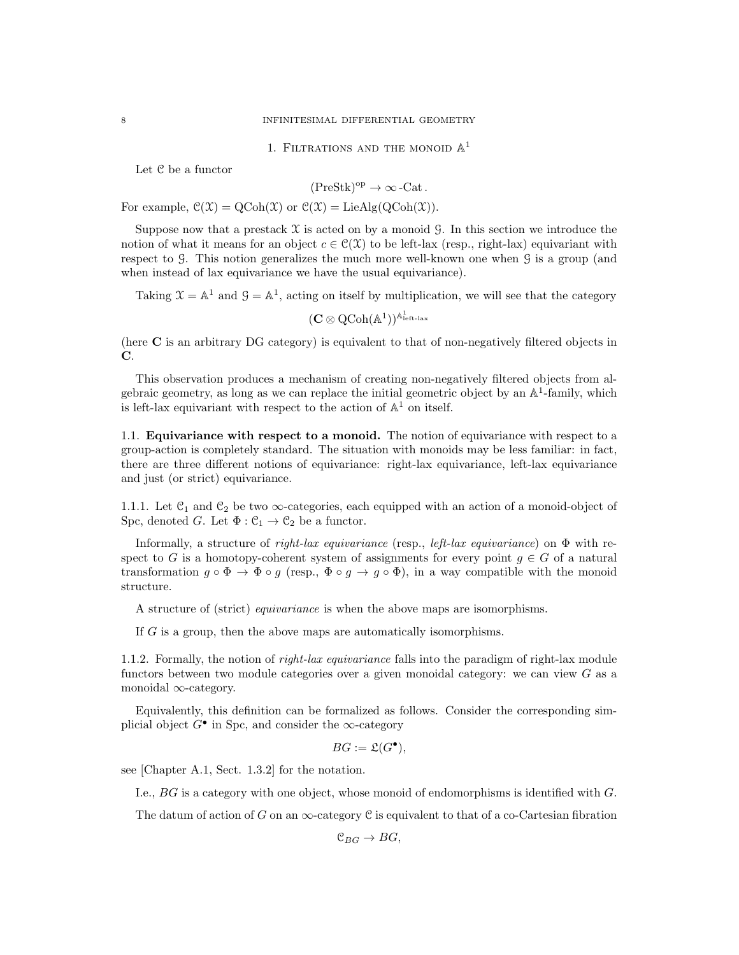1. FILTRATIONS AND THE MONOID  $\mathbb{A}^1$ 

Let C be a functor

$$
(\mathrm{PreStk})^{\mathrm{op}} \to \infty\,\text{-Cat}\,.
$$

For example,  $\mathcal{C}(\mathcal{X}) = \mathrm{QCoh}(\mathcal{X})$  or  $\mathcal{C}(\mathcal{X}) = \mathrm{LieAlg}(\mathrm{QCoh}(\mathcal{X})).$ 

Suppose now that a prestack  $X$  is acted on by a monoid G. In this section we introduce the notion of what it means for an object  $c \in \mathcal{C}(\mathcal{X})$  to be left-lax (resp., right-lax) equivariant with respect to G. This notion generalizes the much more well-known one when G is a group (and when instead of lax equivariance we have the usual equivariance).

Taking  $\mathcal{X} = \mathbb{A}^1$  and  $\mathcal{G} = \mathbb{A}^1$ , acting on itself by multiplication, we will see that the category

 $(\mathbf{C} \otimes \operatorname{QCoh}(\mathbb{A}^1))^{\mathbb{A}^1_{\text{left-lax}}}$ 

(here C is an arbitrary DG category) is equivalent to that of non-negatively filtered objects in C.

This observation produces a mechanism of creating non-negatively filtered objects from algebraic geometry, as long as we can replace the initial geometric object by an  $\mathbb{A}^1$ -family, which is left-lax equivariant with respect to the action of  $\mathbb{A}^1$  on itself.

1.1. Equivariance with respect to a monoid. The notion of equivariance with respect to a group-action is completely standard. The situation with monoids may be less familiar: in fact, there are three different notions of equivariance: right-lax equivariance, left-lax equivariance and just (or strict) equivariance.

1.1.1. Let  $\mathfrak{C}_1$  and  $\mathfrak{C}_2$  be two  $\infty$ -categories, each equipped with an action of a monoid-object of Spc, denoted G. Let  $\Phi : \mathcal{C}_1 \to \mathcal{C}_2$  be a functor.

Informally, a structure of right-lax equivariance (resp., left-lax equivariance) on  $\Phi$  with respect to G is a homotopy-coherent system of assignments for every point  $g \in G$  of a natural transformation  $g \circ \Phi \to \Phi \circ g$  (resp.,  $\Phi \circ g \to g \circ \Phi$ ), in a way compatible with the monoid structure.

A structure of (strict) equivariance is when the above maps are isomorphisms.

If G is a group, then the above maps are automatically isomorphisms.

1.1.2. Formally, the notion of *right-lax equivariance* falls into the paradigm of right-lax module functors between two module categories over a given monoidal category: we can view  $G$  as a monoidal ∞-category.

Equivalently, this definition can be formalized as follows. Consider the corresponding simplicial object  $G^{\bullet}$  in Spc, and consider the  $\infty$ -category

$$
BG := \mathfrak{L}(G^{\bullet}),
$$

see [Chapter A.1, Sect. 1.3.2] for the notation.

I.e., BG is a category with one object, whose monoid of endomorphisms is identified with G.

The datum of action of G on an  $\infty$ -category C is equivalent to that of a co-Cartesian fibration

 $\mathfrak{C}_{BG} \to BG$ ,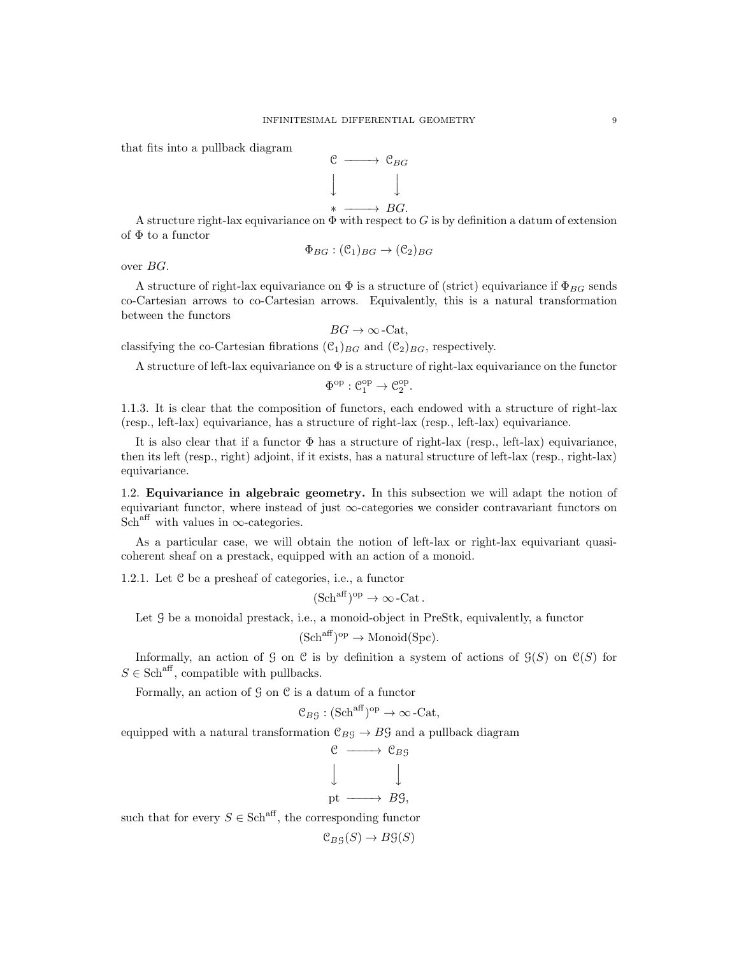that fits into a pullback diagram



A structure right-lax equivariance on  $\Phi$  with respect to G is by definition a datum of extension of  $\Phi$  to a functor

$$
\Phi_{BG} : (\mathcal{C}_1)_{BG} \to (\mathcal{C}_2)_{BG}
$$

over BG.

A structure of right-lax equivariance on  $\Phi$  is a structure of (strict) equivariance if  $\Phi_{BG}$  sends co-Cartesian arrows to co-Cartesian arrows. Equivalently, this is a natural transformation between the functors

 $BG \rightarrow \infty$ -Cat,

classifying the co-Cartesian fibrations  $(\mathcal{C}_1)_{BG}$  and  $(\mathcal{C}_2)_{BG}$ , respectively.

A structure of left-lax equivariance on  $\Phi$  is a structure of right-lax equivariance on the functor

$$
\Phi^{\mathrm{op}}: \mathcal{C}_1^{\mathrm{op}} \to \mathcal{C}_2^{\mathrm{op}}.
$$

1.1.3. It is clear that the composition of functors, each endowed with a structure of right-lax (resp., left-lax) equivariance, has a structure of right-lax (resp., left-lax) equivariance.

It is also clear that if a functor  $\Phi$  has a structure of right-lax (resp., left-lax) equivariance, then its left (resp., right) adjoint, if it exists, has a natural structure of left-lax (resp., right-lax) equivariance.

1.2. Equivariance in algebraic geometry. In this subsection we will adapt the notion of equivariant functor, where instead of just  $\infty$ -categories we consider contravariant functors on Sch<sup>aff</sup> with values in  $\infty$ -categories.

As a particular case, we will obtain the notion of left-lax or right-lax equivariant quasicoherent sheaf on a prestack, equipped with an action of a monoid.

1.2.1. Let C be a presheaf of categories, i.e., a functor

 $(Sch^{aff})^{op} \to \infty$ -Cat.

Let  $G$  be a monoidal prestack, i.e., a monoid-object in PreStk, equivalently, a functor

$$
(\mathrm{Sch}^{\mathrm{aff}})^{\mathrm{op}} \to \mathrm{Monoid}(\mathrm{Spc}).
$$

Informally, an action of G on C is by definition a system of actions of  $\mathcal{G}(S)$  on  $\mathcal{C}(S)$  for  $S \in \text{Sch}^{\text{aff}}$ , compatible with pullbacks.

Formally, an action of  $G$  on  $C$  is a datum of a functor

$$
\mathcal{C}_{B\mathcal{G}} : (\mathbf{Sch}^{\mathrm{aff}})^{\mathrm{op}} \to \infty\text{-}\mathbf{Cat},
$$

equipped with a natural transformation  $\mathcal{C}_{BG} \to BG$  and a pullback diagram

$$
\begin{array}{ccc}\n\mathbf{C} & \longrightarrow & \mathbf{C}_{B\mathbf{G}} \\
\downarrow & & \downarrow \\
\text{pt} & \longrightarrow & B\mathbf{G},\n\end{array}
$$

such that for every  $S \in \text{Sch}^{\text{aff}}$ , the corresponding functor

 $\mathfrak{C}_{B}g(S) \to B\mathfrak{S}(S)$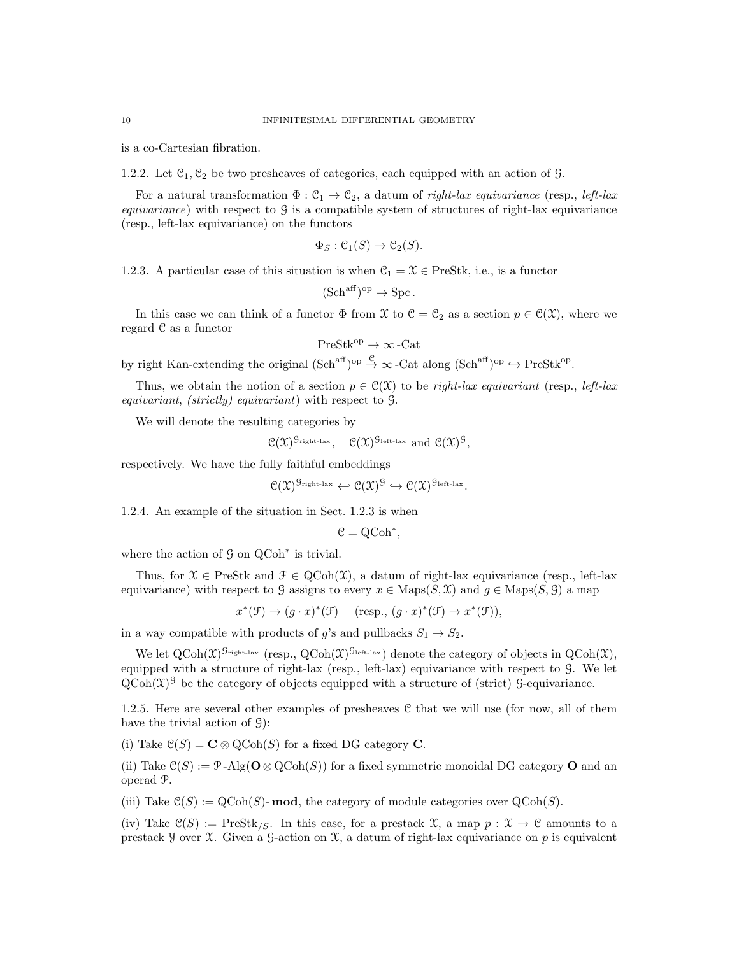is a co-Cartesian fibration.

1.2.2. Let  $\mathcal{C}_1, \mathcal{C}_2$  be two presheaves of categories, each equipped with an action of G.

For a natural transformation  $\Phi : \mathcal{C}_1 \to \mathcal{C}_2$ , a datum of *right-lax equivariance* (resp., *left-lax equivariance*) with respect to  $\mathcal{G}$  is a compatible system of structures of right-lax equivariance (resp., left-lax equivariance) on the functors

$$
\Phi_S : \mathcal{C}_1(S) \to \mathcal{C}_2(S).
$$

1.2.3. A particular case of this situation is when  $\mathcal{C}_1 = \mathcal{X} \in \text{PreStk}, \text{ i.e., is a functor}$ 

$$
(\mathrm{Sch}^{\mathrm{aff}})^{\mathrm{op}} \to \mathrm{Spc}.
$$

In this case we can think of a functor  $\Phi$  from X to  $\mathcal{C} = \mathcal{C}_2$  as a section  $p \in \mathcal{C}(\mathcal{X})$ , where we regard C as a functor

$$
\mathrm{PreStk}^{\mathrm{op}} \to \infty\operatorname{-Cat}
$$

by right Kan-extending the original  $(\text{Sch}^{\text{aff}})^{\text{op}} \stackrel{\mathcal{C}}{\rightarrow} \infty$ -Cat along  $(\text{Sch}^{\text{aff}})^{\text{op}} \hookrightarrow \text{PreStk}^{\text{op}}$ .

Thus, we obtain the notion of a section  $p \in \mathcal{C}(\mathcal{X})$  to be *right-lax equivariant* (resp., *left-lax* equivariant, (strictly) equivariant) with respect to G.

We will denote the resulting categories by

$$
\mathfrak{C}(\mathfrak{X})^{\mathcal{G}_{\text{right-lax}}}, \quad \mathfrak{C}(\mathfrak{X})^{\mathcal{G}_{\text{left-lax}}} \text{ and } \mathfrak{C}(\mathfrak{X})^{\mathcal{G}},
$$

respectively. We have the fully faithful embeddings

$$
\mathcal{C}(\mathfrak{X})^{\mathcal{G}_{\text{right-lax}}} \leftarrow \mathcal{C}(\mathfrak{X})^{\mathcal{G}} \hookrightarrow \mathcal{C}(\mathfrak{X})^{\mathcal{G}_{\text{left-lax}}}.
$$

1.2.4. An example of the situation in Sect. 1.2.3 is when

$$
\mathcal{C} = \mathrm{QCoh}^*,
$$

where the action of  $\mathcal G$  on QCoh<sup>∗</sup> is trivial.

Thus, for  $\mathcal{X} \in \text{PreStk}$  and  $\mathcal{F} \in \text{QCoh}(\mathcal{X})$ , a datum of right-lax equivariance (resp., left-lax equivariance) with respect to G assigns to every  $x \in \text{Maps}(S, \mathcal{X})$  and  $g \in \text{Maps}(S, \mathcal{G})$  a map

 $x^*(\mathcal{F}) \to (g \cdot x)^*(\mathcal{F})$   $(\text{resp., } (g \cdot x)^*(\mathcal{F}) \to x^*(\mathcal{F})),$ 

in a way compatible with products of g's and pullbacks  $S_1 \rightarrow S_2$ .

We let  $Q\text{Coh}(\mathfrak{X})^{\mathcal{G}_{\text{right-lax}}}$  (resp.,  $Q\text{Coh}(\mathfrak{X})^{\mathcal{G}_{\text{left-lax}}}$ ) denote the category of objects in  $Q\text{Coh}(\mathfrak{X})$ , equipped with a structure of right-lax (resp., left-lax) equivariance with respect to G. We let  $Q\text{Coh}(\mathfrak{X})^{\mathcal{G}}$  be the category of objects equipped with a structure of (strict)  $\mathcal{G}$ -equivariance.

1.2.5. Here are several other examples of presheaves C that we will use (for now, all of them have the trivial action of G):

(i) Take  $\mathcal{C}(S) = \mathbf{C} \otimes \mathrm{QCoh}(S)$  for a fixed DG category **C**.

(ii) Take  $\mathcal{C}(S) := \mathcal{P}\text{-Alg}(\mathbf{O} \otimes \mathrm{QCoh}(S))$  for a fixed symmetric monoidal DG category **O** and an operad P.

(iii) Take  $\mathcal{C}(S) := \text{QCoh}(S)$ - **mod**, the category of module categories over  $\text{QCoh}(S)$ .

(iv) Take  $\mathcal{C}(S) := \text{PreStk}_{\ell, S}$ . In this case, for a prestack  $\mathcal{X}$ , a map  $p : \mathcal{X} \to \mathcal{C}$  amounts to a prestack y over X. Given a G-action on X, a datum of right-lax equivariance on p is equivalent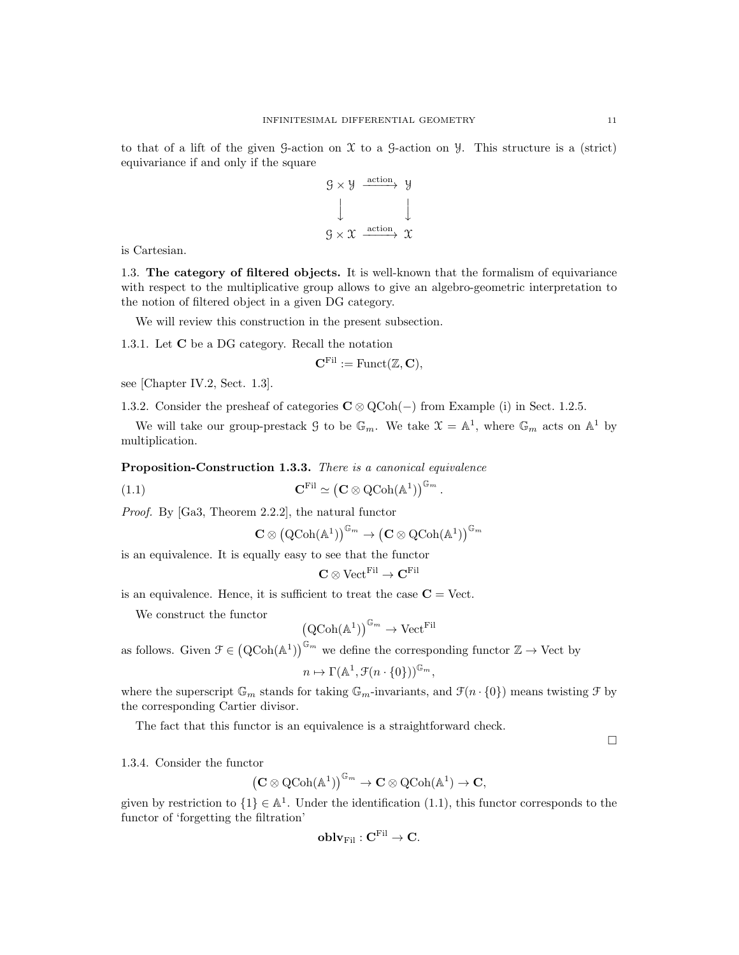to that of a lift of the given  $\mathcal G$ -action on  $\mathcal X$  to a  $\mathcal G$ -action on  $\mathcal Y$ . This structure is a (strict) equivariance if and only if the square

$$
g \times y \xrightarrow{\text{action}} y
$$
  

$$
\downarrow \qquad \qquad \downarrow
$$
  

$$
g \times x \xrightarrow{\text{action}} x
$$

is Cartesian.

1.3. The category of filtered objects. It is well-known that the formalism of equivariance with respect to the multiplicative group allows to give an algebro-geometric interpretation to the notion of filtered object in a given DG category.

We will review this construction in the present subsection.

1.3.1. Let C be a DG category. Recall the notation

$$
\mathbf{C}^{\mathrm{Fil}} := \mathrm{Funct}(\mathbb{Z}, \mathbf{C}),
$$

see [Chapter IV.2, Sect. 1.3].

1.3.2. Consider the presheaf of categories  $C \otimes QCoh(-)$  from Example (i) in Sect. 1.2.5.

We will take our group-prestack G to be  $\mathbb{G}_m$ . We take  $\mathfrak{X} = \mathbb{A}^1$ , where  $\mathbb{G}_m$  acts on  $\mathbb{A}^1$  by multiplication.

Proposition-Construction 1.3.3. There is a canonical equivalence

(1.1) 
$$
\mathbf{C}^{\mathrm{Fil}} \simeq (\mathbf{C} \otimes \mathrm{QCoh}(\mathbb{A}^1))^{\mathbb{G}_m}.
$$

Proof. By [Ga3, Theorem 2.2.2], the natural functor

$$
\mathbf{C}\otimes\left(\operatorname{QCoh}(\mathbb{A}^1)\right)^{\mathbb{G}_m}\to\left(\mathbf{C}\otimes\operatorname{QCoh}(\mathbb{A}^1)\right)^{\mathbb{G}_m}
$$

is an equivalence. It is equally easy to see that the functor

$$
\mathbf{C} \otimes \mathrm{Vect}^{\mathrm{Fil}} \to \mathbf{C}^{\mathrm{Fil}}
$$

is an equivalence. Hence, it is sufficient to treat the case  $C =$  Vect.

We construct the functor

$$
(\mathrm{QCoh}(\mathbb{A}^1))^{\mathbb{G}_m} \to \mathrm{Vect}^{\mathrm{Fil}}
$$

as follows. Given  $\mathcal{F} \in (\mathrm{QCoh}(\mathbb{A}^1))^{\mathbb{G}_m}$  we define the corresponding functor  $\mathbb{Z} \to \mathrm{Vect}$  by  $n \mapsto \Gamma(\mathbb{A}^1, \mathcal{F}(n \cdot \{0\}))^{\mathbb{G}_m},$ 

where the superscript  $\mathbb{G}_m$  stands for taking  $\mathbb{G}_m$ -invariants, and  $\mathcal{F}(n \cdot \{0\})$  means twisting  $\mathcal{F}$  by the corresponding Cartier divisor.

The fact that this functor is an equivalence is a straightforward check.

 $\Box$ 

1.3.4. Consider the functor

$$
\left(\mathbf{C}\otimes \operatorname{QCoh}(\mathbb{A}^1)\right)^{\mathbb{G}_m}\to \mathbf{C}\otimes \operatorname{QCoh}(\mathbb{A}^1)\to \mathbf{C},
$$

given by restriction to  $\{1\} \in \mathbb{A}^1$ . Under the identification  $(1.1)$ , this functor corresponds to the functor of 'forgetting the filtration'

$$
\mathbf{oblv}_{\mathrm{Fil}}: \mathbf{C}^{\mathrm{Fil}} \to \mathbf{C}.
$$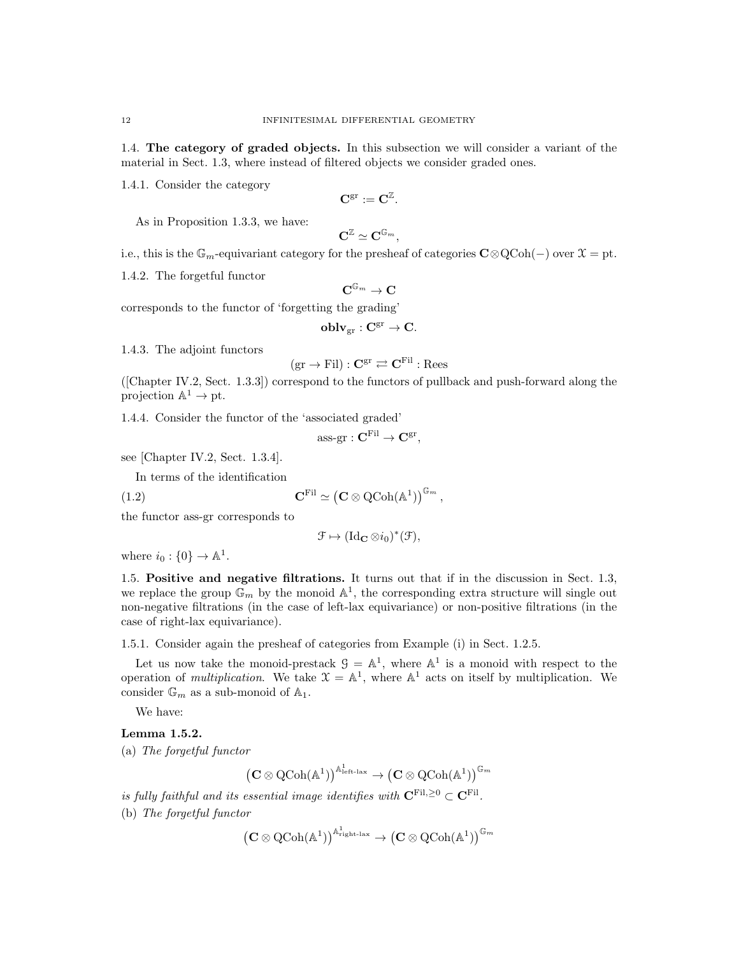1.4. The category of graded objects. In this subsection we will consider a variant of the material in Sect. 1.3, where instead of filtered objects we consider graded ones.

1.4.1. Consider the category

$$
\mathbf{C}^{\operatorname{gr}}:=\mathbf{C}^{\mathbb{Z}}.
$$

As in Proposition 1.3.3, we have:

$$
\mathbf{C}^\mathbb{Z}\simeq\mathbf{C}^{\mathbb{G}_m},
$$

i.e., this is the  $\mathbb{G}_m$ -equivariant category for the presheaf of categories  $\mathbf{C}\otimes \mathrm{QCoh}(-)$  over  $\mathfrak{X} = \mathrm{pt}$ .

1.4.2. The forgetful functor

$$
\mathbf{C}^{\mathbb{G}_m} \to \mathbf{C}
$$

corresponds to the functor of 'forgetting the grading'

$$
\mathbf{oblv}_{\mathrm{gr}}: \mathbf{C}^{\mathrm{gr}} \to \mathbf{C}.
$$

1.4.3. The adjoint functors

$$
(\mathrm{gr} \to \mathrm{Fil}): \mathbf{C}^\mathrm{gr} \rightleftarrows \mathbf{C}^\mathrm{Fil}: \mathrm{Rees}
$$

([Chapter IV.2, Sect. 1.3.3]) correspond to the functors of pullback and push-forward along the projection  $\mathbb{A}^1 \to \text{pt}$ .

1.4.4. Consider the functor of the 'associated graded'

$$
\text{ass-}\mathrm{gr}: \mathbf{C}^{\mathrm{Fil}} \to \mathbf{C}^{\mathrm{gr}},
$$

see [Chapter IV.2, Sect. 1.3.4].

In terms of the identification

(1.2) 
$$
\mathbf{C}^{\mathrm{Fil}} \simeq \left(\mathbf{C} \otimes \mathrm{QCoh}(\mathbb{A}^1)\right)^{\mathbb{G}_m},
$$

the functor ass-gr corresponds to

$$
\mathfrak{F} \mapsto (\mathrm{Id}_{\mathbf{C}} \otimes i_0)^*(\mathfrak{F}),
$$

where  $i_0: \{0\} \to \mathbb{A}^1$ .

1.5. Positive and negative filtrations. It turns out that if in the discussion in Sect. 1.3, we replace the group  $\mathbb{G}_m$  by the monoid  $\mathbb{A}^1$ , the corresponding extra structure will single out non-negative filtrations (in the case of left-lax equivariance) or non-positive filtrations (in the case of right-lax equivariance).

1.5.1. Consider again the presheaf of categories from Example (i) in Sect. 1.2.5.

Let us now take the monoid-prestack  $\mathcal{G} = \mathbb{A}^1$ , where  $\mathbb{A}^1$  is a monoid with respect to the operation of *multiplication*. We take  $\mathcal{X} = \mathbb{A}^1$ , where  $\mathbb{A}^1$  acts on itself by multiplication. We consider  $\mathbb{G}_m$  as a sub-monoid of  $\mathbb{A}_1$ .

We have:

#### Lemma 1.5.2.

(a) The forgetful functor

$$
\left(\mathbf{C}\otimes\operatorname{QCoh}(\mathbb{A}^1)\right)^{\mathbb{A}^1_{\text{left-lax}}}\to \left(\mathbf{C}\otimes\operatorname{QCoh}(\mathbb{A}^1)\right)^{\mathbb{G}_m}
$$

is fully faithful and its essential image identifies with  $C^{\text{Fil},\geq 0} \subset C^{\text{Fil}}$ .

(b) The forgetful functor

$$
\left(\mathbf{C}\otimes \operatorname{QCoh}(\mathbb{A}^1)\right)^{\mathbb{A}^1_{\operatorname{right-lax}}} \to \left(\mathbf{C}\otimes \operatorname{QCoh}(\mathbb{A}^1)\right)^{\mathbb{G}_m}
$$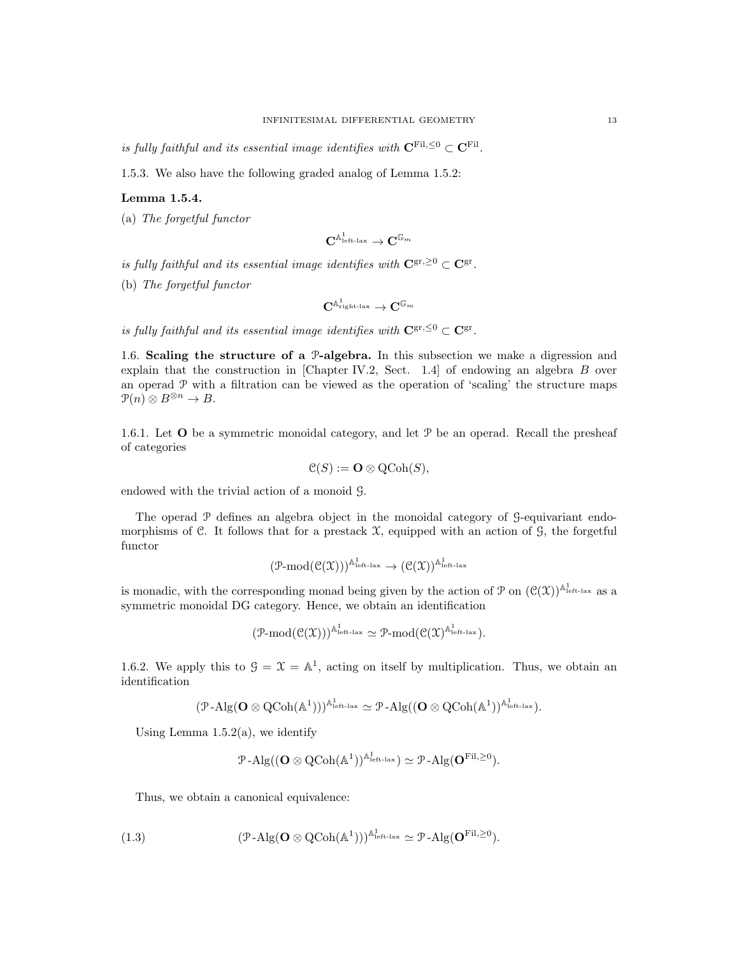is fully faithful and its essential image identifies with  $C^{\text{Fil},\leq 0} \subset C^{\text{Fil}}$ .

1.5.3. We also have the following graded analog of Lemma 1.5.2:

## Lemma 1.5.4.

(a) The forgetful functor

$$
\mathbf{C}^{\mathbb{A}^1_{\mathrm{left\ -\mathrm{lax}}} \to \mathbf{C}^{\mathbb{G}_m}
$$

is fully faithful and its essential image identifies with  $C^{\text{gr}, \geq 0} \subset C^{\text{gr}}$ .

(b) The forgetful functor

$$
\mathbf{C}^{\mathbb{A}^1_{\text{right-lax}}} \to \mathbf{C}^{\mathbb{G}_m}
$$

is fully faithful and its essential image identifies with  $C^{\text{gr}, \leq 0} \subset C^{\text{gr}}$ .

1.6. Scaling the structure of a P-algebra. In this subsection we make a digression and explain that the construction in [Chapter IV.2, Sect. 1.4] of endowing an algebra B over an operad  $P$  with a filtration can be viewed as the operation of 'scaling' the structure maps  $\mathfrak{P}(n) \otimes B^{\otimes n} \to B.$ 

1.6.1. Let  $O$  be a symmetric monoidal category, and let  $P$  be an operad. Recall the presheaf of categories

$$
\mathcal{C}(S) := \mathbf{O} \otimes \mathrm{QCoh}(S),
$$

endowed with the trivial action of a monoid G.

The operad P defines an algebra object in the monoidal category of G-equivariant endomorphisms of C. It follows that for a prestack  $\mathfrak{X}$ , equipped with an action of  $\mathfrak{G}$ , the forgetful functor

$$
(\mathcal{P}\textrm{-mod}(\mathcal{C}(\mathfrak{X})))^{\mathbb{A}^1_{\textrm{left-lax}}}\rightarrow (\mathcal{C}(\mathfrak{X}))^{\mathbb{A}^1_{\textrm{left-lax}}}
$$

is monadic, with the corresponding monad being given by the action of  $\mathcal{P}$  on  $(\mathcal{C}(\mathcal{X}))^{\mathbb{A}^1_{\text{left-law}}}$  as a symmetric monoidal DG category. Hence, we obtain an identification

$$
(\mathcal{P}\textrm{-mod}(\mathfrak{C}(\mathfrak{X})))^{\mathbb{A}^1_{\textrm{left-lax}}}\simeq \mathcal{P}\textrm{-mod}(\mathfrak{C}(\mathfrak{X})^{\mathbb{A}^1_{\textrm{left-lax}}}).
$$

1.6.2. We apply this to  $\mathcal{G} = \mathcal{X} = \mathbb{A}^1$ , acting on itself by multiplication. Thus, we obtain an identification

$$
(\mathcal{P}-\mathrm{Alg}(\mathbf{O}\otimes \mathrm{QCoh}(\mathbb{A}^1)))^{\mathbb{A}^1_{\mathrm{left-lax}}}\simeq \mathcal{P}-\mathrm{Alg}((\mathbf{O}\otimes \mathrm{QCoh}(\mathbb{A}^1))^{\mathbb{A}^1_{\mathrm{left-lax}}}).
$$

Using Lemma  $1.5.2(a)$ , we identify

$$
\mathcal{P}\text{-}\mathrm{Alg}((\mathbf{O}\otimes \mathrm{QCoh}(\mathbb{A}^1))^{\mathbb{A}^1_{\mathrm{left-lax}}})\simeq \mathcal{P}\text{-}\mathrm{Alg}(\mathbf{O}^{\mathrm{Fil},\geq 0}).
$$

Thus, we obtain a canonical equivalence:

(1.3) 
$$
(\mathcal{P}\text{-Alg}(\mathbf{O}\otimes \mathrm{QCoh}(\mathbb{A}^1)))^{\mathbb{A}^1_{\text{left-law}}} \simeq \mathcal{P}\text{-Alg}(\mathbf{O}^{\mathrm{Fil},\geq 0}).
$$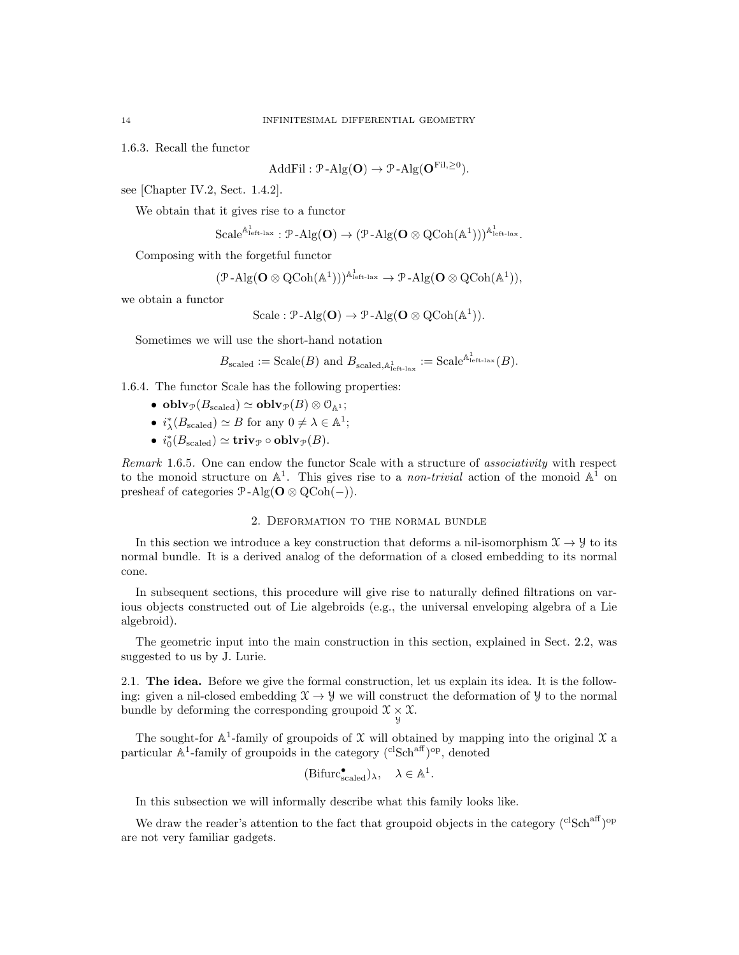1.6.3. Recall the functor

$$
\text{AddFil}: \mathcal{P}\text{-Alg}(\mathbf{O}) \to \mathcal{P}\text{-Alg}(\mathbf{O}^{\text{Fil}, \geq 0}).
$$

see [Chapter IV.2, Sect. 1.4.2].

We obtain that it gives rise to a functor

$$
\mathrm{Scale}^{\mathbb{A}^1_{\mathrm{left-lax}}}:\mathcal{P}\text{-}\mathrm{Alg}(\mathbf{O})\rightarrow(\mathcal{P}\text{-}\mathrm{Alg}(\mathbf{O}\otimes \mathrm{QCoh}(\mathbb{A}^1)))^{\mathbb{A}^1_{\mathrm{left-lax}}}.
$$

Composing with the forgetful functor

$$
(\mathcal{P}\text{-}\mathrm{Alg}(\mathbf{O}\otimes \mathrm{QCoh}(\mathbb{A}^1)))^{\mathbb{A}^1_{\mathrm{left}\text{-}\mathrm{law}}}\to \mathcal{P}\text{-}\mathrm{Alg}(\mathbf{O}\otimes \mathrm{QCoh}(\mathbb{A}^1)),
$$

we obtain a functor

$$
\mathrm{Scale} : \mathcal{P}\text{-}\mathrm{Alg}(\mathbf{O}) \to \mathcal{P}\text{-}\mathrm{Alg}(\mathbf{O} \otimes \mathrm{QCoh}(\mathbb{A}^1)).
$$

Sometimes we will use the short-hand notation

$$
B_{\text{scaled}} := \text{Scale}(B) \text{ and } B_{\text{scaled},\mathbb{A}_{\text{left-law}}^1} := \text{Scale}^{\mathbb{A}_{\text{left-law}}^1}(B).
$$

1.6.4. The functor Scale has the following properties:

- obl $\mathbf{v}_{\mathcal{P}}(B_{\text{scaled}}) \simeq \mathbf{oblv}_{\mathcal{P}}(B) \otimes \mathcal{O}_{\mathbb{A}^1};$
- $i_{\lambda}^{*}(B_{\text{scaled}}) \simeq B$  for any  $0 \neq \lambda \in \mathbb{A}^{1}$ ;
- $i_0^*(B_{\text{scaled}}) \simeq \mathbf{triv}_{\mathcal{P}} \circ \mathbf{oblv}_{\mathcal{P}}(B).$

Remark 1.6.5. One can endow the functor Scale with a structure of associativity with respect to the monoid structure on  $\mathbb{A}^1$ . This gives rise to a *non-trivial* action of the monoid  $\mathbb{A}^1$  on presheaf of categories  $\mathcal{P}$ -Alg( $\mathbf{O} \otimes \mathrm{QCoh}(-)$ ).

#### 2. Deformation to the normal bundle

In this section we introduce a key construction that deforms a nil-isomorphism  $\mathfrak{X} \to \mathfrak{Y}$  to its normal bundle. It is a derived analog of the deformation of a closed embedding to its normal cone.

In subsequent sections, this procedure will give rise to naturally defined filtrations on various objects constructed out of Lie algebroids (e.g., the universal enveloping algebra of a Lie algebroid).

The geometric input into the main construction in this section, explained in Sect. 2.2, was suggested to us by J. Lurie.

2.1. The idea. Before we give the formal construction, let us explain its idea. It is the following: given a nil-closed embedding  $\mathfrak{X} \to \mathfrak{Y}$  we will construct the deformation of  $\mathfrak{Y}$  to the normal bundle by deforming the corresponding groupoid  $\mathfrak{X} \underset{\mathfrak{Y}}{\times} \mathfrak{X}$ .

The sought-for  $\mathbb{A}^1$ -family of groupoids of X will obtained by mapping into the original X a particular  $\mathbb{A}^1$ -family of groupoids in the category  $({}^{\text{cl}}\text{Sch}^{\text{aff}}){}^{\text{op}}$ , denoted

$$
(\mathrm{Bifurc}_{\mathrm{scaled}}^{\bullet})_{\lambda}, \quad \lambda \in \mathbb{A}^{1}.
$$

In this subsection we will informally describe what this family looks like.

We draw the reader's attention to the fact that groupoid objects in the category  $({}^{cl}Sch^{aff})^{op}$ are not very familiar gadgets.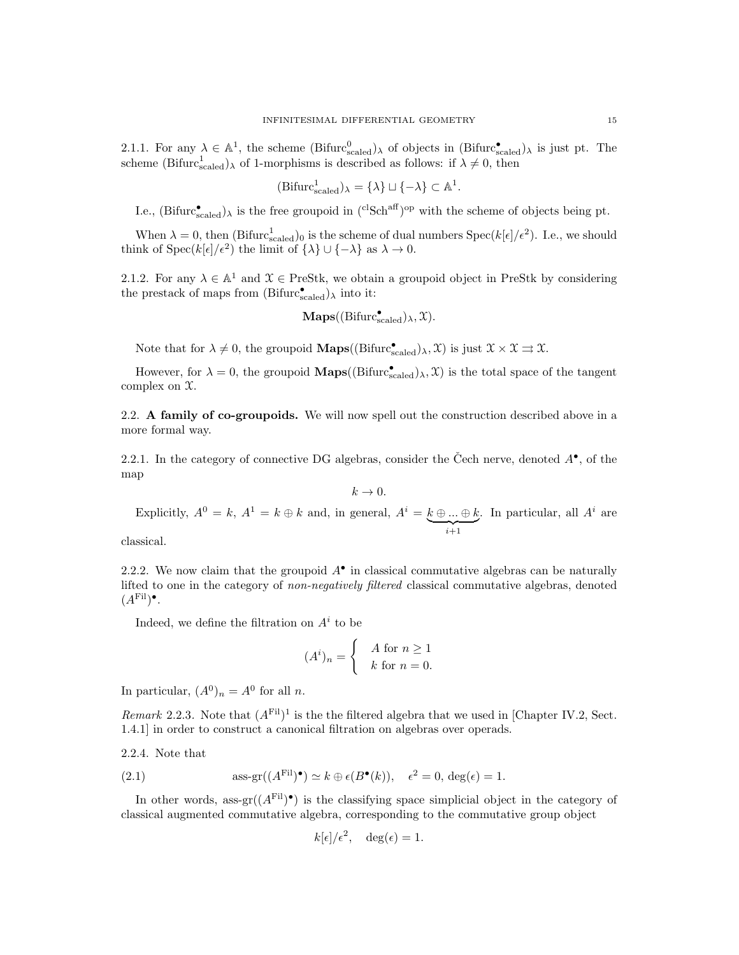2.1.1. For any  $\lambda \in \mathbb{A}^1$ , the scheme  $(Bifurc_{scaled}^0)$  of objects in  $(Bifurc_{scaled}^{\bullet})$  is just pt. The scheme  $(Bifurc<sub>scaled</sub><sup>1</sup>)<sub>\lambda</sub>$  of 1-morphisms is described as follows: if  $\lambda \neq 0$ , then

$$
(\mathrm{Bifurc}_{\mathrm{scaled}}^1)_{\lambda} = \{\lambda\} \sqcup \{-\lambda\} \subset \mathbb{A}^1.
$$

I.e.,  $(Bifurc_{scaled}^{\bullet})_{\lambda}$  is the free groupoid in  $({}^{cl}Sch^{aff})^{op}$  with the scheme of objects being pt.

When  $\lambda = 0$ , then (Bifurc<sub>scaled</sub>)<sub>0</sub> is the scheme of dual numbers  $Spec(k[\epsilon]/\epsilon^2)$ . I.e., we should think of Spec( $k[\epsilon]/\epsilon^2$ ) the limit of  $\{\lambda\} \cup \{-\lambda\}$  as  $\lambda \to 0$ .

2.1.2. For any  $\lambda \in \mathbb{A}^1$  and  $\mathfrak{X} \in \text{PreStk}$ , we obtain a groupoid object in PreStk by considering the prestack of maps from  $(Bifurc_{scaled}^{\bullet})_{\lambda}$  into it:

$$
\mathbf{Maps}((\mathrm{Bifurc}_{\mathrm{scaled}}^\bullet)_\lambda,\mathfrak{X}).
$$

Note that for  $\lambda \neq 0$ , the groupoid **Maps**( $(\text{Bifurc}_{\text{scaled}}^{\bullet})_{\lambda}, \mathcal{X})$  is just  $\mathcal{X} \times \mathcal{X} \rightrightarrows \mathcal{X}$ .

However, for  $\lambda = 0$ , the groupoid **Maps**( $(\text{Bifurc}_{\text{scaled}}^{\bullet})_{\lambda}, \mathcal{X})$  is the total space of the tangent complex on X.

2.2. A family of co-groupoids. We will now spell out the construction described above in a more formal way.

2.2.1. In the category of connective DG algebras, consider the Čech nerve, denoted  $A^{\bullet}$ , of the map

$$
k\rightarrow 0.
$$

Explicitly,  $A^0 = k$ ,  $A^1 = k \oplus k$  and, in general,  $A^i = k \oplus ... \oplus k$  $\sum_{i+1}$ . In particular, all  $A^i$  are

classical.

2.2.2. We now claim that the groupoid  $A^{\bullet}$  in classical commutative algebras can be naturally lifted to one in the category of non-negatively filtered classical commutative algebras, denoted  $(A^{\text{Fil}})$ <sup>•</sup>.

Indeed, we define the filtration on  $A^i$  to be

$$
(Ai)n = \begin{cases} A \text{ for } n \ge 1 \\ k \text{ for } n = 0. \end{cases}
$$

In particular,  $(A^0)_n = A^0$  for all n.

Remark 2.2.3. Note that  $(A<sup>Fil</sup>)<sup>1</sup>$  is the the filtered algebra that we used in [Chapter IV.2, Sect. 1.4.1] in order to construct a canonical filtration on algebras over operads.

2.2.4. Note that

(2.1) 
$$
\text{ass-gr}((A^{\text{Fil}})^{\bullet}) \simeq k \oplus \epsilon(B^{\bullet}(k)), \quad \epsilon^2 = 0, \text{ deg}(\epsilon) = 1.
$$

In other words, ass-gr $((A^{\text{Fil}})^{\bullet})$  is the classifying space simplicial object in the category of classical augmented commutative algebra, corresponding to the commutative group object

$$
k[\epsilon]/\epsilon^2, \quad \deg(\epsilon) = 1.
$$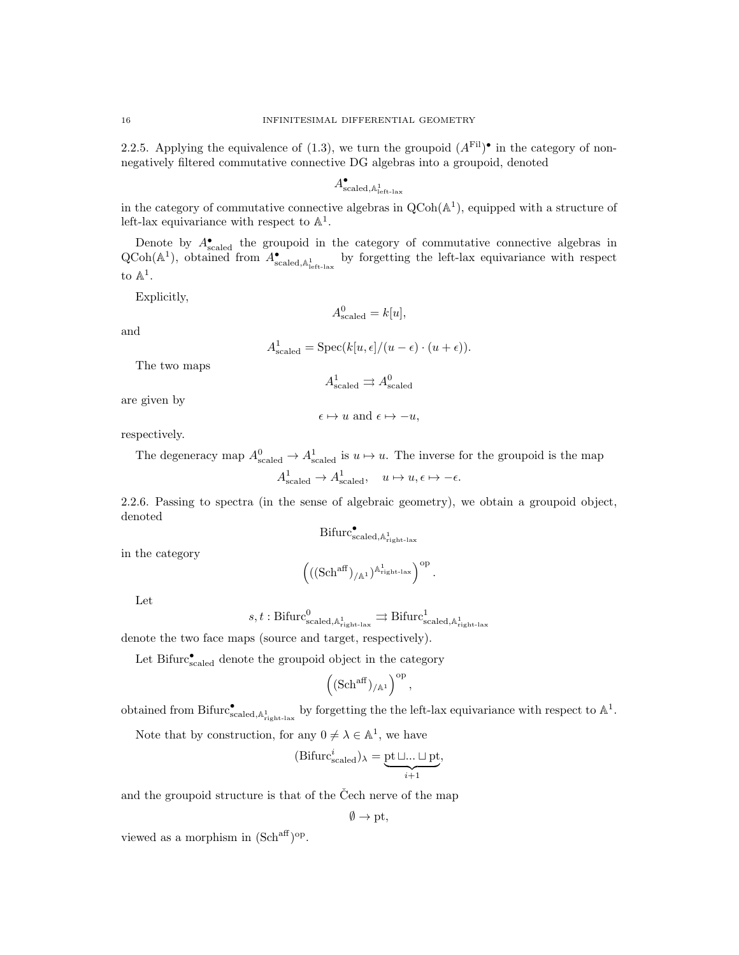2.2.5. Applying the equivalence of (1.3), we turn the groupoid  $(A<sup>Fil</sup>)^{\bullet}$  in the category of nonnegatively filtered commutative connective DG algebras into a groupoid, denoted

$$
A_{\rm scaled, \mathbb{A}^1_{\rm left\text{-}lax}}^{\bullet}
$$

in the category of commutative connective algebras in  $QCoh(\mathbb{A}^1)$ , equipped with a structure of left-lax equivariance with respect to  $\mathbb{A}^1$ .

Denote by  $A_{\text{scaled}}^{\bullet}$  the groupoid in the category of commutative connective algebras in  $QCoh(A^1)$ , obtained from  $A_{\text{scaled},A_{\text{left-law}}^1}^{\bullet}$  by forgetting the left-lax equivariance with respect to  $\mathbb{A}^1$ .

Explicitly,

$$
A_{\text{scaled}}^0 = k[u],
$$

and

$$
A_{\text{scaled}}^1 = \text{Spec}(k[u, \epsilon]/(u - \epsilon) \cdot (u + \epsilon)).
$$

The two maps

$$
A^1_{\rm scaled} \rightrightarrows A^0_{\rm scaled}
$$

 $\epsilon \mapsto u$  and  $\epsilon \mapsto -u$ ,

are given by

respectively.

The degeneracy map  $A_{\text{scaled}}^0 \to A_{\text{scaled}}^1$  is  $u \mapsto u$ . The inverse for the groupoid is the map

$$
A^1_{\rm scaled}\to A^1_{\rm scaled}, \quad u\mapsto u, \epsilon\mapsto -\epsilon.
$$

2.2.6. Passing to spectra (in the sense of algebraic geometry), we obtain a groupoid object, denoted

$$
\mathrm{Bifurc}_{\mathrm{scaled},\mathbb{A}_{\mathrm{right-law}}^1}^{\bullet}
$$

in the category

$$
\left(((\mathrm{Sch}^{\mathrm{aff}})_{/\mathbb{A}^1})^{\mathbb{A}^1_{\mathrm{right-lax}}}\right)^{\mathrm{op}}.
$$

Let

$$
s,t:\mathrm{Bifurc}_{\mathrm{scaled},\mathbb{A}_{\mathrm{right}\text{-}\mathrm{law}}^1}^0\rightrightarrows \mathrm{Bifurc}_{\mathrm{scaled},\mathbb{A}_{\mathrm{right}\text{-}\mathrm{law}}^1}^1
$$

denote the two face maps (source and target, respectively).

Let Bifurc $_{\text{scaled}}^{\bullet}$  denote the groupoid object in the category

$$
\left( (\mathrm{Sch}^{\mathrm{aff}})_{/\mathbb{A}^1} \right)^{\mathrm{op}},
$$

obtained from Bifurc $_{\text{scaled},\mathbb{A}_{\text{right-law}}^{1}}$  by forgetting the the left-lax equivariance with respect to  $\mathbb{A}^{1}$ .

Note that by construction, for any  $0 \neq \lambda \in \mathbb{A}^1$ , we have

$$
(\mathrm{Bifurc}_{\mathrm{scaled}}^i)_{\lambda} = \underbrace{\mathrm{pt}\sqcup...\sqcup\mathrm{pt}}_{i+1},
$$

and the groupoid structure is that of the Čech nerve of the map

$$
\emptyset \to \text{pt},
$$

viewed as a morphism in  $(Sch<sup>aff</sup>)<sup>op</sup>$ .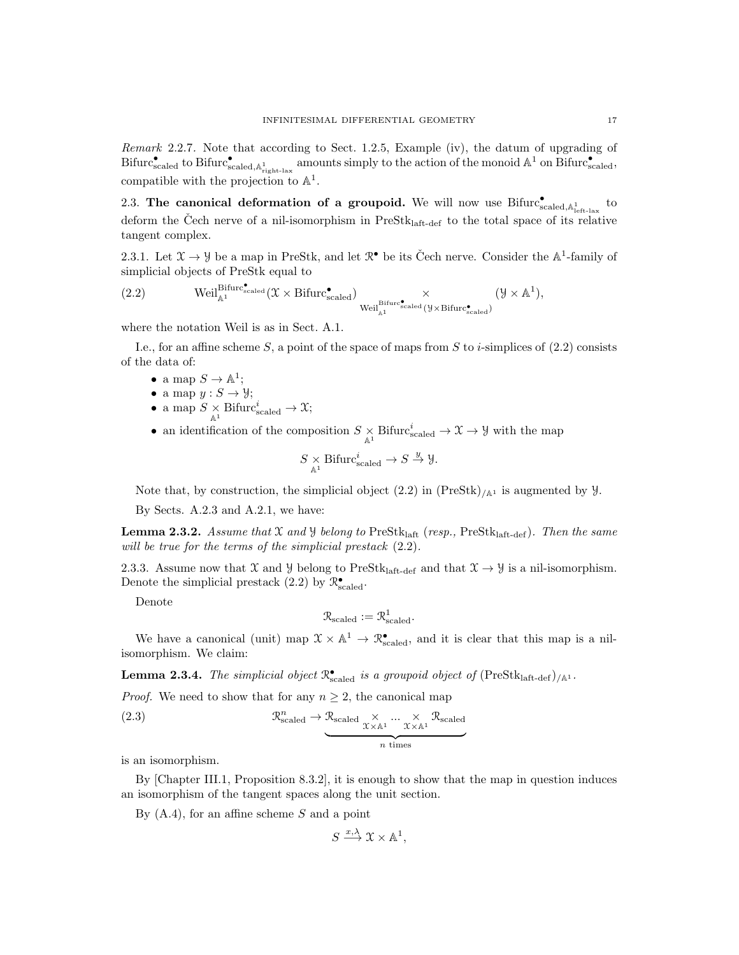Remark 2.2.7. Note that according to Sect. 1.2.5, Example (iv), the datum of upgrading of  $Bifurc_{\rm scaled}^{\bullet}$  to  $Bifurc_{\rm scaled,A_{\rm right\text{-}lax}}^{\bullet}$  amounts simply to the action of the monoid  $\mathbb{A}^1$  on  $Bifurc_{\rm scaled}^{\bullet}$ , compatible with the projection to  $\mathbb{A}^1$ .

2.3. The canonical deformation of a groupoid. We will now use  $Bifurc_{\text{scaled},\mathbb{A}^1_{\text{left-lax}}}^{\bullet}$  to deform the Čech nerve of a nil-isomorphism in  $PreStk<sub>laff-def</sub>$  to the total space of its relative tangent complex.

2.3.1. Let  $\mathfrak{X} \to \mathfrak{Y}$  be a map in PreStk, and let  $\mathfrak{R}^{\bullet}$  be its Čech nerve. Consider the  $\mathbb{A}^1$ -family of simplicial objects of PreStk equal to

$$
(2.2) \qquad \qquad \text{Weil}^{\text{Bifurc}_{\text{scaled}}^{\bullet}}(\mathcal{X}\times \text{Bifurc}_{\text{scaled}}^{\bullet})\underset{\text{Weil}^{\text{Bifurc}_{\text{scaled}}^{\bullet}}(\mathcal{Y}\times \text{Bifurc}_{\text{scaled}}^{\bullet})}{\times}(\mathcal{Y}\times \mathbb{A}^{1}),
$$

where the notation Weil is as in Sect. A.1.

I.e., for an affine scheme S, a point of the space of maps from S to i-simplices of  $(2.2)$  consists of the data of:

- a map  $S \to \mathbb{A}^1$ ;
- a map  $y : S \to Y$ ;
- a map  $S \underset{\mathbb{A}^1}{\times}$  Bifurc $_{\text{scaled}}^i \to \mathfrak{X}$ ;
- an identification of the composition  $S \underset{\mathbb{A}^1}{\times}$  Bifurc $_{\text{scaled}}^i \to \mathcal{X} \to \mathcal{Y}$  with the map

$$
S \underset{\mathbb{A}^1}{\times} \text{Bifurc}_{\text{scaled}}^i \to S \overset{y}{\to} \mathcal{Y}.
$$

Note that, by construction, the simplicial object  $(2.2)$  in  $(PreStk)_{\text{/A}i}$  is augmented by  $\mathcal{Y}$ .

By Sects. A.2.3 and A.2.1, we have:

**Lemma 2.3.2.** Assume that X and Y belong to PreStklaft (resp., PreStklaft-def). Then the same will be true for the terms of the simplicial prestack  $(2.2)$ .

2.3.3. Assume now that X and Y belong to PreStk<sub>laft-def</sub> and that  $\mathcal{X} \rightarrow \mathcal{Y}$  is a nil-isomorphism. Denote the simplicial prestack (2.2) by  $\mathcal{R}^{\bullet}_{\text{scaled}}$ .

Denote

$$
\mathcal{R}_{\text{scaled}} := \mathcal{R}^1_{\text{scaled}}.
$$

We have a canonical (unit) map  $\mathfrak{X} \times \mathbb{A}^1 \to \mathbb{R}^{\bullet}_{\text{scaled}}$ , and it is clear that this map is a nilisomorphism. We claim:

**Lemma 2.3.4.** The simplicial object  $\mathbb{R}_{\text{scaled}}^{\bullet}$  is a groupoid object of  $(\text{PreStk}_{\text{laff-def}})_{/\mathbb{A}^1}$ .

*Proof.* We need to show that for any  $n \geq 2$ , the canonical map

(2.3) 
$$
\mathcal{R}_{\text{scaled}}^{n} \to \underbrace{\mathcal{R}_{\text{scaled}} \times \dots \times \times \mathcal{R}_{\text{scaled}}}_{n \text{ times}}
$$

is an isomorphism.

By [Chapter III.1, Proposition 8.3.2], it is enough to show that the map in question induces an isomorphism of the tangent spaces along the unit section.

By  $(A.4)$ , for an affine scheme S and a point

$$
S \xrightarrow{x,\lambda} \mathfrak{X} \times \mathbb{A}^1,
$$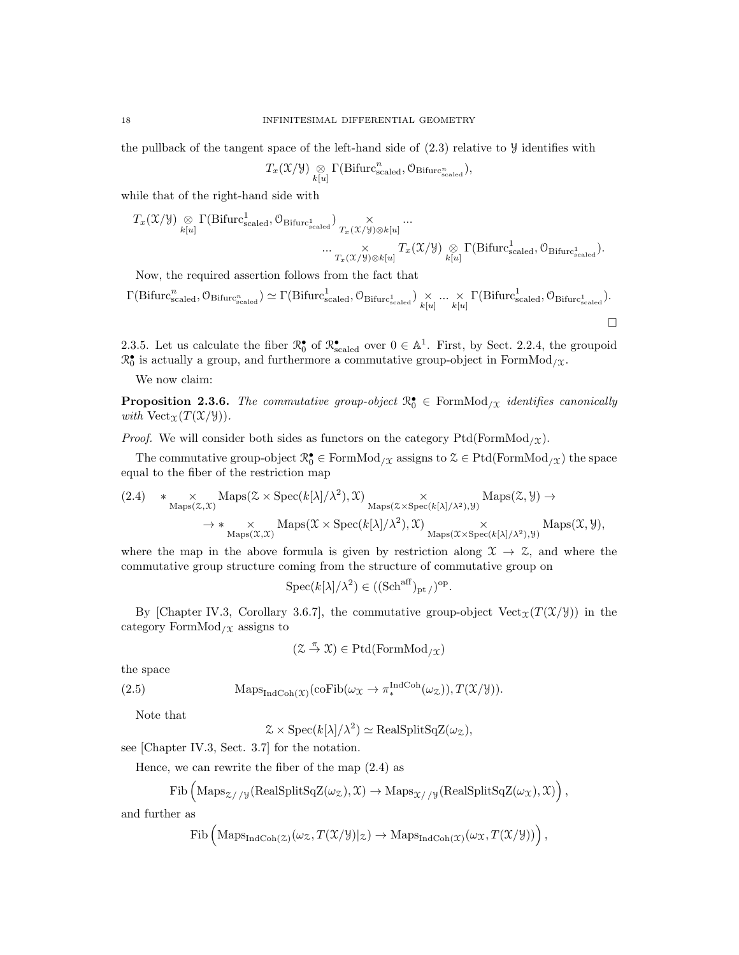the pullback of the tangent space of the left-hand side of  $(2.3)$  relative to  $\mathcal Y$  identifies with

$$
T_x(\mathfrak{X}/\mathcal{Y}) \underset{k[u]}{\otimes} \Gamma(\mathrm{Bifurc}_{\mathrm{scaled}}^n, \mathcal{O}_{\mathrm{Bifurc}_{\mathrm{scaled}}^n}),
$$

while that of the right-hand side with

$$
\begin{array}{ll} T_x(\mathfrak{X}/\mathcal{Y})\underset{k[u]}{\otimes}\Gamma(\mathrm{Bifurc}_{\mathrm{scaled}}^1,\mathcal{O}_{\mathrm{Bifurc}_{\mathrm{scaled}}^1})\underset{T_x(\mathfrak{X}/\mathcal{Y})\otimes k[u]}{\times}\cdots\\ \cdots\underset{T_x(\mathfrak{X}/\mathcal{Y})\otimes k[u]}{\times}T_x(\mathfrak{X}/\mathcal{Y})\underset{k[u]}{\otimes}\Gamma(\mathrm{Bifurc}_{\mathrm{scaled}}^1,\mathcal{O}_{\mathrm{Bifurc}_{\mathrm{scaled}}^1}).\end{array}
$$

Now, the required assertion follows from the fact that

$$
\Gamma(\mathrm{Bifurc}_{\mathrm{scaled}}^n, \mathcal{O}_{\mathrm{Bifurc}_{\mathrm{scaled}}^n}) \simeq \Gamma(\mathrm{Bifurc}_{\mathrm{scaled}}^1, \mathcal{O}_{\mathrm{Bifurc}_{\mathrm{scaled}}^1}) \underset{k[u]}{\times} \dots \underset{k[u]}{\times} \Gamma(\mathrm{Bifurc}_{\mathrm{scaled}}^1, \mathcal{O}_{\mathrm{Bifurc}_{\mathrm{scaled}}^1}).
$$

2.3.5. Let us calculate the fiber  $\mathbb{R}^{\bullet}_{0}$  of  $\mathbb{R}^{\bullet}_{\text{scaled}}$  over  $0 \in \mathbb{A}^{1}$ . First, by Sect. 2.2.4, the groupoid  $\mathbb{R}_0^{\bullet}$  is actually a group, and furthermore a commutative group-object in FormMod<sub>/X</sub>.

We now claim:

**Proposition 2.3.6.** The commutative group-object  $\mathbb{R}_0^{\bullet} \in \text{FormMod}_{/\mathfrak{X}}$  identifies canonically with  $Vect_{\mathfrak{X}}(T(\mathfrak{X}/\mathfrak{Y})).$ 

*Proof.* We will consider both sides as functors on the category  $Ptd(FormMod<sub>/X</sub>)$ .

The commutative group-object  $\mathcal{R}_0^{\bullet} \in \mathrm{FormMod}_{/\mathcal{X}}$  assigns to  $\mathcal{Z} \in \mathrm{Ptd}(\mathrm{FormMod}_{/\mathcal{X}})$  the space equal to the fiber of the restriction map

$$
(2.4) \quad * \underset{\text{Maps}(\mathcal{Z}, \mathcal{X})}{\times} \text{Maps}(\mathcal{Z} \times \text{Spec}(k[\lambda]/\lambda^2), \mathcal{X}) \underset{\text{Maps}(\mathcal{X} \times \text{Spec}(k[\lambda]/\lambda^2), \mathcal{Y})}{\times} \text{Maps}(\mathcal{Z}, \mathcal{Y}) \rightarrow
$$
\n
$$
\rightarrow * \underset{\text{Maps}(\mathcal{X}, \mathcal{X})}{\times} \text{Maps}(\mathcal{X} \times \text{Spec}(k[\lambda]/\lambda^2), \mathcal{X}) \underset{\text{Maps}(\mathcal{X} \times \text{Spec}(k[\lambda]/\lambda^2), \mathcal{Y})}{\times} \text{Maps}(\mathcal{X}, \mathcal{Y}),
$$

where the map in the above formula is given by restriction along  $\mathfrak{X} \to \mathfrak{Z}$ , and where the commutative group structure coming from the structure of commutative group on

$$
Spec(k[\lambda]/\lambda^2) \in ((Sch^{\text{aff}})_{pt/})^{\text{op}}.
$$

By [Chapter IV.3, Corollary 3.6.7], the commutative group-object Vect<sub> $\chi(T(\mathcal{X}/\mathcal{Y}))$ </sub> in the category FormMod<sub>/ $\chi$ </sub> assigns to

$$
(\mathcal{Z}\stackrel{\pi}{\to}\mathcal{X})\in \mathrm{Ptd}(\mathrm{FormMod}_{/\mathcal{X}})
$$

the space

(2.5) 
$$
\text{Maps}_{\text{IndCoh}(\mathfrak{X})}(\text{coFib}(\omega_{\mathfrak{X}} \to \pi^{\text{IndCoh}}_*(\omega_{\mathfrak{X}})), T(\mathfrak{X}/\mathcal{Y})).
$$

Note that

 $\mathcal{Z} \times \text{Spec}(k[\lambda]/\lambda^2) \simeq \text{RealSplitSqZ}(\omega_{\mathcal{Z}}),$ 

see [Chapter IV.3, Sect. 3.7] for the notation.

Hence, we can rewrite the fiber of the map (2.4) as

$$
\mathrm{Fib}\left(\mathrm{Maps}_{\mathcal{Z}//\mathcal{Y}}(\mathrm{RealSplitSqZ}(\omega_{\mathcal{Z}}), \mathcal{X}) \to \mathrm{Maps}_{\mathcal{X//\mathcal{Y}}(\mathrm{RealSplitSqZ}(\omega_{\mathcal{X}}), \mathcal{X})\right),
$$

and further as

$$
\mathrm{Fib}\left(\mathrm{Maps}_{\mathrm{IndCoh}(\mathcal{Z})}(\omega_{\mathcal{Z}}, T(\mathcal{X}/\mathcal{Y})|_{\mathcal{Z}})\to \mathrm{Maps}_{\mathrm{IndCoh}(\mathcal{X})}(\omega_{\mathcal{X}}, T(\mathcal{X}/\mathcal{Y}))\right),
$$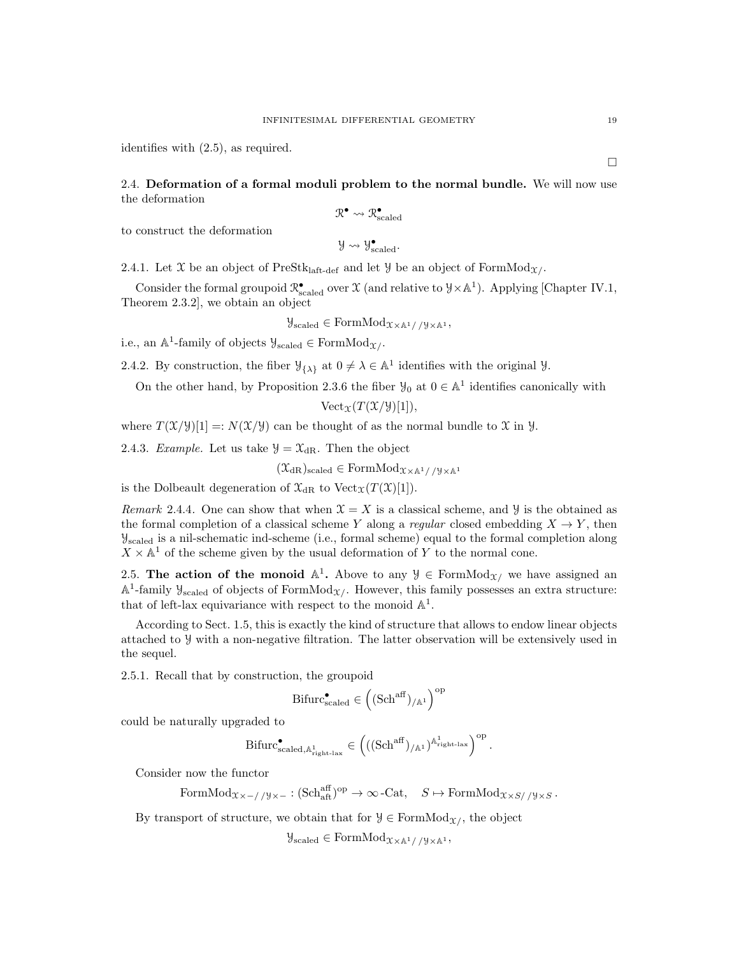identifies with (2.5), as required.

# 2.4. Deformation of a formal moduli problem to the normal bundle. We will now use the deformation

$$
\mathcal{R}^\bullet \leadsto \mathcal{R}_{\mathrm{scaled}}^\bullet
$$

to construct the deformation

$$
\mathcal{Y}\leadsto \mathcal{Y}_{\rm scaled}^{\bullet}.
$$

2.4.1. Let X be an object of PreStk<sub>laft-def</sub> and let  $\mathcal{Y}$  be an object of FormMod<sub>X</sub>.

Consider the formal groupoid  $\mathcal{R}^{\bullet}_{\text{scaled}}$  over  $\mathcal{X}$  (and relative to  $\mathcal{Y} \times \mathbb{A}^1$ ). Applying [Chapter IV.1, Theorem 2.3.2], we obtain an object

$$
\mathcal{Y}_{\text{scaled}} \in \text{FormMod}_{\mathfrak{X} \times \mathbb{A}^1// \mathcal{Y} \times \mathbb{A}^1},
$$

i.e., an  $\mathbb{A}^1$ -family of objects  $\mathcal{Y}_{\text{scaled}} \in \text{FormMod}_{\mathcal{X}}$ .

2.4.2. By construction, the fiber  $\mathcal{Y}_{\{\lambda\}}$  at  $0 \neq \lambda \in \mathbb{A}^1$  identifies with the original  $\mathcal{Y}$ .

On the other hand, by Proposition 2.3.6 the fiber  $\mathcal{Y}_0$  at  $0 \in \mathbb{A}^1$  identifies canonically with

$$
\text{Vect}_{\mathfrak{X}}(T(\mathfrak{X}/\mathfrak{Y})[1]),
$$

where  $T(\mathfrak{X}/\mathfrak{Y})[1] =: N(\mathfrak{X}/\mathfrak{Y})$  can be thought of as the normal bundle to X in Y.

2.4.3. Example. Let us take  $\mathcal{Y} = \mathcal{X}_{\text{dR}}$ . Then the object

 $(\mathfrak{X}_{\mathrm{dR}})_{\mathrm{scaled}} \in \mathrm{FormMod}_{\mathfrak{X} \times \mathbb{A}^1 / / \mathfrak{Y} \times \mathbb{A}^1}$ 

is the Dolbeault degeneration of  $\mathfrak{X}_{\mathrm{dR}}$  to  $\mathrm{Vect}_{\mathfrak{X}}(T(\mathfrak{X})[1]).$ 

Remark 2.4.4. One can show that when  $\mathfrak{X} = X$  is a classical scheme, and Y is the obtained as the formal completion of a classical scheme Y along a regular closed embedding  $X \to Y$ , then Yscaled is a nil-schematic ind-scheme (i.e., formal scheme) equal to the formal completion along  $X \times \mathbb{A}^1$  of the scheme given by the usual deformation of Y to the normal cone.

2.5. The action of the monoid  $\mathbb{A}^1$ . Above to any  $\mathcal{Y} \in \text{FormMod}_{\mathcal{X}}$  we have assigned an  $\mathbb{A}^1$ -family  $\mathcal{Y}_{\text{scaled}}$  of objects of FormMod<sub> $\mathcal{X}/$ </sub>. However, this family possesses an extra structure: that of left-lax equivariance with respect to the monoid  $\mathbb{A}^1$ .

According to Sect. 1.5, this is exactly the kind of structure that allows to endow linear objects attached to Y with a non-negative filtration. The latter observation will be extensively used in the sequel.

2.5.1. Recall that by construction, the groupoid

$$
\mathrm{Bifurc}_{\mathrm{scaled}}^{\bullet} \in \left( (\mathrm{Sch}^{\mathrm{aff}})_{/\mathbb{A}^1} \right)^{\mathrm{op}}
$$

could be naturally upgraded to

$$
\mathrm{Bifurc}_{\mathrm{scaled},\mathbb{A}_{\mathrm{right}\text{-}\mathrm{law}}^1}^\bullet \in \left( ((\mathrm{Sch}^{\mathrm{aff}})_{/\mathbb{A}^1})^{\mathbb{A}_{\mathrm{right}\text{-}\mathrm{law}}^1} \right)^{\mathrm{op}}.
$$

Consider now the functor

 $FormMod_{\mathfrak{X}\times-\text{--}/\mathfrak{Y}\times-}: (Sch_{att}^{aff})^{op}\to\infty\text{-Cat},\ \ S\mapsto FormMod_{\mathfrak{X}\times S/\mathfrak{Y}\times S}.$ 

By transport of structure, we obtain that for  $\mathcal{Y} \in \mathrm{FormMod}_{\mathcal{X}}$ , the object

 $\mathcal{Y}_{\text{scaled}} \in \text{FormMod}_{\mathcal{X} \times \mathbb{A}^1 / / \mathcal{Y} \times \mathbb{A}^1}$ 

 $\Box$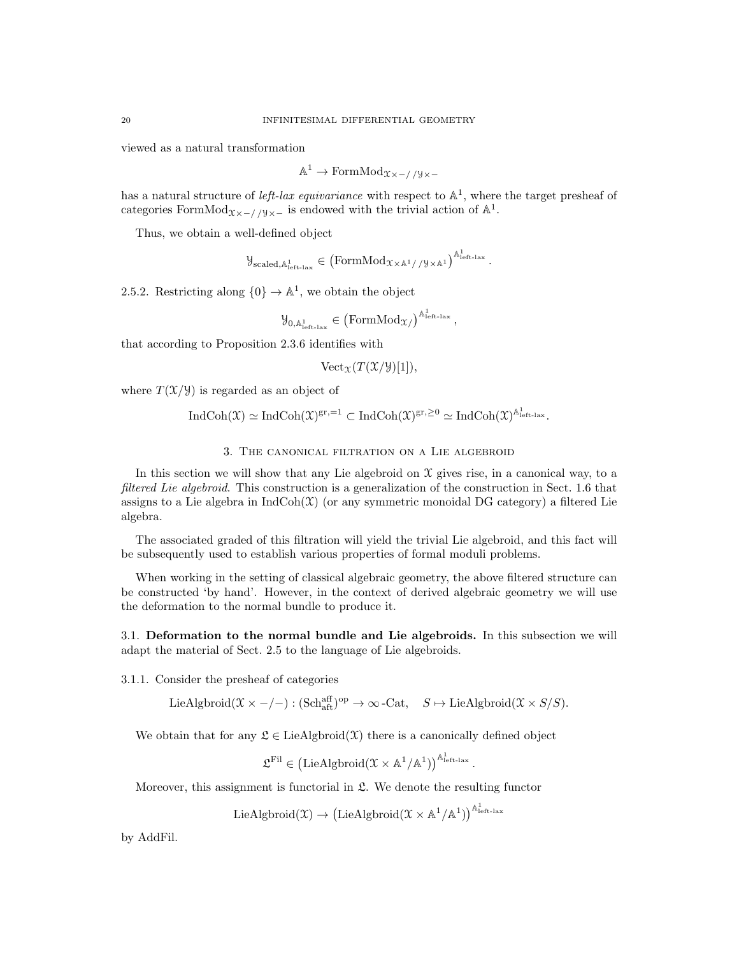viewed as a natural transformation

 $\mathbb{A}^1$  → FormMod<sub>X×-//</sub>y<sub>×-</sub>

has a natural structure of *left-lax equivariance* with respect to  $\mathbb{A}^1$ , where the target presheaf of categories FormMod<sub> $x \times -/79 \times -$ </sub> is endowed with the trivial action of  $\mathbb{A}^1$ .

Thus, we obtain a well-defined object

 $\mathcal{Y}_{\text{scaled},\mathbb{A}_{\text{left-law}}^1} \in \left(\text{FormMod}_{\mathcal{X} \times \mathbb{A}^1//\mathcal{Y} \times \mathbb{A}^1}\right)^{\mathbb{A}_{\text{left-law}}^1}.$ 

2.5.2. Restricting along  $\{0\} \to \mathbb{A}^1$ , we obtain the object

$$
\mathcal{Y}_{0,\mathbb{A}^1_{\mathrm{left-lax}}}\in\left(\mathrm{FormMod}_\mathfrak{X}/\right)^{\mathbb{A}^1_{\mathrm{left-lax}}},
$$

that according to Proposition 2.3.6 identifies with

$$
\text{Vect}_{\mathfrak{X}}(T(\mathfrak{X}/\mathcal{Y})[1]),
$$

where  $T(\mathfrak{X}/\mathfrak{Y})$  is regarded as an object of

$$
\mathrm{IndCoh}(\mathfrak{X})\simeq \mathrm{IndCoh}(\mathfrak{X})^{gr,=1}\subset \mathrm{IndCoh}(\mathfrak{X})^{gr,\geq 0}\simeq \mathrm{IndCoh}(\mathfrak{X})^{\mathbb{A}^1_{\mathrm{left-lax}}}.
$$

### 3. The canonical filtration on a Lie algebroid

In this section we will show that any Lie algebroid on  $\mathfrak X$  gives rise, in a canonical way, to a filtered Lie algebroid. This construction is a generalization of the construction in Sect. 1.6 that assigns to a Lie algebra in  $\text{IndCoh}(\mathfrak{X})$  (or any symmetric monoidal DG category) a filtered Lie algebra.

The associated graded of this filtration will yield the trivial Lie algebroid, and this fact will be subsequently used to establish various properties of formal moduli problems.

When working in the setting of classical algebraic geometry, the above filtered structure can be constructed 'by hand'. However, in the context of derived algebraic geometry we will use the deformation to the normal bundle to produce it.

3.1. Deformation to the normal bundle and Lie algebroids. In this subsection we will adapt the material of Sect. 2.5 to the language of Lie algebroids.

3.1.1. Consider the presheaf of categories

 $\text{LieAlgbroid}(\mathfrak{X} \times -/-): (\text{Sch}^{\text{aff}}_{\text{aff}})^\text{op} \to \infty\text{-Cat}, \quad S \mapsto \text{LieAlgbroid}(\mathfrak{X} \times S/S).$ 

We obtain that for any  $\mathfrak{L} \in \text{LieAlgbroid}(\mathfrak{X})$  there is a canonically defined object

 $\mathfrak{L}^{\mathrm{Fil}} \in \left( \mathrm{LieAlgbroid}(\mathfrak{X}\times \mathbb{A}^1/\mathbb{A}^1) \right)^{\mathbb{A}^1_{\mathrm{left-lax}}}$ 

.

Moreover, this assignment is functorial in  $\mathfrak{L}$ . We denote the resulting functor

 $\mathrm{LieAlgbroid}(\mathfrak{X}) \rightarrow \left(\mathrm{LieAlgbroid}(\mathfrak{X} \times \mathbb{A}^1/\mathbb{A}^1)\right)^{\mathbb{A}^1_{\mathrm{left-lax}}}$ 

by AddFil.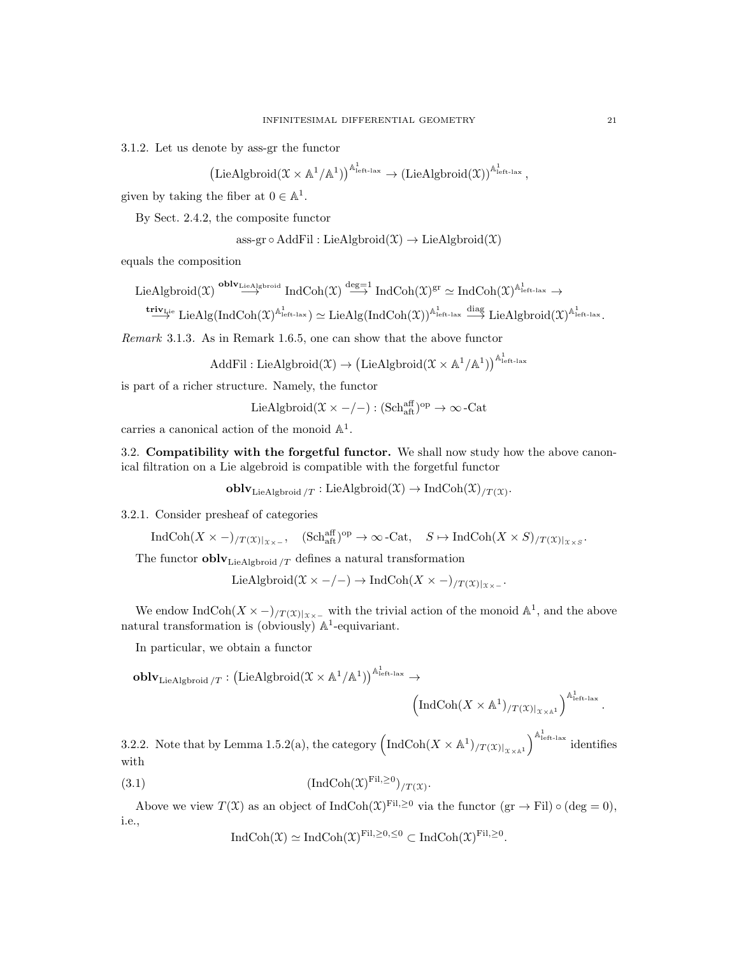3.1.2. Let us denote by ass-gr the functor

$$
\left( \text{LieAlgbroid}(\mathfrak{X}\times\mathbb{A}^1/\mathbb{A}^1) \right)^{\mathbb{A}^1_{\text{left-lax}}} \to \left( \text{LieAlgbroid}(\mathfrak{X}) \right)^{\mathbb{A}^1_{\text{left-lax}}} ,
$$

given by taking the fiber at  $0 \in \mathbb{A}^1$ .

By Sect. 2.4.2, the composite functor

ass-gr
$$
\circ
$$
 AddFil : LieAlgbroid( $\mathfrak{X}$ )  $\rightarrow$  LieAlgbroid( $\mathfrak{X}$ )

equals the composition

$$
\text{LieAlgbroid}(\mathfrak{X}) \overset{\textbf{oblv}_{\textbf{LieAlgbroid}}}{\longrightarrow} \text{IndCoh}(\mathfrak{X}) \overset{\text{deg}=1}{\longrightarrow} \text{IndCoh}(\mathfrak{X})^{\text{gr}} \simeq \text{IndCoh}(\mathfrak{X})^{\mathbb{A}^1_{\text{left-lax}}} \to
$$

 $\stackrel{\mathbf{triv}_{\mathrm{Lie}}}{\longrightarrow} \mathrm{LieAlg}(\mathrm{IndCoh}(\mathfrak{X})^{\mathbb{A}^1_{\mathrm{left-lax}}}) \simeq \mathrm{LieAlg}(\mathrm{IndCoh}(\mathfrak{X}))^{\mathbb{A}^1_{\mathrm{left-lax}}}\stackrel{\mathrm{diag}}{\longrightarrow} \mathrm{LieAlgbroid}(\mathfrak{X})^{\mathbb{A}^1_{\mathrm{left-lax}}}.$ 

Remark 3.1.3. As in Remark 1.6.5, one can show that the above functor

$$
\mathrm{AddFil}: \mathrm{LieAlgbroid}(\mathfrak{X}) \to \left(\mathrm{LieAlgbroid}(\mathfrak{X} \times \mathbb{A}^1/\mathbb{A}^1)\right)^{\mathbb{A}^1_{\mathrm{left-lax}}}
$$

is part of a richer structure. Namely, the functor

$$
LieAlgbroid(\mathfrak{X} \times -/-): (Sch^{aff}_{aft})^{op} \to \infty \text{-Cat}
$$

carries a canonical action of the monoid  $\mathbb{A}^1$ .

3.2. Compatibility with the forgetful functor. We shall now study how the above canonical filtration on a Lie algebroid is compatible with the forgetful functor

 $\textbf{oblv}_{\text{LieAlgbroid}/T}:\text{LieAlgbroid}(\mathfrak{X})\to \text{IndCoh}(\mathfrak{X})_{/T(\mathfrak{X})}.$ 

### 3.2.1. Consider presheaf of categories

$$
\text{Ind}\text{Coh}(X \times -)_{/T(\mathfrak{X})|_{\mathfrak{X}\times -}}, \quad (\text{Sch}^{\text{aff}}_{\text{aff}})^{\text{op}} \to \infty\text{-}\text{Cat}, \quad S \mapsto \text{Ind}\text{Coh}(X \times S)_{/T(\mathfrak{X})|_{\mathfrak{X}\times S}}.
$$

The functor  $\textbf{oblv}_{\text{LieAlgbroid}}$  /T defines a natural transformation

LieAlgbroid( $\mathfrak{X} \times -/-$ )  $\rightarrow \text{IndCoh}(X \times -)/T(\mathfrak{X})|_{\mathfrak{X} \times -}$ .

We endow IndCoh $(X \times -)/T(X)|_{X\times -}$  with the trivial action of the monoid  $\mathbb{A}^1$ , and the above natural transformation is (obviously)  $\mathbb{A}^1$ -equivariant.

In particular, we obtain a functor

$$
\operatorname{\textbf{oblv}}_{\operatorname{LieAlgbroid}/T}: \left( \operatorname{LieAlgbroid}(\mathfrak{X} \times \mathbb{A}^1/\mathbb{A}^1) \right)^{\mathbb{A}^1_{\text{left-lax}}} \to
$$

$$
\left(\text{IndCoh}(X \times \mathbb{A}^1)_{/T(\mathfrak{X})|_{\mathfrak{X} \times \mathbb{A}^1}}\right)^{\mathbb{A}^1_{\text{left-lax}}}.
$$

3.2.2. Note that by Lemma 1.5.2(a), the category  $\left(\text{IndCoh}(X \times \mathbb{A}^1)_{/T(\mathfrak{X})|_{X \times \mathbb{A}^1}}\right)^{\mathbb{A}^1_{\text{left-law}}}$  identifies with

$$
(3.1) \qquad (\text{IndCoh}(\mathfrak{X})^{\text{Fil}, \geq 0})_{/T(\mathfrak{X})}.
$$

Above we view  $T(\mathfrak{X})$  as an object of IndCoh $(\mathfrak{X})^{\mathrm{Fil},\geq0}$  via the functor  $(\text{gr} \to \text{Fil}) \circ (\text{deg} = 0)$ , i.e.,

$$
IndCoh(\mathfrak{X}) \simeq IndCoh(\mathfrak{X})^{Fil, \geq 0, \leq 0} \subset IndCoh(\mathfrak{X})^{Fil, \geq 0}.
$$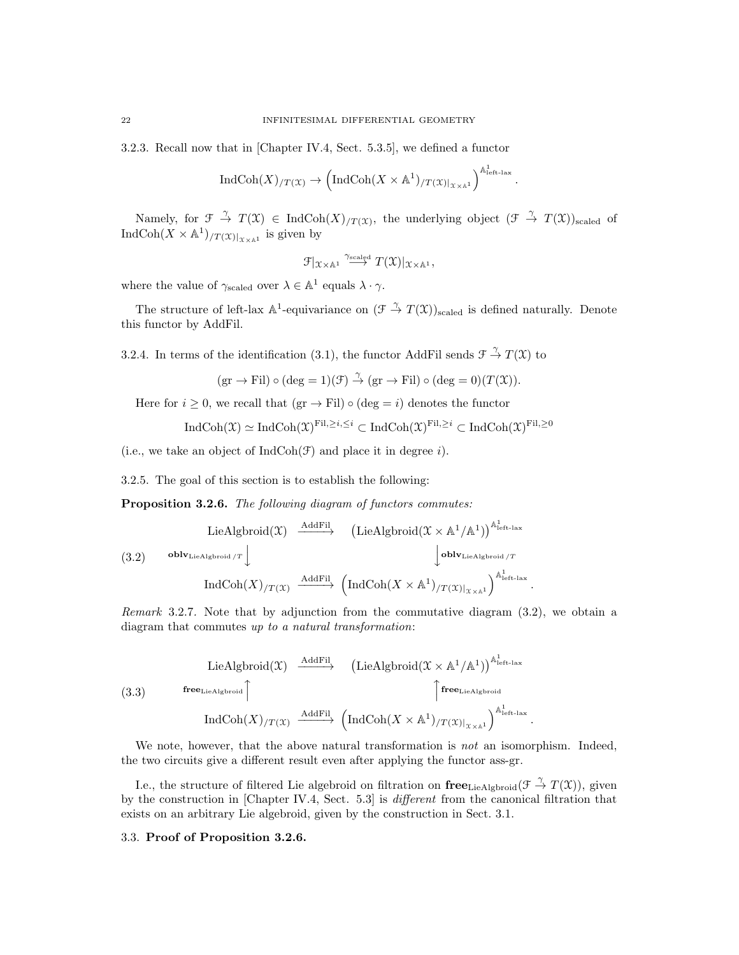3.2.3. Recall now that in [Chapter IV.4, Sect. 5.3.5], we defined a functor

$$
\operatorname{IndCoh}(X)_{/T(\mathfrak{X})} \to \left( \operatorname{IndCoh}(X \times \mathbb{A}^1)_{/T(\mathfrak{X})|_{\mathfrak{X} \times \mathbb{A}^1}} \right)^{\mathbb{A}^1_{\text{left-law}}}.
$$

Namely, for  $\mathfrak{F} \stackrel{\gamma}{\to} T(\mathfrak{X}) \in \text{IndCoh}(X)_{T(\mathfrak{X})}$ , the underlying object  $(\mathfrak{F} \stackrel{\gamma}{\to} T(\mathfrak{X}))_{\text{scaled}}$  of IndCoh $(X \times \mathbb{A}^1)_{/T(X)|_{X \times \mathbb{A}^1}}$  is given by

$$
\mathcal{F}|_{\mathfrak{X}\times \mathbb{A}^1}\overset{\gamma_{\text{scaled}}}{\longrightarrow} T(\mathfrak{X})|_{\mathfrak{X}\times \mathbb{A}^1},
$$

where the value of  $\gamma_{\text{scaled}}$  over  $\lambda \in \mathbb{A}^1$  equals  $\lambda \cdot \gamma$ .

The structure of left-lax  $\mathbb{A}^1$ -equivariance on  $(\mathcal{F} \stackrel{\gamma}{\to} T(\mathcal{X}))_{\text{scaled}}$  is defined naturally. Denote this functor by AddFil.

3.2.4. In terms of the identification (3.1), the functor AddFil sends  $\mathcal{F} \stackrel{\gamma}{\to} T(\mathfrak{X})$  to

$$
(\text{gr} \to \text{Fil}) \circ (\text{deg} = 1)(\mathcal{F}) \stackrel{\gamma}{\to} (\text{gr} \to \text{Fil}) \circ (\text{deg} = 0)(T(\mathcal{X})).
$$

Here for  $i \geq 0$ , we recall that  $(\text{gr} \to \text{Fil}) \circ (\text{deg} = i)$  denotes the functor

$$
\operatorname{IndCoh}(\mathfrak{X}) \simeq \operatorname{IndCoh}(\mathfrak{X})^{\mathrm{Fil}, \geq i, \leq i} \subset \operatorname{IndCoh}(\mathfrak{X})^{\mathrm{Fil}, \geq i} \subset \operatorname{IndCoh}(\mathfrak{X})^{\mathrm{Fil}, \geq 0}
$$

(i.e., we take an object of  $IndCoh(\mathcal{F})$  and place it in degree i).

3.2.5. The goal of this section is to establish the following:

Proposition 3.2.6. The following diagram of functors commutes:

$$
(3.2) \quad \begin{array}{c}\n\text{LieAlgbroid}(\mathfrak{X}) \xrightarrow{\text{AddFil}} \quad (\text{LieAlgbroid}(\mathfrak{X} \times \mathbb{A}^1/\mathbb{A}^1))^{\mathbb{A}^1_{\text{left-lax}}} \\
\downarrow \text{oblv}_{\text{LieAlgbroid}/T} \downarrow \qquad \qquad \downarrow \text{oblv}_{\text{LieAlgbroid}/T} \\
\text{IndCoh}(X)/T(\mathfrak{X}) \xrightarrow{\text{AddFil}} \quad (\text{IndCoh}(X \times \mathbb{A}^1)/T(\mathfrak{X})|_{\mathfrak{X} \times \mathbb{A}^1})^{\mathbb{A}^1_{\text{left-lax}}} \\
\end{array}
$$

Remark 3.2.7. Note that by adjunction from the commutative diagram (3.2), we obtain a diagram that commutes up to a natural transformation:

.

(3.3) LieAlgbroid(
$$
\mathfrak{X}
$$
)  $\xrightarrow{\text{AddFil}}$  (LieAlgbroid( $\mathfrak{X} \times \mathbb{A}^1/\mathbb{A}^1$ )) <sup>$\mathbb{A}^1_{\text{left-law}}$   
(3.3)  $\text{free}_{\text{LieAlgbroid}}$   $\uparrow$   $\uparrow$   $\uparrow$   $\uparrow$   $\uparrow$   $\uparrow$   $\uparrow$   $\uparrow$   $\uparrow$   $\uparrow$   $\uparrow$   $\uparrow$   $\uparrow$   $\uparrow$   $\uparrow$   $\uparrow$   $\uparrow$   $\uparrow$   $\uparrow$   $\uparrow$   $\uparrow$   $\uparrow$   $\uparrow$   $\uparrow$   $\uparrow$   $\uparrow$   $\uparrow$   $\uparrow$   $\uparrow$   $\uparrow$   $\uparrow$   $\uparrow$   $\uparrow$   $\uparrow$   $\uparrow$   $\uparrow$   $\uparrow$   $\uparrow$   $\uparrow$   $\uparrow$   $\uparrow$   $\uparrow$   $\uparrow$   $\uparrow$   $\uparrow$   $\uparrow$   $\uparrow$   $\uparrow$   $\uparrow$   $\uparrow$   $\uparrow$   $\uparrow$   $\uparrow$   $\uparrow$   $\uparrow$   $\uparrow$   $\uparrow$   $\uparrow$   $\downarrow$   $\uparrow$   $\uparrow$   $\uparrow$   $\uparrow$   $\uparrow$   $\uparrow$   $\uparrow$   $\uparrow$   $\uparrow$   $\uparrow$   $\uparrow$   $\uparrow$   $\uparrow$   $\uparrow$   $\uparrow$   $\uparrow$   $\uparrow$   $\uparrow$   $\uparrow$   $\uparrow$   $\uparrow$   $\uparrow$  <</sup>

We note, however, that the above natural transformation is *not* an isomorphism. Indeed, the two circuits give a different result even after applying the functor ass-gr.

I.e., the structure of filtered Lie algebroid on filtration on  $\{free_{\rm LieAlgbroid}(\mathcal{F} \stackrel{\gamma}{\to} T(\mathcal{X}))\}$ , given by the construction in [Chapter IV.4, Sect. 5.3] is different from the canonical filtration that exists on an arbitrary Lie algebroid, given by the construction in Sect. 3.1.

## 3.3. Proof of Proposition 3.2.6.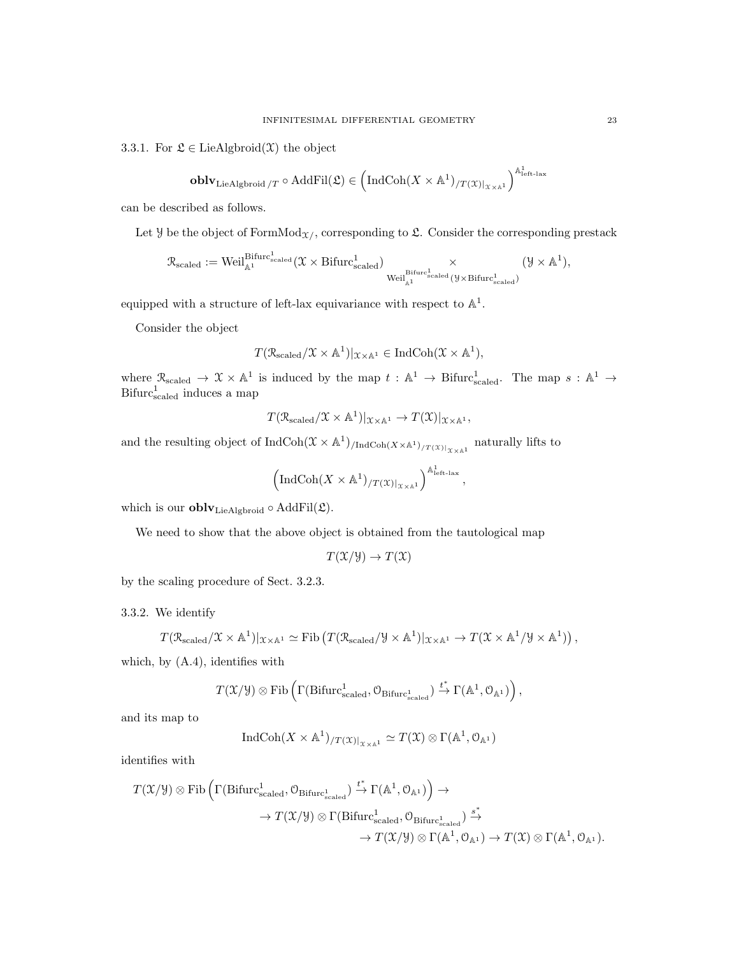3.3.1. For  $\mathfrak{L} \in \text{LieAlgbroid}(\mathfrak{X})$  the object

$$
\mathbf{oblv}_\mathrm{LieAlgbroid}/T \circ \mathrm{AddFil}(\mathfrak{L}) \in \left(\mathrm{IndCoh}(X \times \mathbb{A}^1)_{/T(\mathfrak{X})|_{\mathfrak{X} \times \mathbb{A}^1}}\right)^{\mathbb{A}^1_\mathrm{left-lax}}
$$

can be described as follows.

Let  $\mathcal Y$  be the object of FormMod<sub> $\mathcal X$ </sub>, corresponding to  $\mathfrak L$ . Consider the corresponding prestack

$$
\mathcal{R}_{\text{scaled}} := \text{Weil}^{\text{Bifurc}_{\text{scaled}}^1}(\mathfrak{X} \times \text{Bifurc}_{\text{scaled}}^1) \underset{\text{Weil}^{\text{Bifurc}_{\text{scaled}}^1}{\times} (\mathcal{Y} \times \text{Bifurc}_{\text{scaled}}^1)}{\times} (\mathcal{Y} \times \mathbb{A}^1),
$$

equipped with a structure of left-lax equivariance with respect to  $\mathbb{A}^1$ .

Consider the object

$$
T(\mathcal{R}_{\text{scaled}}/\mathfrak{X} \times \mathbb{A}^1)|_{\mathfrak{X} \times \mathbb{A}^1} \in \text{IndCoh}(\mathfrak{X} \times \mathbb{A}^1),
$$

where  $\mathcal{R}_{scaled} \to \mathcal{X} \times \mathbb{A}^1$  is induced by the map  $t : \mathbb{A}^1 \to \text{Bifurc}_{scaled}^1$ . The map  $s : \mathbb{A}^1 \to$  $Bifurc<sub>scaled</sub><sup>1</sup>$  induces a map

$$
T(\mathcal{R}_{\text{scaled}}/\mathfrak{X}\times\mathbb{A}^1)|_{\mathfrak{X}\times\mathbb{A}^1}\to T(\mathfrak{X})|_{\mathfrak{X}\times\mathbb{A}^1},
$$

and the resulting object of  $IndCoh(\mathcal{X} \times \mathbb{A}^1)_{/IndCoh(X \times \mathbb{A}^1)_{/T(\mathcal{X})|_{X \times \mathbb{A}^1}}}$  naturally lifts to

$$
\left(\mathrm{IndCoh}(X \times \mathbb{A}^1)_{/T(\mathfrak{X})|_{\mathfrak{X} \times \mathbb{A}^1}}\right)^{\mathbb{A}^1_{\mathrm{left-lax}}},
$$

which is our **obly** Lie Algbroid  $\circ$  AddFil $(\mathfrak{L})$ .

We need to show that the above object is obtained from the tautological map

$$
T(\mathfrak{X}/\mathfrak{Y}) \to T(\mathfrak{X})
$$

by the scaling procedure of Sect. 3.2.3.

3.3.2. We identify

$$
T(\mathcal{R}_{\text{scaled}}/\mathfrak{X}\times\mathbb{A}^1)|_{\mathfrak{X}\times\mathbb{A}^1}\simeq \text{Fib}\left(T(\mathcal{R}_{\text{scaled}}/\mathcal{Y}\times\mathbb{A}^1)|_{\mathfrak{X}\times\mathbb{A}^1}\to T(\mathfrak{X}\times\mathbb{A}^1/\mathcal{Y}\times\mathbb{A}^1)\right),
$$

which, by (A.4), identifies with

$$
T(\mathfrak{X}/\mathcal{Y})\otimes\mathrm{Fib}\left(\Gamma(\mathrm{Bifurc}_{\mathrm{scaled}}^1, \mathcal{O}_{\mathrm{Bifurc}_{\mathrm{scaled}}^1})\xrightarrow{t^*}\Gamma(\mathbb{A}^1, \mathcal{O}_{\mathbb{A}^1})\right),
$$

and its map to

$$
\operatorname{IndCoh}(X \times \mathbb{A}^1)_{/T(\mathfrak{X})|_{\mathfrak{X} \times \mathbb{A}^1}} \simeq T(\mathfrak{X}) \otimes \Gamma(\mathbb{A}^1, \mathcal{O}_{\mathbb{A}^1})
$$

1

identifies with

$$
\begin{array}{ccc} T(\mathfrak{X}/\mathcal{Y})\otimes\mathrm{Fib}\left(\Gamma(\mathrm{Bifurc}_{\mathrm{scaled}}^{1},\mathcal{O}_{\mathrm{Bifurc}_{\mathrm{scaled}}^{1}})\xrightarrow{t^{*}}\Gamma(\mathbb{A}^{1},\mathcal{O}_{\mathbb{A}^{1}})\right)\rightarrow\\\\ &\to T(\mathfrak{X}/\mathcal{Y})\otimes\Gamma(\mathrm{Bifurc}_{\mathrm{scaled}}^{1},\mathcal{O}_{\mathrm{Bifurc}_{\mathrm{scaled}}^{1}})\xrightarrow{s^{*}}\\ &\to T(\mathfrak{X}/\mathcal{Y})\otimes\Gamma(\mathbb{A}^{1},\mathcal{O}_{\mathbb{A}^{1}})\rightarrow T(\mathfrak{X})\otimes\Gamma(\mathbb{A}^{1},\mathcal{O}_{\mathbb{A}^{1}}).\end{array}
$$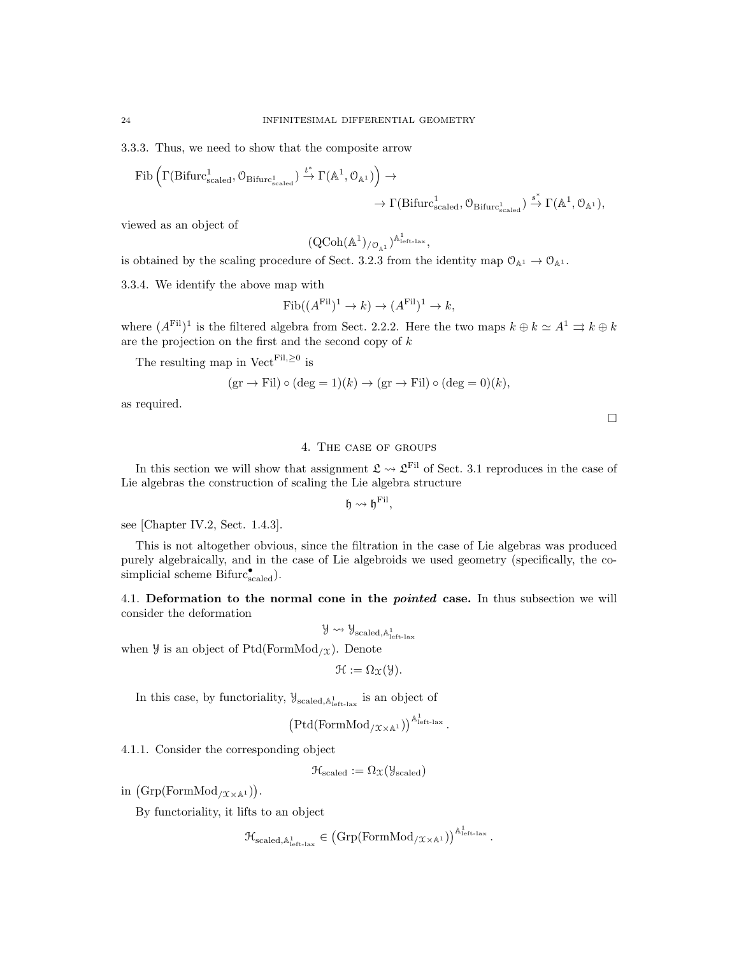3.3.3. Thus, we need to show that the composite arrow

$$
\begin{array}{c}\textnormal{Fib}\left(\Gamma(\textnormal{Bifurc}_{\textnormal{scaled}}^{1},\mathcal{O}_{\textnormal{Bifurc}_{\textnormal{scaled}}^{1}})\xrightarrow{t^{*}}\Gamma(\mathbb{A}^{1},\mathcal{O}_{\mathbb{A}^{1}})\right)\rightarrow\\\longrightarrow\Gamma(\textnormal{Bifurc}_{\textnormal{scaled}}^{1},\mathcal{O}_{\textnormal{Bifurc}_{\textnormal{scaled}}^{1}})\xrightarrow{s^{*}}\Gamma(\mathbb{A}^{1},\mathcal{O}_{\mathbb{A}^{1}}),\end{array}
$$

viewed as an object of

$$
(\mathrm{QCoh}(\mathbb{A}^1)_{/\mathcal{O}_{\mathbb{A}^1}})^{\mathbb{A}^1_{\mathrm{left\ -\mathrm{lax}}}},
$$

is obtained by the scaling procedure of Sect. 3.2.3 from the identity map  $\mathcal{O}_{\mathbb{A}^1} \to \mathcal{O}_{\mathbb{A}^1}$ .

3.3.4. We identify the above map with

$$
\mathrm{Fib}((A^{\mathrm{Fil}})^1 \to k) \to (A^{\mathrm{Fil}})^1 \to k,
$$

where  $(A^{\text{Fil}})^1$  is the filtered algebra from Sect. 2.2.2. Here the two maps  $k \oplus k \simeq A^1 \rightrightarrows k \oplus k$ are the projection on the first and the second copy of  $k$ 

The resulting map in  $Vect<sup>Fil, \geq 0</sup>$  is

$$
(\text{gr} \to \text{Fil}) \circ (\text{deg} = 1)(k) \to (\text{gr} \to \text{Fil}) \circ (\text{deg} = 0)(k),
$$

as required.

 $\Box$ 

## 4. The case of groups

In this section we will show that assignment  $\mathfrak{L} \leadsto \mathfrak{L}^{\text{Fil}}$  of Sect. 3.1 reproduces in the case of Lie algebras the construction of scaling the Lie algebra structure

 $\mathfrak{h} \leadsto \mathfrak{h}^{\text{Fil}},$ 

see [Chapter IV.2, Sect. 1.4.3].

This is not altogether obvious, since the filtration in the case of Lie algebras was produced purely algebraically, and in the case of Lie algebroids we used geometry (specifically, the cosimplicial scheme Bifurc<sub>scaled</sub>).

4.1. Deformation to the normal cone in the *pointed* case. In thus subsection we will consider the deformation

 $\mathcal{Y} \leadsto \mathcal{Y}_{\text{scaled},\mathbb{A}^1_{\text{left-law}}}$ 

when  $\mathcal Y$  is an object of Ptd(FormMod<sub>/X</sub>). Denote

$$
\mathcal{H} := \Omega_{\mathfrak{X}}(\mathcal{Y}).
$$

In this case, by functoriality,  $\mathcal{Y}_{\text{scaled},\mathbb{A}^1_{\text{left-lax}}}$  is an object of

$$
\big(\mathrm{Ptd}(\mathrm{FormMod}_{/{\mathfrak X}\times{\mathbb A}^1})\big)^{\mathbb A^1_{\mathrm{left-lax}}}
$$

.

4.1.1. Consider the corresponding object

$$
\mathcal{H}_{\text{scaled}} := \Omega_{\mathfrak{X}}(\mathcal{Y}_{\text{scaled}})
$$

in  $(\mathrm{Grp}(\mathrm{FormMod}_{/\mathfrak{X}\times\mathbb{A}^1})).$ 

By functoriality, it lifts to an object

$$
\mathfrak{H}_{\text{scaled},\mathbb{A}^1_{\text{left-law}}} \in \left(\text{Grp}(\text{FormMod}_{/\mathfrak{X} \times \mathbb{A}^1})\right)^{\mathbb{A}^1_{\text{left-law}}}.
$$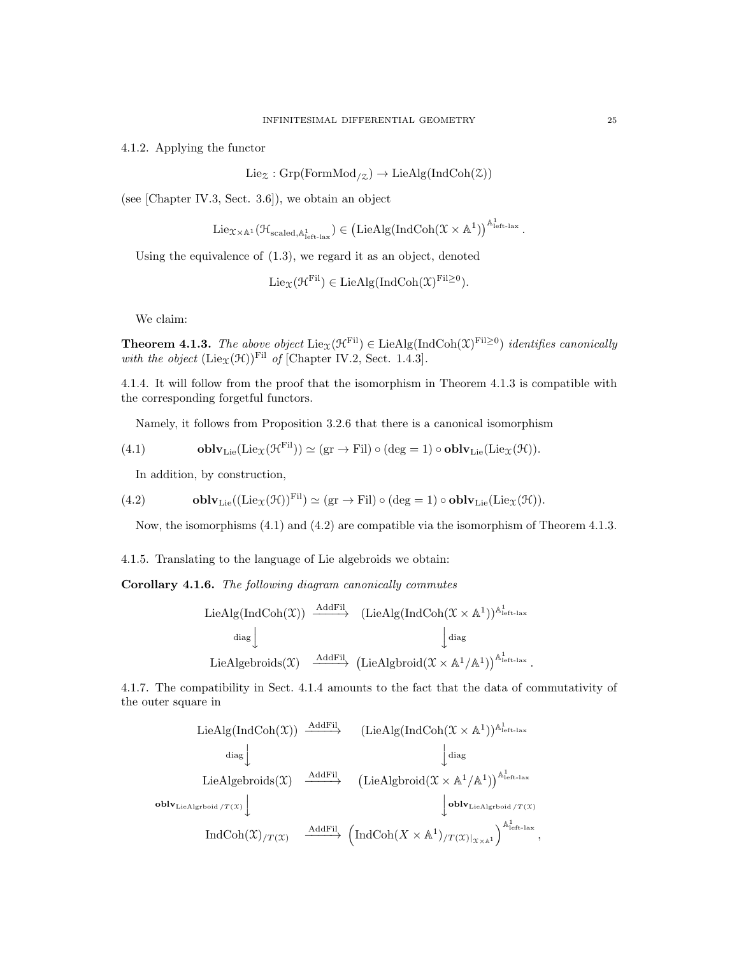4.1.2. Applying the functor

 $Lie_{\mathcal{Z}}: Grp(FormMod_{\mathcal{Z}}) \to LieAlg(IndCoh(\mathcal{Z}))$ 

(see [Chapter IV.3, Sect. 3.6]), we obtain an object

$$
\mathrm{Lie}_{\mathfrak{X}\times\mathbb{A}^1}(\mathfrak{H}_{\mathrm{scaled},\mathbb{A}^1_{\mathrm{left-lax}}})\in \left(\mathrm{LieAlg}(\mathrm{IndCoh}(\mathfrak{X}\times\mathbb{A}^1)\right)^{\mathbb{A}^1_{\mathrm{left-lax}}}.
$$

Using the equivalence of (1.3), we regard it as an object, denoted

$$
Lie_{\mathfrak{X}}(\mathcal{H}^{\mathrm{Fil}}) \in LieAlg(IndCoh(\mathfrak{X})^{\mathrm{Fil}\geq 0}).
$$

We claim:

**Theorem 4.1.3.** The above object  $\text{Lie}_{\mathfrak{X}}(\mathfrak{H}^{\text{Fil}}) \in \text{LieAlg}(\text{IndCoh}(\mathfrak{X})^{\text{Fil}\geq 0})$  identifies canonically with the object  $(\text{Lie}_{\mathfrak{X}}(\mathfrak{H}))^{\text{Fil}}$  of [Chapter IV.2, Sect. 1.4.3].

4.1.4. It will follow from the proof that the isomorphism in Theorem 4.1.3 is compatible with the corresponding forgetful functors.

Namely, it follows from Proposition 3.2.6 that there is a canonical isomorphism

(4.1) **oblv**<sub>Lie</sub>(Lie
$$
\chi(\mathcal{H}^{\text{Fil}})
$$
) \simeq (gr \to Fil) \circ (deg = 1) \circ **oblv**<sub>Lie</sub>(Lie $\chi(\mathcal{H})$ ).

In addition, by construction,

(4.2) 
$$
\mathbf{oblv}_{\mathrm{Lie}}((\mathrm{Lie}_{\mathfrak{X}}(\mathcal{H}))^{\mathrm{Fil}})\simeq (\mathrm{gr}\to \mathrm{Fil})\circ (\deg=1)\circ \mathbf{oblv}_{\mathrm{Lie}}(\mathrm{Lie}_{\mathfrak{X}}(\mathcal{H})).
$$

Now, the isomorphisms (4.1) and (4.2) are compatible via the isomorphism of Theorem 4.1.3.

4.1.5. Translating to the language of Lie algebroids we obtain:

Corollary 4.1.6. The following diagram canonically commutes

$$
\begin{array}{ccc}\n\text{LieAlg}(\text{IndCoh}(\mathfrak{X})) & \xrightarrow{\text{AddFil}} & (\text{LieAlg}(\text{IndCoh}(\mathfrak{X} \times \mathbb{A}^{1}))^{\mathbb{A}^{1}_{\text{left-lax}}} \\
& \text{diag} & \text{diag}\n\end{array}
$$
\n
$$
\text{LieAlgebroids}(\mathfrak{X}) & \xrightarrow{\text{AddFil}} (\text{LieAlgbroid}(\mathfrak{X} \times \mathbb{A}^{1}/\mathbb{A}^{1}))^{\mathbb{A}^{1}_{\text{left-lax}}}.
$$

4.1.7. The compatibility in Sect. 4.1.4 amounts to the fact that the data of commutativity of the outer square in

\n
$$
\begin{array}{cccc}\n \text{LieAlg}(\text{IndCoh}(\mathfrak{X})) & \xrightarrow{\text{AddFil}} & (\text{LieAlg}(\text{IndCoh}(\mathfrak{X} \times \mathbb{A}^1))^{\mathbb{A}^1_{\text{left-lax}}} \\
 & \downarrow \text{diag} & \downarrow \text{diag} \\
 & \text{LieAlgebroids}(\mathfrak{X}) & \xrightarrow{\text{AddFil}} & (\text{LieAlgbroid}(\mathfrak{X} \times \mathbb{A}^1/\mathbb{A}^1))^{\mathbb{A}^1_{\text{left-lax}}} \\
 & \text{oblv}_{\text{LieAlgiboid}/T(\mathfrak{X})} & \downarrow \text{oblv}_{\text{LieAlgiboid}/T(\mathfrak{X})} \\
 & \text{IndCoh}(\mathfrak{X})_{/T(\mathfrak{X})} & \xrightarrow{\text{AddFil}} & (\text{IndCoh}(X \times \mathbb{A}^1)_{/T(\mathfrak{X})|_{\mathfrak{X} \times \mathbb{A}^1}})^{\mathbb{A}^1_{\text{left-lax}}} \\
 & \text{IndCoh}(\mathfrak{X})_{/T(\mathfrak{X})} & \xrightarrow{\text{AddFil}} & (\text{IndCoh}(X \times \mathbb{A}^1))_{/T(\mathfrak{X})|_{\mathfrak{X} \times \mathbb{A}^1}}\n \end{array}
$$
\n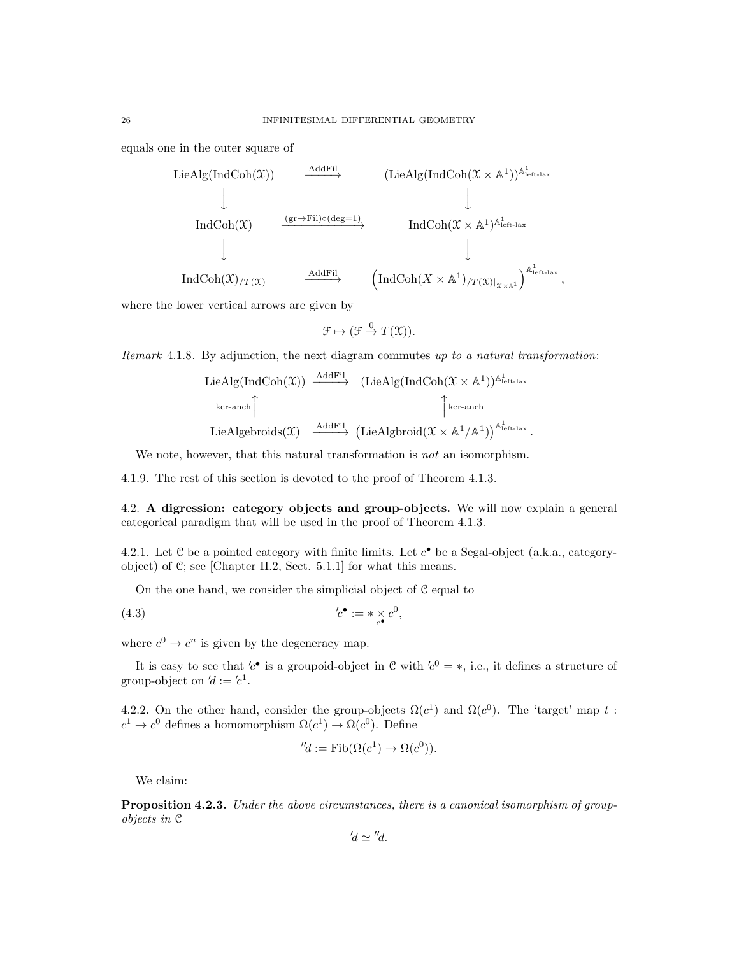equals one in the outer square of



where the lower vertical arrows are given by

$$
\mathcal{F} \mapsto (\mathcal{F} \stackrel{0}{\to} T(\mathcal{X})).
$$

Remark 4.1.8. By adjunction, the next diagram commutes up to a natural transformation:

\n
$$
\text{LieAlg}(\text{IndCoh}(\mathfrak{X})) \xrightarrow{\text{AddFil}} (\text{LieAlg}(\text{IndCoh}(\mathfrak{X} \times \mathbb{A}^1))^{\mathbb{A}^1_{\text{left-lax}}}
$$
\n

\n\n $\text{ker-anch} \uparrow \qquad \qquad \downarrow \text{ker-anch}$ \n

\n\n $\text{LieAlgebroids}(\mathfrak{X}) \xrightarrow{\text{AddFil}} (\text{LieAlgbroid}(\mathfrak{X} \times \mathbb{A}^1/\mathbb{A}^1))^{\mathbb{A}^1_{\text{left-lax}}}$ \n

We note, however, that this natural transformation is *not* an isomorphism.

4.1.9. The rest of this section is devoted to the proof of Theorem 4.1.3.

4.2. A digression: category objects and group-objects. We will now explain a general categorical paradigm that will be used in the proof of Theorem 4.1.3.

4.2.1. Let  $C$  be a pointed category with finite limits. Let  $c^{\bullet}$  be a Segal-object (a.k.a., categoryobject) of C; see [Chapter II.2, Sect. 5.1.1] for what this means.

On the one hand, we consider the simplicial object of C equal to

$$
(4.3) \t\t\t'c^{\bullet} := * \underset{c^{\bullet}}{\times} c^0,
$$

where  $c^0 \to c^n$  is given by the degeneracy map.

It is easy to see that  $c^{\bullet}$  is a groupoid-object in C with  $c^0 = *$ , i.e., it defines a structure of group-object on  $d := 'c^1$ .

4.2.2. On the other hand, consider the group-objects  $\Omega(c^1)$  and  $\Omega(c^0)$ . The 'target' map t:  $c^1 \to c^0$  defines a homomorphism  $\Omega(c^1) \to \Omega(c^0)$ . Define

$$
''d := \text{Fib}(\Omega(c^1) \to \Omega(c^0)).
$$

We claim:

Proposition 4.2.3. Under the above circumstances, there is a canonical isomorphism of groupobjects in C

$$
'd\simeq ''d.
$$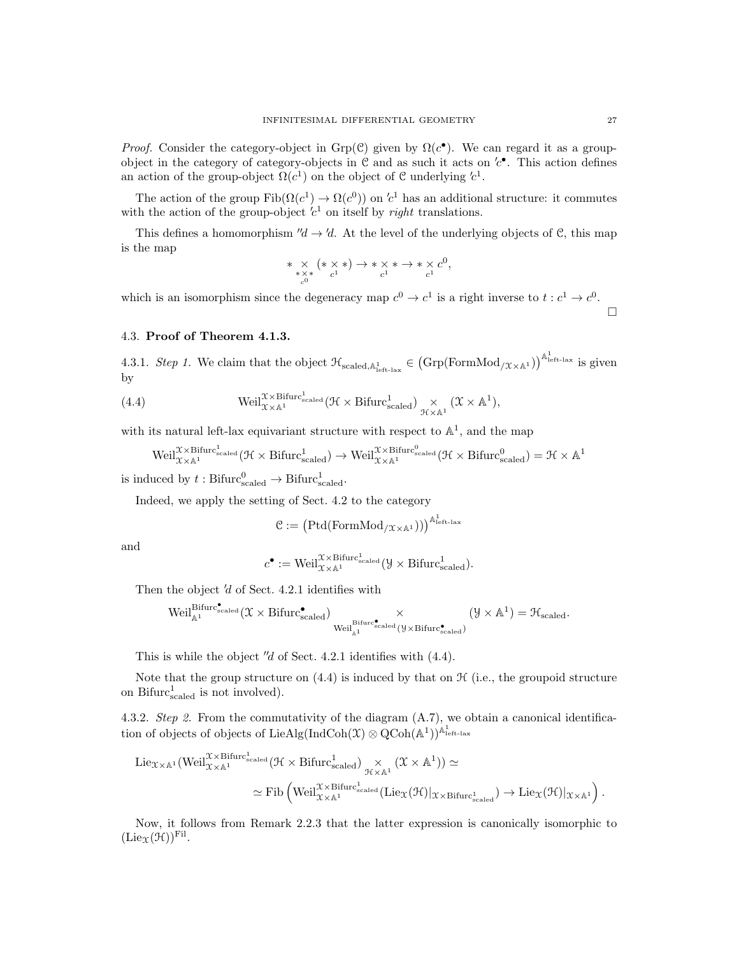*Proof.* Consider the category-object in Grp(C) given by  $\Omega(c^{\bullet})$ . We can regard it as a groupobject in the category of category-objects in  $\mathcal C$  and as such it acts on  $c^{\bullet}$ . This action defines an action of the group-object  $\Omega(c^1)$  on the object of C underlying  $c^1$ .

The action of the group  $\text{Fib}(\Omega(c^1) \to \Omega(c^0))$  on  $c^1$  has an additional structure: it commutes with the action of the group-object  $c<sup>1</sup>$  on itself by *right* translations.

This defines a homomorphism  $\mathcal{U} \to \mathcal{U}$ . At the level of the underlying objects of C, this map is the map

$$
\ast \underset{c^{0}}{\times} \left( \ast \underset{c^{1}}{\times} \ast \right) \rightarrow \ast \underset{c^{1}}{\times} \ast \rightarrow \ast \underset{c^{1}}{\times} c^{0},
$$

which is an isomorphism since the degeneracy map  $c^0 \to c^1$  is a right inverse to  $t : c^1 \to c^0$ .

4.3. Proof of Theorem 4.1.3.

4.3.1. Step 1. We claim that the object  $\mathcal{H}_{\text{scaled},\mathbb{A}^1_{\text{left-law}}} \in (\text{Grp}(\text{FormMod}_{/\mathcal{X}\times\mathbb{A}^1}))^{\mathbb{A}^1_{\text{left-law}}}$  is given by

(4.4) Weil
$$
\chi^{\chi\times \text{Bifurc}_{\text{scaled}}^1}(\mathcal{H}\times \text{Bifurc}_{\text{scaled}}^1) \underset{\mathcal{H}\times\mathbb{A}^1}{\times} (\mathcal{X}\times\mathbb{A}^1),
$$

with its natural left-lax equivariant structure with respect to  $\mathbb{A}^1$ , and the map

$$
\operatorname{Weil}^{\mathcal{X} \times \operatorname{Bifurc}_{\operatorname{scaled}}^{1}}(\mathcal{H} \times \operatorname{Bifurc}_{\operatorname{scaled}}^{1}) \to \operatorname{Weil}^{\mathcal{X} \times \operatorname{Bifurc}_{\operatorname{scaled}}^{0}}(\mathcal{H} \times \operatorname{Bifurc}_{\operatorname{scaled}}^{0}) = \mathcal{H} \times \mathbb{A}^{1}
$$

is induced by  $t : \text{Bifurc}_{\text{scaled}}^0 \to \text{Bifurc}_{\text{scaled}}^1$ .

Indeed, we apply the setting of Sect. 4.2 to the category

$$
\mathcal{C}:=\big(\mathrm{Ptd}(\mathrm{FormMod}_{/\mathfrak{X}\times\mathbb{A}^1}))\big)^{\mathbb{A}^1_{\mathrm{left}\text{-}\mathrm{law}}}
$$

and

$$
c^{\bullet} := \text{Weil}_{\mathcal{X} \times \mathbb{A}^1}^{\mathcal{X} \times \text{Bifurc}_{\text{scaled}}^1} (\mathcal{Y} \times \text{Bifurc}_{\text{scaled}}^1).
$$

Then the object  $d$  of Sect. 4.2.1 identifies with

$$
\operatorname{Weil}^{\operatorname{Bifurc}_{\operatorname{scaled}}^\bullet}(\mathfrak{X}\times\operatorname{Bifurc}_{\operatorname{scaled}}^\bullet)\underset{\operatorname{Weil}^{\operatorname{Bifurc}_{\operatorname{scaled}}^\bullet}(\mathcal{Y}\times\operatorname{Bifurc}_{\operatorname{scaled}}^\bullet)}{\times}(\mathcal{Y}\times\mathbb{A}^1)=\mathfrak{H}_{\operatorname{scaled}}.
$$

This is while the object "d of Sect. 4.2.1 identifies with  $(4.4)$ .

Note that the group structure on  $(4.4)$  is induced by that on  $\mathcal{H}$  (i.e., the groupoid structure on Bifurc $_{\text{scaled}}^1$  is not involved).

4.3.2. Step 2. From the commutativity of the diagram (A.7), we obtain a canonical identification of objects of objects of LieAlg(IndCoh $(\mathfrak{X}) \otimes \mathrm{QCoh}(\mathbb{A}^1))^{\mathbb{A}^1_{\text{left-lax}}}$ 

$$
\begin{aligned} \mathrm{Lie}_{\mathfrak{X}\times\mathbb{A}^1}(\mathrm{Weil}^{\mathfrak{X}\times \mathrm{Bifurc}_{\mathrm{scaled}}^1}(\mathcal{H}\times \mathrm{Bifurc}_{\mathrm{scaled}}^1)\underset{\mathcal{H}\times\mathbb{A}^1}{\times}(\mathfrak{X}\times \mathbb{A}^1)) &\simeq\\ &\simeq \mathrm{Fib}\left(\mathrm{Weil}^{\mathfrak{X}\times \mathrm{Bifurc}_{\mathrm{scaled}}^1}(\mathrm{Lie}_{\mathfrak{X}}(\mathcal{H})|_{\mathfrak{X}\times \mathrm{Bifurc}_{\mathrm{scaled}}^1})\rightarrow \mathrm{Lie}_{\mathfrak{X}}(\mathcal{H})|_{\mathfrak{X}\times \mathbb{A}^1}\right). \end{aligned}
$$

Now, it follows from Remark 2.2.3 that the latter expression is canonically isomorphic to  $(\mathrm{Lie}_{\mathfrak{X}}(\mathcal{H}))^{\mathrm{Fil}}.$ 

 $\Box$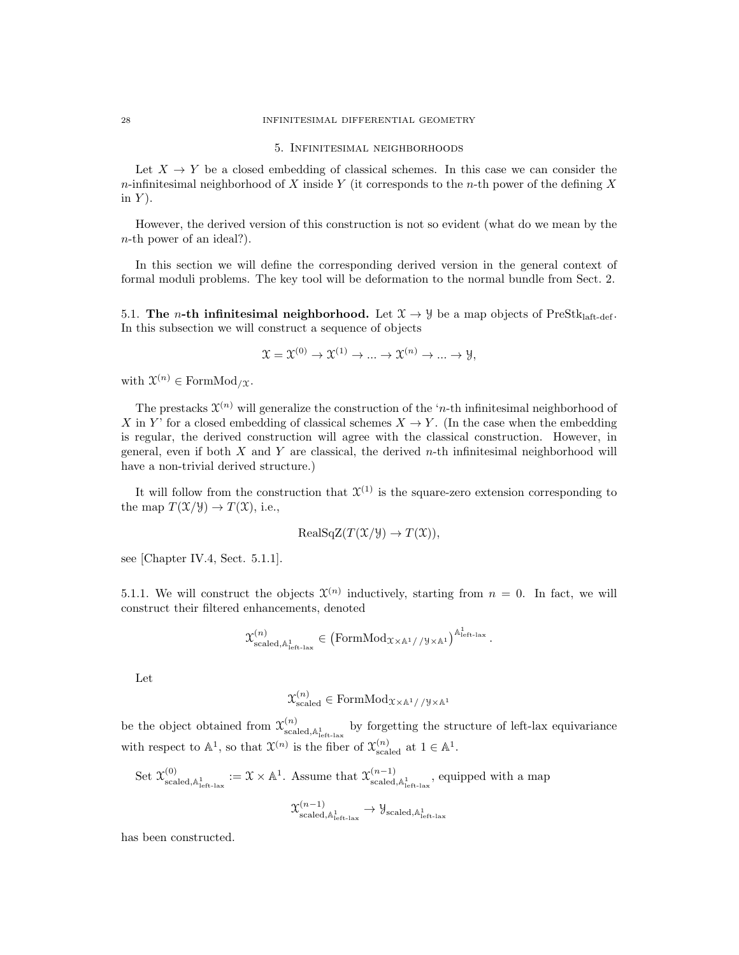#### 28 INFINITESIMAL DIFFERENTIAL GEOMETRY

#### 5. Infinitesimal neighborhoods

Let  $X \to Y$  be a closed embedding of classical schemes. In this case we can consider the n-infinitesimal neighborhood of X inside Y (it corresponds to the n-th power of the defining X in  $Y$ ).

However, the derived version of this construction is not so evident (what do we mean by the n-th power of an ideal?).

In this section we will define the corresponding derived version in the general context of formal moduli problems. The key tool will be deformation to the normal bundle from Sect. 2.

5.1. The *n*-th infinitesimal neighborhood. Let  $\mathcal{X} \to \mathcal{Y}$  be a map objects of PreStklatt-def. In this subsection we will construct a sequence of objects

$$
\mathfrak{X} = \mathfrak{X}^{(0)} \to \mathfrak{X}^{(1)} \to \dots \to \mathfrak{X}^{(n)} \to \dots \to \mathfrak{Y},
$$

with  $\mathfrak{X}^{(n)} \in \text{FormMod}_{/\mathfrak{X}}$ .

The prestacks  $\mathfrak{X}^{(n)}$  will generalize the construction of the 'n-th infinitesimal neighborhood of X in Y' for a closed embedding of classical schemes  $X \to Y$ . (In the case when the embedding is regular, the derived construction will agree with the classical construction. However, in general, even if both  $X$  and  $Y$  are classical, the derived  $n$ -th infinitesimal neighborhood will have a non-trivial derived structure.)

It will follow from the construction that  $\mathfrak{X}^{(1)}$  is the square-zero extension corresponding to the map  $T(\mathfrak{X}/\mathfrak{Y}) \to T(\mathfrak{X})$ , i.e.,

$$
RealSqZ(T(\mathcal{X}/\mathcal{Y}) \to T(\mathcal{X})),
$$

see [Chapter IV.4, Sect. 5.1.1].

5.1.1. We will construct the objects  $\mathfrak{X}^{(n)}$  inductively, starting from  $n = 0$ . In fact, we will construct their filtered enhancements, denoted

$$
\mathcal{X}_{\text{scaled},\mathbb{A}_{\text{left-law}}^{1}}^{(n)}\in\left(\text{FormMod}_{\mathcal{X}\times\mathbb{A}^{1}//\mathcal{Y}\times\mathbb{A}^{1}}\right)^{\mathbb{A}_{\text{left-law}}^{1}}.
$$

Let

$$
\mathbf{\mathbf{\mathcal{X}}}_{\rm scaled}^{(n)} \in {\rm FormMod}_{\mathbf{\mathcal{X}} \times \mathbb{A}^1// \mathbf{\mathcal{Y}} \times \mathbb{A}^1}
$$

be the object obtained from  $\mathcal{X}_{\text{scaled},\mathbb{A}_{\text{left-last}}^1}^{(n)}$  by forgetting the structure of left-lax equivariance with respect to  $\mathbb{A}^1$ , so that  $\mathfrak{X}^{(n)}$  is the fiber of  $\mathfrak{X}^{(n)}_{\text{scaled}}$  at  $1 \in \mathbb{A}^1$ .

Set 
$$
\mathfrak{X}^{(0)}_{\text{scaled},\mathbb{A}^1_{\text{left-law}}} := \mathfrak{X} \times \mathbb{A}^1
$$
. Assume that  $\mathfrak{X}^{(n-1)}_{\text{scaled},\mathbb{A}^1_{\text{left-law}}}$ , equipped with a map 
$$
\mathfrak{X}^{(n-1)}_{\text{scaled},\mathbb{A}^1_{\text{left-law}}} \to \mathcal{Y}_{\text{scaled},\mathbb{A}^1_{\text{left-law}}}
$$

has been constructed.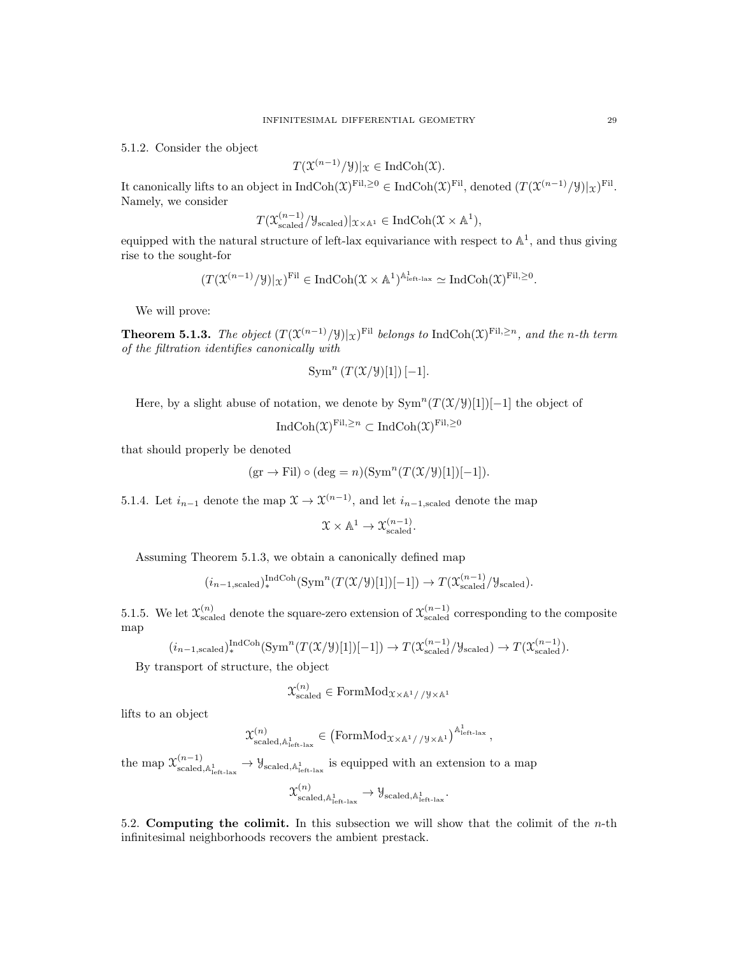5.1.2. Consider the object

$$
T(\mathfrak{X}^{(n-1)}/\mathfrak{Y})|_{\mathfrak{X}} \in \mathrm{IndCoh}(\mathfrak{X}).
$$

It canonically lifts to an object in  $\text{IndCoh}(\mathfrak{X})^{\text{Fil},\geq0} \in \text{IndCoh}(\mathfrak{X})^{\text{Fil}}, \text{denoted } (T(\mathfrak{X}^{(n-1)}/\mathcal{Y})|_{\mathfrak{X}})^{\text{Fil}}.$ Namely, we consider

$$
T(\mathfrak{X}^{(n-1)}_{\rm scaled}/\mathfrak{Y}_{\rm scaled})|_{\mathfrak{X}\times\mathbb{A}^1} \in \mathrm{IndCoh}(\mathfrak{X}\times\mathbb{A}^1),
$$

equipped with the natural structure of left-lax equivariance with respect to  $\mathbb{A}^1$ , and thus giving rise to the sought-for

$$
(T(\mathfrak{X}^{(n-1)}/\mathcal{Y})|_{\mathfrak{X}})^{\mathrm{Fil}}\in \mathrm{IndCoh}(\mathfrak{X}\times\mathbb{A}^{1})^{\mathbb{A}^{1}_{\mathrm{left-lax}}}\simeq \mathrm{IndCoh}(\mathfrak{X})^{\mathrm{Fil},\geq 0}.
$$

We will prove:

**Theorem 5.1.3.** The object  $(T(\mathfrak{X}^{(n-1)}/\mathfrak{Y})|_{\mathfrak{X}})^{\mathrm{Fil}}$  belongs to IndCoh $(\mathfrak{X})^{\mathrm{Fil},\geq n}$ , and the n-th term of the filtration identifies canonically with

$$
\operatorname{Sym}^n(T(\mathfrak{X}/\mathfrak{Y})[1])[-1].
$$

Here, by a slight abuse of notation, we denote by  $\text{Sym}^n(T(\mathcal{X}/\mathcal{Y})[1])[-1]$  the object of

$$
\text{IndCoh}(\mathfrak{X})^{\text{Fil},\geq n} \subset \text{IndCoh}(\mathfrak{X})^{\text{Fil},\geq 0}
$$

that should properly be denoted

$$
(\text{gr} \to \text{Fil}) \circ (\text{deg} = n)(\text{Sym}^n (T(\mathfrak{X}/\mathfrak{Y})[1])[-1]).
$$

5.1.4. Let  $i_{n-1}$  denote the map  $\mathfrak{X} \to \mathfrak{X}^{(n-1)}$ , and let  $i_{n-1,\text{scaled}}$  denote the map

$$
\mathfrak{X} \times \mathbb{A}^1 \to \mathfrak{X}^{(n-1)}_{\rm scaled}.
$$

Assuming Theorem 5.1.3, we obtain a canonically defined map

$$
(i_{n-1,\text{scaled}})_*^{\text{IndCoh}}(\text{Sym}^n(T(\mathcal{X}/\mathcal{Y})[1])[-1]) \to T(\mathcal{X}_{\text{scaled}}^{(n-1)}/\mathcal{Y}_{\text{scaled}}).
$$

5.1.5. We let  $\mathfrak{X}_{\text{scaled}}^{(n)}$  denote the square-zero extension of  $\mathfrak{X}_{\text{scaled}}^{(n-1)}$  corresponding to the composite map

$$
(i_{n-1, \text{scaled}})^{\text{IndCoh}}_{*}(\text{Sym}^n(T(\mathcal{X}/\mathcal{Y})[1])[-1]) \to T(\mathcal{X}_{\text{scaled}}^{(n-1)}/\mathcal{Y}_{\text{scaled}}) \to T(\mathcal{X}_{\text{scaled}}^{(n-1)}).
$$

By transport of structure, the object

$$
\mathbf{\mathcal{X}}_{\text{scaled}}^{(n)} \in \text{FormMod}_{\mathbf{\mathcal{X}} \times \mathbb{A}^1// \mathbf{\mathcal{Y}} \times \mathbb{A}^1}
$$

lifts to an object

$$
\mathfrak{X}_{\text{scaled},\mathbb{A}_{\text{left-law}}^{1}}^{(n)}\in\left(\text{FormMod}_{\mathfrak{X}\times\mathbb{A}^{1}//\mathcal{Y}\times\mathbb{A}^{1}}\right)^{\mathbb{A}_{\text{left-law}}^{1}}
$$

,

the map  $\mathfrak{X}_{\text{scaled},\mathbb{A}_{\text{left-law}}^{1}}^{(n-1)} \to \mathcal{Y}_{\text{scaled},\mathbb{A}_{\text{left-law}}^{1}}$  is equipped with an extension to a map

$$
\mathfrak{X}_{\text{scaled},\mathbb{A}_{\text{left-law}}^{1}}^{(n)} \to \mathcal{Y}_{\text{scaled},\mathbb{A}_{\text{left-law}}^{1}}.
$$

5.2. Computing the colimit. In this subsection we will show that the colimit of the  $n$ -th infinitesimal neighborhoods recovers the ambient prestack.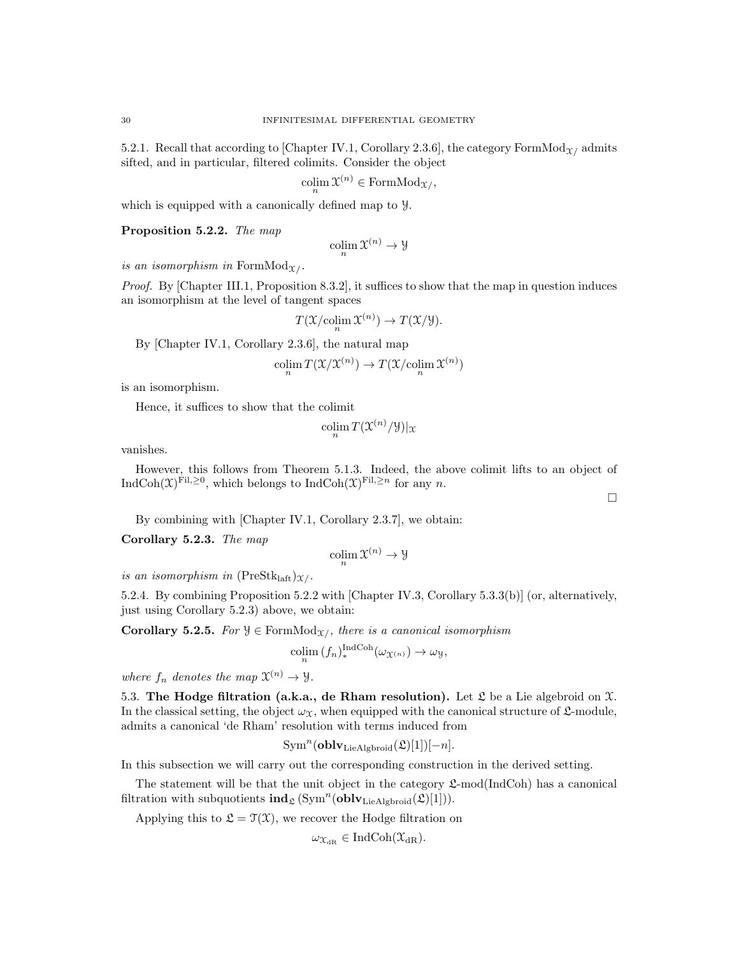5.2.1. Recall that according to Chapter IV.1, Corollary 2.3.6, the category FormMod<sub>X/</sub> admits sifted, and in particular, filtered colimits. Consider the object

$$
\operatorname{colim}_{n} \mathfrak{X}^{(n)} \in \operatorname{FormMod}_{\mathfrak{X}/},
$$

which is equipped with a canonically defined map to Y.

Proposition 5.2.2. The map

$$
\operatornamewithlimits{colim}_n \mathfrak X^{(n)}\to \mathcal Y
$$

is an isomorphism in Form $Mod_{\mathfrak{X}/}$ .

Proof. By [Chapter III.1, Proposition 8.3.2], it suffices to show that the map in question induces an isomorphism at the level of tangent spaces

$$
T(\mathfrak{X}/\mathrm{colim}_{n} \mathfrak{X}^{(n)}) \to T(\mathfrak{X}/\mathfrak{Y}).
$$

By [Chapter IV.1, Corollary 2.3.6], the natural map

$$
\operatorname{colim}_{n} T(\mathfrak{X}/\mathfrak{X}^{(n)}) \to T(\mathfrak{X}/\mathrm{colim}_{n} \mathfrak{X}^{(n)})
$$

is an isomorphism.

Hence, it suffices to show that the colimit

$$
\operatornamewithlimits{colim}_n T({\mathfrak X}^{(n)}/{\mathcal Y})|_{\mathfrak X}
$$

vanishes.

However, this follows from Theorem 5.1.3. Indeed, the above colimit lifts to an object of IndCoh $(\mathfrak{X})^{\mathrm{Fil},\geq 0}$ , which belongs to IndCoh $(\mathfrak{X})^{\mathrm{Fil},\geq n}$  for any n.

 $\Box$ 

By combining with [Chapter IV.1, Corollary 2.3.7], we obtain:

Corollary 5.2.3. The map

$$
\operatornamewithlimits{colim}_n \mathfrak X^{(n)}\to \mathfrak Y
$$

is an isomorphism in  $(PreStk<sub>laff</sub>)_{\mathcal{X}/}$ .

5.2.4. By combining Proposition 5.2.2 with [Chapter IV.3, Corollary 5.3.3(b)] (or, alternatively, just using Corollary 5.2.3) above, we obtain:

Corollary 5.2.5. For  $\mathcal{Y} \in \text{FormMod}_{\mathfrak{X}/\mathfrak{f}}$ , there is a canonical isomorphism

$$
\operatorname{colim}_{n} (f_{n})_{*}^{\operatorname{IndCoh}}(\omega_{\mathfrak{X}^{(n)}}) \to \omega_{\mathcal{Y}},
$$

where  $f_n$  denotes the map  $\mathfrak{X}^{(n)} \to \mathfrak{Y}$ .

5.3. The Hodge filtration (a.k.a., de Rham resolution). Let  $\mathfrak L$  be a Lie algebroid on  $\mathfrak X$ . In the classical setting, the object  $\omega_{\mathfrak{X}}$ , when equipped with the canonical structure of  $\mathfrak{L}$ -module, admits a canonical 'de Rham' resolution with terms induced from

$$
\operatorname{Sym}^n(\mathbf{oblv}_{\operatorname{LieAlgbroid}}(\mathfrak{L})[1])[-n].
$$

In this subsection we will carry out the corresponding construction in the derived setting.

The statement will be that the unit object in the category  $\mathfrak{L}\text{-mod}(\text{IndCoh})$  has a canonical filtration with subquotients  $\text{ind}_{\mathfrak{L}}(\text{Sym}^n(\textbf{oblv}_{\text{LieAlgbroid}}(\mathfrak{L})[1]))$ .

Applying this to  $\mathfrak{L} = \mathfrak{T}(\mathfrak{X})$ , we recover the Hodge filtration on

$$
\omega_{\mathfrak{X}_{\mathrm{dR}}}\in\mathrm{IndCoh}(\mathfrak{X}_{\mathrm{dR}}).
$$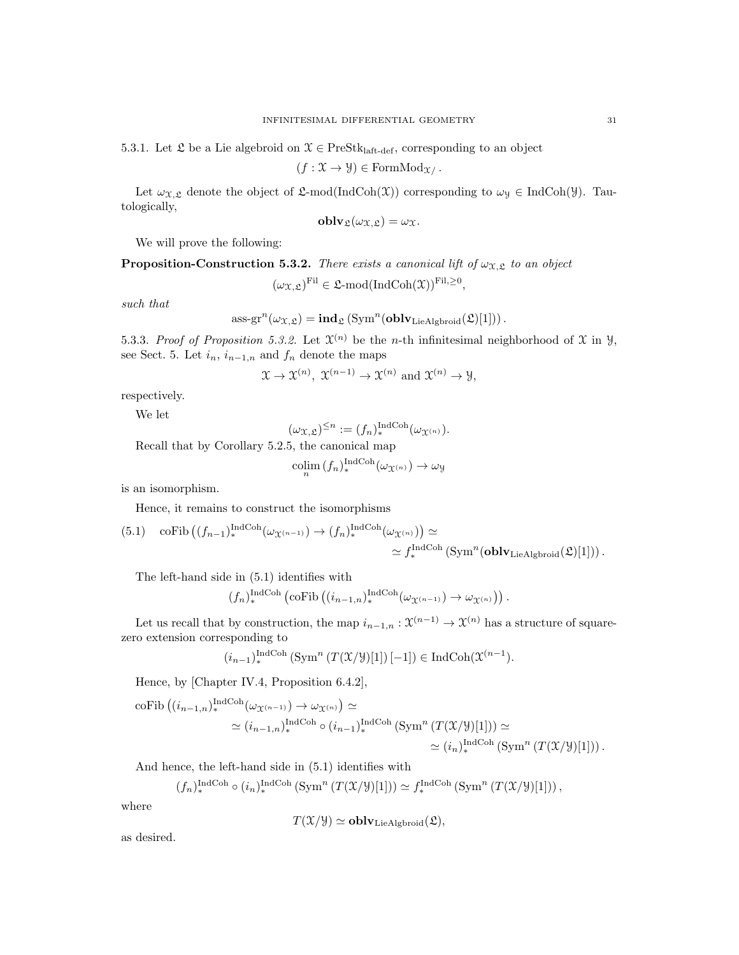$$
(f: \mathfrak{X} \to \mathcal{Y}) \in \mathrm{FormMod}_{\mathfrak{X}}.
$$

Let  $\omega_{\mathfrak{X},\mathfrak{L}}$  denote the object of  $\mathfrak{L}\text{-mod}(\text{IndCoh}(\mathfrak{X}))$  corresponding to  $\omega_{\mathfrak{Y}} \in \text{IndCoh}(\mathfrak{Y})$ . Tautologically,

$$
\mathbf{oblv}_{\mathfrak{L}}(\omega_{\mathfrak{X},\mathfrak{L}})=\omega_{\mathfrak{X}}.
$$

We will prove the following:

**Proposition-Construction 5.3.2.** There exists a canonical lift of  $\omega_{\mathfrak{X},\mathfrak{L}}$  to an object

$$
(\omega_{\mathfrak{X}, \mathfrak{L}})^{\mathrm{Fil}} \in \mathfrak{L}\text{-}\mathrm{mod}(\mathrm{IndCoh}(\mathfrak{X}))^{\mathrm{Fil}, \geq 0},
$$

such that

ass-gr<sup>n</sup>(
$$
\omega_{\mathfrak{X},\mathfrak{L}}
$$
) = **ind** <sub>$\mathfrak{L}$</sub>  (Sym<sup>n</sup>(**oblv**<sub>LieAlgbroid</sub>( $\mathfrak{L}$ )[1])) .

5.3.3. Proof of Proposition 5.3.2. Let  $\mathfrak{X}^{(n)}$  be the *n*-th infinitesimal neighborhood of  $\mathfrak X$  in  $\mathcal Y$ , see Sect. 5. Let  $i_n$ ,  $i_{n-1,n}$  and  $f_n$  denote the maps

$$
\mathfrak{X} \to \mathfrak{X}^{(n)}, \ \mathfrak{X}^{(n-1)} \to \mathfrak{X}^{(n)}
$$
 and  $\mathfrak{X}^{(n)} \to \mathfrak{Y}$ ,

respectively.

We let

$$
(\omega_{\mathfrak{X}, \mathfrak{L}})^{\leq n} := (f_n)_*^{\operatorname{IndCoh}}(\omega_{\mathfrak{X}^{(n)}}).
$$

Recall that by Corollary 5.2.5, the canonical map

$$
\operatorname{colim}_{n} (f_{n})_{*}^{\operatorname{IndCoh}}(\omega_{\mathfrak{X}^{(n)}}) \to \omega_{\mathfrak{Y}}
$$

is an isomorphism.

Hence, it remains to construct the isomorphisms

(5.1) 
$$
\operatorname{coFib} \left( (f_{n-1})_{*}^{\operatorname{IndCoh}}(\omega_{\mathfrak{X}^{(n-1)}}) \to (f_{n})_{*}^{\operatorname{IndCoh}}(\omega_{\mathfrak{X}^{(n)}}) \right) \simeq
$$

$$
\simeq f_{*}^{\operatorname{IndCoh}}(\operatorname{Sym}^{n}(\operatorname{oblv}_{\operatorname{LieAlgbroid}}(\mathfrak{L})[1])) .
$$

The left-hand side in (5.1) identifies with

$$
(f_n)_*^{\text{IndCoh}} \left( \text{coFib} \left( (i_{n-1,n})_*^{\text{IndCoh}} (\omega_{\mathfrak{X}^{(n-1)}}) \to \omega_{\mathfrak{X}^{(n)}} \right) \right).
$$

Let us recall that by construction, the map  $i_{n-1,n}$  :  $\mathfrak{X}^{(n-1)} \to \mathfrak{X}^{(n)}$  has a structure of squarezero extension corresponding to

$$
(i_{n-1})_{*}^{\operatorname{IndCoh}}\left(\operatorname{Sym}^{n}\left(T(\mathfrak{X}/\mathcal{Y})[1]\right)[-1]\right) \in \operatorname{IndCoh}(\mathfrak{X}^{(n-1}).
$$

Hence, by [Chapter IV.4, Proposition 6.4.2],

coFib 
$$
((i_{n-1,n})_*^{\text{IndCoh}}(\omega_{\mathfrak{X}^{(n-1)}}) \to \omega_{\mathfrak{X}^{(n)}}) \simeq
$$
  

$$
\simeq (i_{n-1,n})_*^{\text{IndCoh}} \circ (i_{n-1})_*^{\text{IndCoh}} (\text{Sym}^n (T(\mathfrak{X}/\mathcal{Y})[1])) \simeq
$$

$$
\simeq (i_n)_*^{\text{IndCoh}} (\text{Sym}^n (T(\mathfrak{X}/\mathcal{Y})[1])) .
$$

And hence, the left-hand side in (5.1) identifies with

$$
(f_n)_*^{\text{IndCoh}} \circ (i_n)_*^{\text{IndCoh}} (\text{Sym}^n (T(\mathfrak{X}/\mathcal{Y})[1])) \simeq f_*^{\text{IndCoh}} (\text{Sym}^n (T(\mathfrak{X}/\mathcal{Y})[1])) ,
$$

where

$$
T(\mathfrak{X}/\mathfrak{Y}) \simeq \mathbf{oblv}_{\mathrm{LieAlgbroid}}(\mathfrak{L}),
$$

as desired.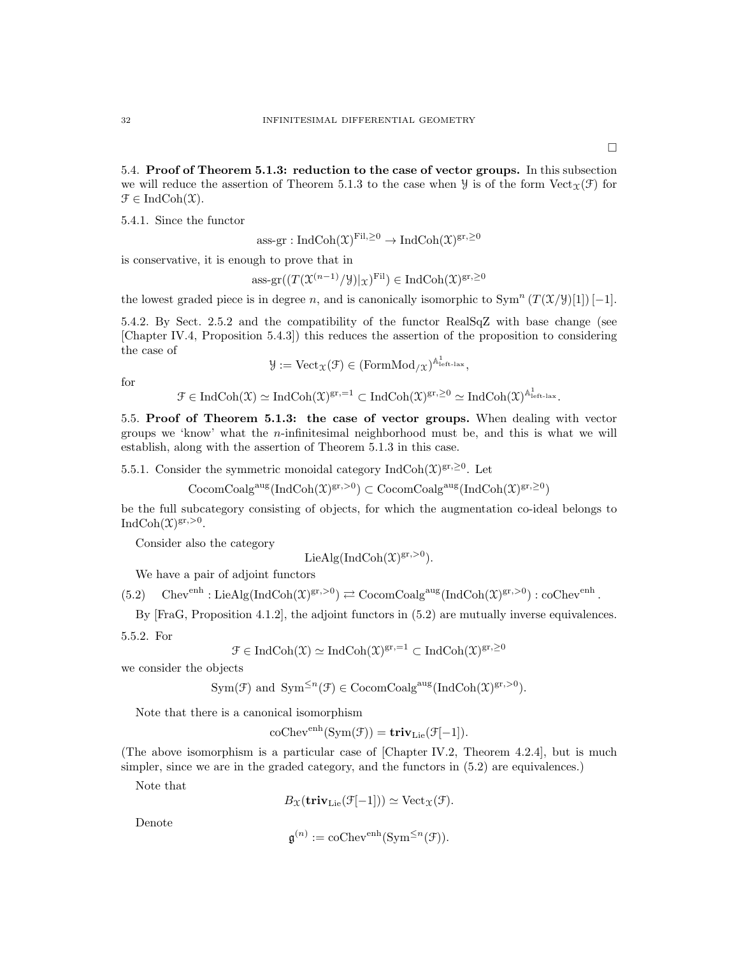5.4. Proof of Theorem 5.1.3: reduction to the case of vector groups. In this subsection we will reduce the assertion of Theorem 5.1.3 to the case when  $\mathcal Y$  is of the form  $Vect_{\mathcal X}(\mathcal F)$  for  $\mathfrak{F} \in \mathrm{IndCoh}(\mathfrak{X}).$ 

5.4.1. Since the functor

$$
ass\text{-}\mathrm{gr}: \mathrm{IndCoh}(\mathfrak{X})^{\mathrm{Fil}, \geq 0} \to \mathrm{IndCoh}(\mathfrak{X})^{\mathrm{gr}, \geq 0}
$$

is conservative, it is enough to prove that in

$$
\mathrm{ass}\text{-}\mathrm{gr}((T(\mathfrak{X}^{(n-1)}/\mathcal{Y})|_{\mathfrak{X}})^{\mathrm{Fil}}) \in \mathrm{Ind}\mathrm{Coh}(\mathfrak{X})^{\mathrm{gr},\geq 0}
$$

the lowest graded piece is in degree n, and is canonically isomorphic to  $\text{Sym}^n (T(\mathfrak{X}/\mathfrak{Y})[1]) [-1]$ .

5.4.2. By Sect. 2.5.2 and the compatibility of the functor RealSqZ with base change (see [Chapter IV.4, Proposition 5.4.3]) this reduces the assertion of the proposition to considering the case of

$$
\mathcal{Y} := \mathrm{Vect}_{\mathfrak{X}}(\mathcal{F}) \in (\mathrm{FormMod}_{/\mathfrak{X}})^{\mathbb{A}^1_{\mathrm{left-lax}}},
$$

for

$$
\mathcal{F}\in \mathrm{IndCoh}(\mathfrak{X})\simeq \mathrm{IndCoh}(\mathfrak{X})^{gr,=1}\subset \mathrm{IndCoh}(\mathfrak{X})^{gr,\geq 0}\simeq \mathrm{IndCoh}(\mathfrak{X})^{\mathbb{A}^1_{\mathrm{left-lax}}}.
$$

5.5. Proof of Theorem 5.1.3: the case of vector groups. When dealing with vector groups we 'know' what the n-infinitesimal neighborhood must be, and this is what we will establish, along with the assertion of Theorem 5.1.3 in this case.

5.5.1. Consider the symmetric monoidal category IndCoh $(\mathfrak{X})^{\mathrm{gr},\geq 0}$ . Let

 $\mathrm{CocomCoalg}^{\mathrm{aug}}(\mathrm{IndCoh}(\mathfrak{X})^{\mathrm{gr},>0}) \subset \mathrm{CocomCoalg}^{\mathrm{aug}}(\mathrm{IndCoh}(\mathfrak{X})^{\mathrm{gr},\geq 0})$ 

be the full subcategory consisting of objects, for which the augmentation co-ideal belongs to IndCoh $(\mathfrak{X})^{\mathrm{gr},>0}$ .

Consider also the category

$$
LieAlg(IndCoh(\mathfrak{X})^{gr,>0}).
$$

We have a pair of adjoint functors

 $(5.2)$  Chev<sup>enh</sup> : LieAlg(IndCoh $(\mathfrak{X})^{\text{gr},>0}$ )  $\rightleftarrows$  CocomCoalg<sup>aug</sup>(IndCoh $(\mathfrak{X})^{\text{gr},>0}$ ) : coChev<sup>enh</sup>.

By [FraG, Proposition 4.1.2], the adjoint functors in (5.2) are mutually inverse equivalences.

5.5.2. For

$$
\mathcal{F} \in \mathrm{IndCoh}(\mathfrak{X}) \simeq \mathrm{IndCoh}(\mathfrak{X})^{\mathrm{gr},=1} \subset \mathrm{IndCoh}(\mathfrak{X})^{\mathrm{gr},\geq 0}
$$

we consider the objects

$$
Sym(\mathcal{F}) \text{ and } Sym^{\leq n}(\mathcal{F}) \in \text{CocomCoalg}^{\text{aug}}(\text{IndCoh}(\mathfrak{X})^{\text{gr},>0}).
$$

Note that there is a canonical isomorphism

$$
\mathrm{coChev}^{\mathrm{enh}}(\mathrm{Sym}(\mathcal{F})) = \mathbf{triv}_{\mathrm{Lie}}(\mathcal{F}[-1]).
$$

(The above isomorphism is a particular case of [Chapter IV.2, Theorem 4.2.4], but is much simpler, since we are in the graded category, and the functors in (5.2) are equivalences.)

Note that

$$
B_{\mathfrak{X}}(\mathbf{triv}_{\mathrm{Lie}}(\mathfrak{F}[-1])) \simeq \mathrm{Vect}_{\mathfrak{X}}(\mathfrak{F}).
$$

Denote

$$
\mathfrak{g}^{(n)} := \mathrm{coChev}^{\mathrm{enh}}(\mathrm{Sym}^{\leq n}(\mathfrak{F})).
$$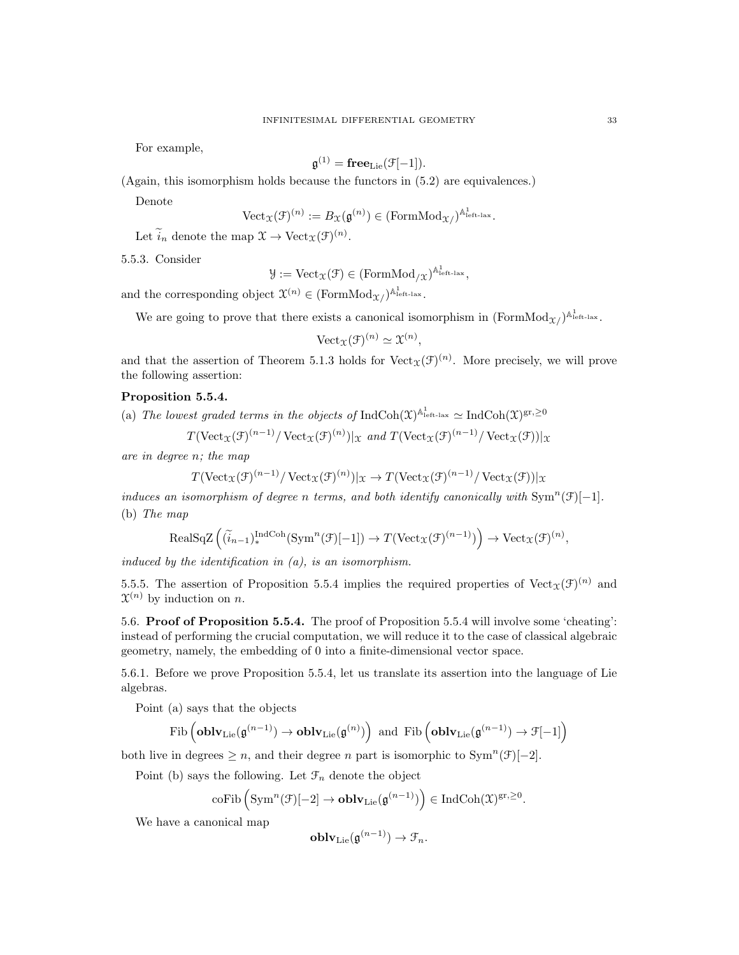For example,

$$
\mathfrak{g}^{(1)} = \mathbf{free}_{\mathrm{Lie}}(\mathfrak{F}[-1]).
$$

(Again, this isomorphism holds because the functors in (5.2) are equivalences.)

Denote

$$
\text{Vect}_{\mathfrak{X}}(\mathfrak{F})^{(n)} := B_{\mathfrak{X}}(\mathfrak{g}^{(n)}) \in (\text{FormMod}_{\mathfrak{X}})^{\mathbb{A}^1_{\text{left-lax}}}.
$$

Let  $\widetilde{i}_n$  denote the map  $\mathfrak{X} \to \mathrm{Vect}_{\mathfrak{X}}(\mathfrak{F})^{(n)}$ .

5.5.3. Consider

$$
\mathcal{Y} := \mathrm{Vect}_{\mathfrak{X}}(\mathcal{F}) \in (\mathrm{FormMod}_{/\mathfrak{X}})^{\mathbb{A}^1_{\mathrm{left\ -\mathbf{law}}}},
$$

and the corresponding object  $\mathfrak{X}^{(n)} \in (\text{FormMod}_{\mathfrak{X}/})^{\mathbb{A}^1_{\text{left-lax}}}.$ 

We are going to prove that there exists a canonical isomorphism in  $(\text{FormMod}_{\mathcal{X}})^{\mathbb{A}^1_{\text{left-lax}}}.$ 

$$
\text{Vect}_{\mathfrak{X}}(\mathfrak{F})^{(n)} \simeq \mathfrak{X}^{(n)},
$$

and that the assertion of Theorem 5.1.3 holds for  $Vect_{\mathfrak{X}}(\mathfrak{F})^{(n)}$ . More precisely, we will prove the following assertion:

## Proposition 5.5.4.

(a) The lowest graded terms in the objects of  $\text{IndCoh}(\mathfrak{X})^{\mathbb{A}^1_{\text{left-lax}}} \simeq \text{IndCoh}(\mathfrak{X})^{\text{gr},\geq 0}$ 

$$
T(\text{Vect}_{\mathfrak{X}}(\mathfrak{F})^{(n-1)}/\text{Vect}_{\mathfrak{X}}(\mathfrak{F})^{(n)})|_{\mathfrak{X}}
$$
 and  $T(\text{Vect}_{\mathfrak{X}}(\mathfrak{F})^{(n-1)}/\text{Vect}_{\mathfrak{X}}(\mathfrak{F}))|_{\mathfrak{X}}$ 

are in degree n; the map

$$
T(\mathrm{Vect}_{\mathfrak{X}}(\mathfrak{F})^{(n-1)}/\mathrm{Vect}_{\mathfrak{X}}(\mathfrak{F})^{(n)})|_{\mathfrak{X}} \to T(\mathrm{Vect}_{\mathfrak{X}}(\mathfrak{F})^{(n-1)}/\mathrm{Vect}_{\mathfrak{X}}(\mathfrak{F}))|_{\mathfrak{X}}
$$

induces an isomorphism of degree n terms, and both identify canonically with  $\text{Sym}^n(\mathcal{F})[-1]$ . (b) The map

$$
\text{RealSqZ}\left(\left(\widetilde{i}_{n-1}\right)_*^{\text{IndCoh}}(\text{Sym}^n(\mathcal{F})[-1]) \to T(\text{Vect}_{\mathfrak{X}}(\mathcal{F})^{(n-1)})\right) \to \text{Vect}_{\mathfrak{X}}(\mathcal{F})^{(n)},
$$

induced by the identification in  $(a)$ , is an isomorphism.

5.5.5. The assertion of Proposition 5.5.4 implies the required properties of  $Vect_{\mathfrak{X}}(\mathfrak{F})^{(n)}$  and  $\mathfrak{X}^{(n)}$  by induction on n.

5.6. Proof of Proposition 5.5.4. The proof of Proposition 5.5.4 will involve some 'cheating': instead of performing the crucial computation, we will reduce it to the case of classical algebraic geometry, namely, the embedding of 0 into a finite-dimensional vector space.

5.6.1. Before we prove Proposition 5.5.4, let us translate its assertion into the language of Lie algebras.

Point (a) says that the objects

$$
\mathrm{Fib}\left(\mathbf{oblv}_\mathrm{Lie}(\mathfrak{g}^{(n-1)})\to\mathbf{oblv}_\mathrm{Lie}(\mathfrak{g}^{(n)})\right) \text{ and } \mathrm{Fib}\left(\mathbf{oblv}_\mathrm{Lie}(\mathfrak{g}^{(n-1)})\to \mathfrak{F}[-1]\right)
$$

both live in degrees  $\geq n$ , and their degree n part is isomorphic to Sym<sup>n</sup>(F)[-2].

Point (b) says the following. Let  $\mathcal{F}_n$  denote the object

$$
\mathrm{coFib}\left(\mathrm{Sym}^n(\mathcal{F})[-2]\rightarrow\mathbf{oblv}_\mathrm{Lie}\big(\mathfrak{g}^{(n-1)}\big)\right)\in\mathrm{IndCoh}(\mathfrak{X})^{\mathrm{gr},\geq 0}.
$$

We have a canonical map

$$
\mathbf{oblv}_{\mathrm{Lie}}(\mathfrak{g}^{(n-1)}) \to \mathfrak{F}_n.
$$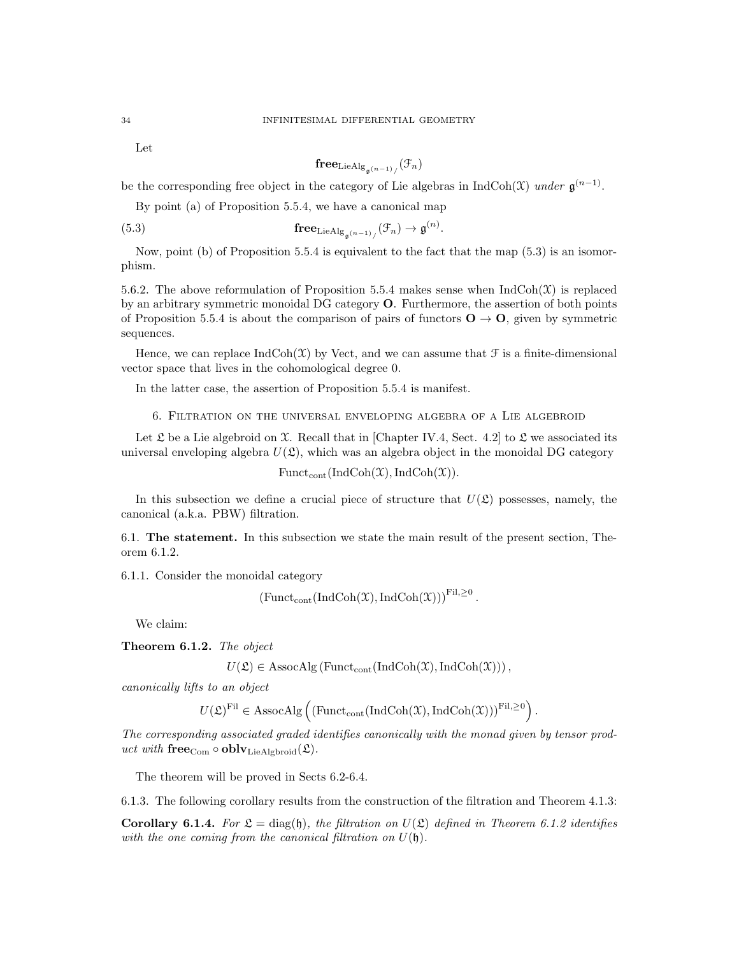Let

$$
\mathbf{free}_{\mathrm{LieAlg}_{\mathfrak{g}(n-1)}/}(\mathfrak{F}_n)
$$

be the corresponding free object in the category of Lie algebras in IndCoh( $\mathfrak{X}$ ) under  $\mathfrak{g}^{(n-1)}$ .

By point (a) of Proposition 5.5.4, we have a canonical map

(5.3) 
$$
\mathbf{free}_{\mathrm{LieAlg}_{\mathfrak{g}^{(n-1)}/}}(\mathcal{F}_n) \to \mathfrak{g}^{(n)}.
$$

Now, point (b) of Proposition 5.5.4 is equivalent to the fact that the map (5.3) is an isomorphism.

5.6.2. The above reformulation of Proposition 5.5.4 makes sense when  $IndCoh(\mathcal{X})$  is replaced by an arbitrary symmetric monoidal DG category O. Furthermore, the assertion of both points of Proposition 5.5.4 is about the comparison of pairs of functors  $\mathbf{O} \to \mathbf{O}$ , given by symmetric sequences.

Hence, we can replace  $\text{IndCoh}(\mathfrak{X})$  by Vect, and we can assume that  $\mathfrak{F}$  is a finite-dimensional vector space that lives in the cohomological degree 0.

In the latter case, the assertion of Proposition 5.5.4 is manifest.

6. Filtration on the universal enveloping algebra of a Lie algebroid

Let  $\mathfrak L$  be a Lie algebroid on X. Recall that in [Chapter IV.4, Sect. 4.2] to  $\mathfrak L$  we associated its universal enveloping algebra  $U(\mathfrak{L})$ , which was an algebra object in the monoidal DG category

 $\text{Funct}_{\text{cont}}(\text{IndCoh}(\mathfrak{X}),\text{IndCoh}(\mathfrak{X})).$ 

In this subsection we define a crucial piece of structure that  $U(\mathfrak{L})$  possesses, namely, the canonical (a.k.a. PBW) filtration.

6.1. The statement. In this subsection we state the main result of the present section, Theorem 6.1.2.

6.1.1. Consider the monoidal category

$$
\left(\mathrm{Funct}_{\mathrm{cont}}(\mathrm{Ind}\mathrm{Coh}(\mathfrak{X}),\mathrm{Ind}\mathrm{Coh}(\mathfrak{X}))\right)^{\mathrm{Fil},\geq 0}.
$$

We claim:

Theorem 6.1.2. The object

 $U(\mathfrak{L}) \in \text{AssocAlg}(\text{Funct}_{\text{cont}}(\text{IndCoh}(\mathfrak{X}),\text{IndCoh}(\mathfrak{X}))),$ 

canonically lifts to an object

 $U(\mathfrak{L})^{\mathrm{Fil}} \in \mathrm{AssocAlg}\left(\left(\mathrm{Funct}_{\mathrm{cont}}(\mathrm{IndCoh}(\mathfrak{X}),\mathrm{IndCoh}(\mathfrak{X}))\right)^{\mathrm{Fil},\geq 0}\right).$ 

The corresponding associated graded identifies canonically with the monad given by tensor product with  ${\bf free}_{Com} \circ {\bf oblv}_{\rm LieAlgbroid}(\mathfrak{L}).$ 

The theorem will be proved in Sects 6.2-6.4.

6.1.3. The following corollary results from the construction of the filtration and Theorem 4.1.3:

**Corollary 6.1.4.** For  $\mathfrak{L} = \text{diag}(\mathfrak{h})$ , the filtration on  $U(\mathfrak{L})$  defined in Theorem 6.1.2 identifies with the one coming from the canonical filtration on  $U(\mathfrak{h})$ .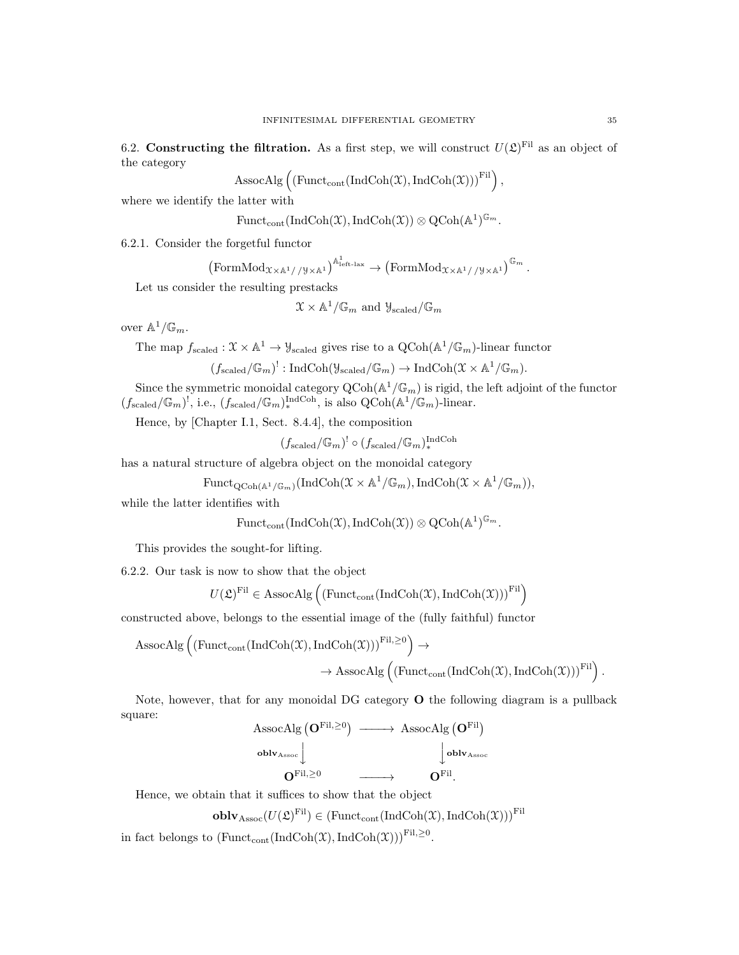6.2. Constructing the filtration. As a first step, we will construct  $U(\mathfrak{L})^{\text{Fil}}$  as an object of the category

$$
\mathrm{AssocAlg}\left(\left(\mathrm{Funct}_{\mathrm{cont}}(\mathrm{IndCoh}(\mathfrak{X}),\mathrm{IndCoh}(\mathfrak{X}))\right)^{\mathrm{Fil}}\right),
$$

where we identify the latter with

$$
\mathrm{Funct}_{\mathrm{cont}}(\mathrm{Ind}\mathrm{Coh}(\mathfrak{X}),\mathrm{Ind}\mathrm{Coh}(\mathfrak{X}))\otimes \mathrm{QCoh}(\mathbb{A}^{1})^{\mathbb{G}_{m}}.
$$

6.2.1. Consider the forgetful functor

$$
\left(\mathrm{FormMod}_{\mathfrak{X}\times\mathbb{A}^1//\mathfrak{y}\times\mathbb{A}^1}\right)^{\mathbb{A}^1_{\mathrm{left-lax}}}\to \left(\mathrm{FormMod}_{\mathfrak{X}\times\mathbb{A}^1//\mathfrak{y}\times\mathbb{A}^1}\right)^{\mathbb{G}_m}.
$$

Let us consider the resulting prestacks

$$
\mathfrak{X} \times \mathbb{A}^1/\mathbb{G}_m
$$
 and  $\mathfrak{Y}_{\text{scaled}}/\mathbb{G}_m$ 

over  $\mathbb{A}^1/\mathbb{G}_m$ .

The map  $f_{\text{scaled}} : \mathfrak{X} \times \mathbb{A}^1 \to \mathcal{Y}_{\text{scaled}}$  gives rise to a  $\text{QCoh}(\mathbb{A}^1/\mathbb{G}_m)$ -linear functor

$$
(f_{\text{scaled}}/\mathbb{G}_m)^!: \text{IndCoh}(\mathcal{Y}_{\text{scaled}}/\mathbb{G}_m) \to \text{IndCoh}(\mathcal{X} \times \mathbb{A}^1/\mathbb{G}_m).
$$

Since the symmetric monoidal category  $\text{QCoh}(\mathbb{A}^1/\mathbb{G}_m)$  is rigid, the left adjoint of the functor  $(f_{\text{scaled}}/\mathbb{G}_m)^!$ , i.e.,  $(f_{\text{scaled}}/\mathbb{G}_m)^{\text{IndCoh}}$ , is also  $\text{QCoh}(\mathbb{A}^1/\mathbb{G}_m)$ -linear.

Hence, by [Chapter I.1, Sect. 8.4.4], the composition

$$
(f_{\text{scaled}}/\mathbb{G}_m)^! \circ (f_{\text{scaled}}/\mathbb{G}_m)^{\text{IndCoh}}_*
$$

has a natural structure of algebra object on the monoidal category

$$
\mathrm{Funct}_{\mathrm{QCoh}(\mathbb{A}^1/\mathbb{G}_m)}(\mathrm{IndCoh}(\mathfrak{X}\times\mathbb{A}^1/\mathbb{G}_m),\mathrm{IndCoh}(\mathfrak{X}\times\mathbb{A}^1/\mathbb{G}_m)),
$$

while the latter identifies with

$$
\mathrm{Funct}_{\mathrm{cont}}(\mathrm{Ind}\mathrm{Coh}(\mathfrak{X}),\mathrm{Ind}\mathrm{Coh}(\mathfrak{X}))\otimes \mathrm{QCoh}(\mathbb{A}^{1})^{\mathbb{G}_{m}}.
$$

This provides the sought-for lifting.

6.2.2. Our task is now to show that the object

$$
U(\mathfrak{L})^{\mathrm{Fil}} \in \mathrm{AssocAlg}\left(\left(\mathrm{Funct}_{\mathrm{cont}}(\mathrm{IndCoh}(\mathfrak{X}),\mathrm{IndCoh}(\mathfrak{X}))\right)^{\mathrm{Fil}}\right)
$$

constructed above, belongs to the essential image of the (fully faithful) functor

$$
\begin{aligned} \mathrm{AssocAlg}\left(\left(\mathrm{Funct}_{\mathrm{cont}}(\mathrm{IndCoh}(\mathfrak{X}),\mathrm{IndCoh}(\mathfrak{X}))\right)^{\mathrm{Fil},\geq 0}\right) &\to \\ &\to \mathrm{AssocAlg}\left(\left(\mathrm{Funct}_{\mathrm{cont}}(\mathrm{IndCoh}(\mathfrak{X}),\mathrm{IndCoh}(\mathfrak{X}))\right)^{\mathrm{Fil}}\right). \end{aligned}
$$

Note, however, that for any monoidal DG category O the following diagram is a pullback square:  $\mathbf{U} = \mathbf{V} \approx \mathbf{E}$ 

$$
\begin{array}{ccc}\n\text{AssocAlg} \left( \mathbf{O}^{\mathrm{Fil},\geq 0} \right) & \longrightarrow & \text{AssocAlg} \left( \mathbf{O}^{\mathrm{Fil}} \right) \\
& \text{oblv}_{\text{Assoc}} & \downarrow & \downarrow & \text{oblv}_{\text{Assoc}} \\
& \mathbf{O}^{\mathrm{Fil},\geq 0} & \longrightarrow & \mathbf{O}^{\mathrm{Fil}}.\n\end{array}
$$

Hence, we obtain that it suffices to show that the object

$$
\mathbf{oblv}_{\mathrm{Assoc}}(U(\mathfrak{L})^{\mathrm{Fil}}) \in (\mathrm{Funct}_{\mathrm{cont}}(\mathrm{IndCoh}(\mathfrak{X}), \mathrm{IndCoh}(\mathfrak{X})))^{\mathrm{Fil}}
$$

in fact belongs to  $(\text{Funct}_{\text{cont}}(\text{IndCoh}(\mathfrak{X}),\text{IndCoh}(\mathfrak{X})))^{\text{Fil},\geq 0}$ .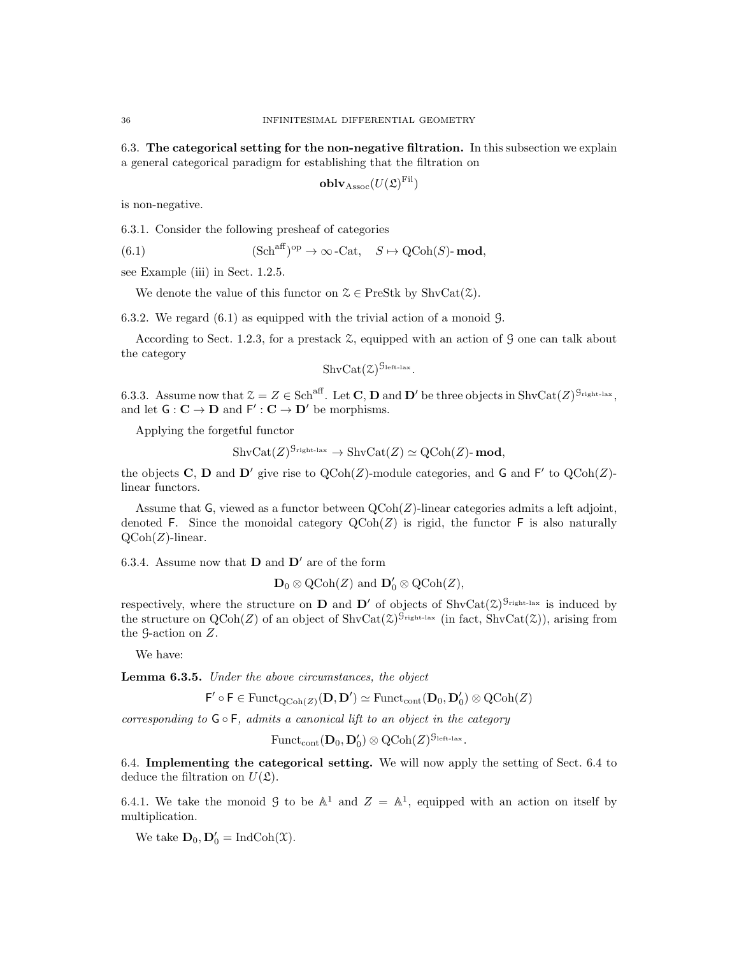6.3. The categorical setting for the non-negative filtration. In this subsection we explain a general categorical paradigm for establishing that the filtration on

$$
\mathbf{oblv}_{\mathrm{Assoc}}(U(\mathfrak{L})^\mathrm{Fil})
$$

is non-negative.

6.3.1. Consider the following presheaf of categories

(6.1) 
$$
(\text{Sch}^{\text{aff}})^{\text{op}} \to \infty \text{-Cat}, \quad S \mapsto \text{QCoh}(S) \text{-}\text{mod},
$$

see Example (iii) in Sect. 1.2.5.

We denote the value of this functor on  $\mathcal{Z} \in \text{PreStk}$  by  $\text{ShvCat}(\mathcal{Z})$ .

6.3.2. We regard (6.1) as equipped with the trivial action of a monoid G.

According to Sect. 1.2.3, for a prestack Z, equipped with an action of G one can talk about the category

$$
\mathrm{ShvCat}(\mathfrak{Z})^{\mathfrak{G}_{\mathrm{left-lax}}}.
$$

6.3.3. Assume now that  $\mathcal{Z} = Z \in \text{Sch}^{\text{aff}}$ . Let **C**, **D** and **D'** be three objects in  $\text{ShvCat}(Z)^{\mathcal{G}_{\text{right-lax}}},$ and let  $G: \mathbf{C} \to \mathbf{D}$  and  $F': \mathbf{C} \to \mathbf{D}'$  be morphisms.

Applying the forgetful functor

$$
\mathrm{ShvCat}(Z)^{\mathcal{G}_{\mathrm{right-lax}}}\to\mathrm{ShvCat}(Z)\simeq\mathrm{QCoh}(Z)\text{-}\mathbf{mod},
$$

the objects C, D and D' give rise to  $\text{QCoh}(Z)$ -module categories, and G and F' to  $\text{QCoh}(Z)$ linear functors.

Assume that  $G$ , viewed as a functor between  $QCoh(Z)$ -linear categories admits a left adjoint, denoted F. Since the monoidal category  $\mathrm{QCoh}(Z)$  is rigid, the functor F is also naturally  $Q\text{Coh}(Z)$ -linear.

6.3.4. Assume now that  $\bf{D}$  and  $\bf{D}'$  are of the form

 $\mathbf{D}_0 \otimes \mathrm{QCoh}(Z)$  and  $\mathbf{D}'_0 \otimes \mathrm{QCoh}(Z)$ ,

respectively, where the structure on **D** and **D'** of objects of  $\text{ShvCat}(\mathcal{Z})^{\mathcal{G}_{\text{right-law}}}$  is induced by the structure on  $QCoh(Z)$  of an object of  $ShvCat(\mathcal{Z})^{G_{\text{right-lax}}}$  (in fact,  $ShvCat(\mathcal{Z})$ ), arising from the G-action on Z.

We have:

Lemma 6.3.5. Under the above circumstances, the object

 $\mathsf{F}' \circ \mathsf{F} \in \mathrm{Funct}_{\mathrm{QCoh}(Z)}(\mathbf{D}, \mathbf{D}') \simeq \mathrm{Funct}_{\mathrm{cont}}(\mathbf{D}_0, \mathbf{D}'_0) \otimes \mathrm{QCoh}(Z)$ 

corresponding to  $\mathsf{G} \circ \mathsf{F}$ , admits a canonical lift to an object in the category

$$
\mathrm{Funct}_{\mathrm{cont}}(\mathbf{D}_0,\mathbf{D}'_0)\otimes \mathrm{QCoh}(Z)^{\mathcal{G}_{\mathrm{left-lax}}}.
$$

6.4. Implementing the categorical setting. We will now apply the setting of Sect. 6.4 to deduce the filtration on  $U(\mathfrak{L})$ .

6.4.1. We take the monoid  $\mathcal{G}$  to be  $\mathbb{A}^1$  and  $\mathcal{Z} = \mathbb{A}^1$ , equipped with an action on itself by multiplication.

We take  $\mathbf{D}_0$ ,  $\mathbf{D}'_0 = \text{IndCoh}(\mathcal{X})$ .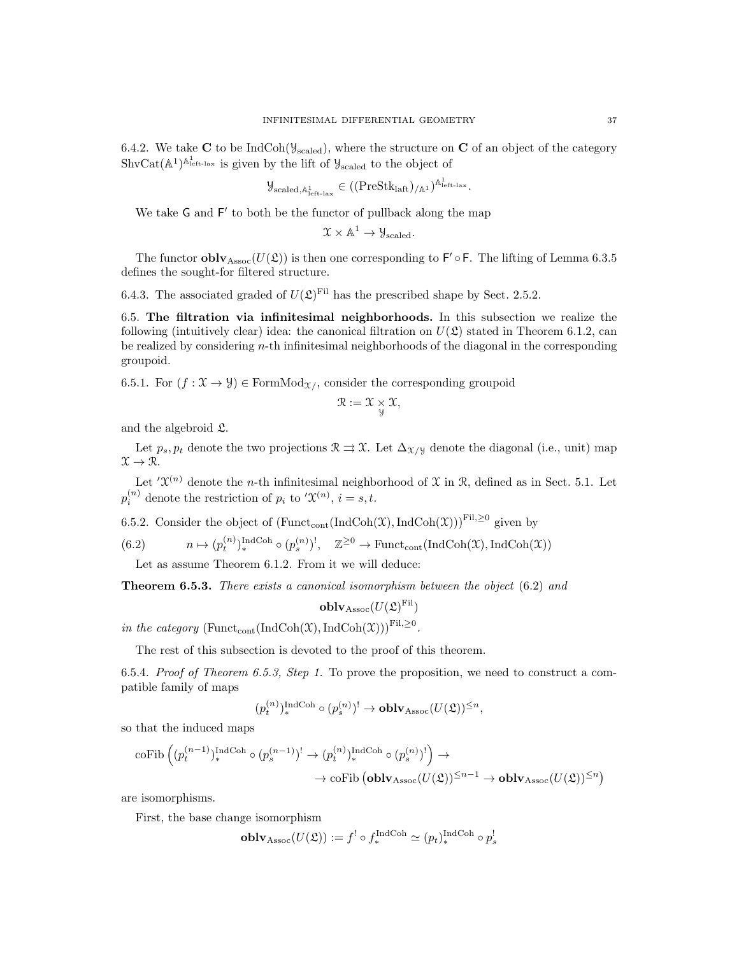6.4.2. We take C to be IndCoh( $y_{\text{scaled}}$ ), where the structure on C of an object of the category  $\text{ShvCat}(\mathbb{A}^1)^{\mathbb{A}^1_{\text{left-law}}}$  is given by the lift of  $\mathcal{Y}_{\text{scaled}}$  to the object of

$$
\mathcal{Y}_{\text{scaled},\mathbb{A}^1_{\text{left-law}}} \in ((\text{PreStk}_{\text{laff}})_{/\mathbb{A}^1})^{\mathbb{A}^1_{\text{left-law}}}.
$$

We take G and F' to both be the functor of pullback along the map

$$
\mathfrak{X} \times \mathbb{A}^1 \to \mathcal{Y}_{\text{scaled}}.
$$

The functor  $\textbf{oblv}_{\text{Assoc}}(U(\mathfrak{L}))$  is then one corresponding to  $\mathsf{F}' \circ \mathsf{F}$ . The lifting of Lemma 6.3.5 defines the sought-for filtered structure.

6.4.3. The associated graded of  $U(\mathfrak{L})^{\text{Fil}}$  has the prescribed shape by Sect. 2.5.2.

6.5. The filtration via infinitesimal neighborhoods. In this subsection we realize the following (intuitively clear) idea: the canonical filtration on  $U(\mathfrak{L})$  stated in Theorem 6.1.2, can be realized by considering  $n$ -th infinitesimal neighborhoods of the diagonal in the corresponding groupoid.

6.5.1. For  $(f : \mathfrak{X} \to \mathcal{Y}) \in \mathrm{FormMod}_{\mathfrak{X}/\mathfrak{X}}$  consider the corresponding groupoid

$$
\mathcal{R} := \mathcal{X} \underset{\mathcal{Y}}{\times} \mathcal{X},
$$

and the algebroid L.

Let  $p_s, p_t$  denote the two projections  $\mathcal{R} \rightrightarrows \mathcal{X}$ . Let  $\Delta_{\mathcal{X}/\mathcal{Y}}$  denote the diagonal (i.e., unit) map  $\mathfrak{X} \to \mathfrak{R}.$ 

Let  $\mathcal{X}^{(n)}$  denote the *n*-th infinitesimal neighborhood of  $\mathcal{X}$  in  $\mathcal{R}$ , defined as in Sect. 5.1. Let  $p_i^{(n)}$  denote the restriction of  $p_i$  to ' $\mathfrak{X}^{(n)}$ ,  $i = s, t$ .

6.5.2. Consider the object of  $(\text{Funct}_{cont}(\text{IndCoh}(\mathfrak{X}),\text{IndCoh}(\mathfrak{X})))^{\text{Fil},\geq 0}$  given by

(6.2) 
$$
n \mapsto (p_t^{(n)})_*^{\text{IndCoh}} \circ (p_s^{(n)})^!, \quad \mathbb{Z}^{\geq 0} \to \text{Funct}_{\text{cont}}(\text{IndCoh}(\mathfrak{X}), \text{IndCoh}(\mathfrak{X}))
$$

Let as assume Theorem 6.1.2. From it we will deduce:

**Theorem 6.5.3.** There exists a canonical isomorphism between the object (6.2) and

$$
\operatorname{\textbf{oblv}}_{\mathrm{Assoc}}(U(\mathfrak{L})^\mathrm{Fil})
$$

in the category (Funct<sub>cont</sub>(IndCoh(X),IndCoh(X)))<sup>Fil, $\geq$ <sup>0</sup>.</sup>

The rest of this subsection is devoted to the proof of this theorem.

6.5.4. Proof of Theorem 6.5.3, Step 1. To prove the proposition, we need to construct a compatible family of maps

$$
(p_t^{(n)})_*^{\operatorname{IndCoh}} \circ (p_s^{(n)})^! \to \operatorname{\mathbf{oblv}}_{\operatorname{Assoc}}(U(\mathfrak{L}))^{\leq n},
$$

so that the induced maps

$$
\begin{aligned} \mathrm{coFib}\left((p_t^{(n-1)})_\ast^{\mathrm{IndCoh}} \circ (p_s^{(n-1)})^! \to (p_t^{(n)})_\ast^{\mathrm{IndCoh}} \circ (p_s^{(n)})^! \right) &\to \\ &\to \mathrm{coFib}\left(\mathbf{oblv}_{\mathrm{Assoc}}(U(\mathfrak{L}))^{\leq n-1} \to \mathbf{oblv}_{\mathrm{Assoc}}(U(\mathfrak{L}))^{\leq n} \right) \end{aligned}
$$

are isomorphisms.

First, the base change isomorphism

$$
\mathbf{oblv}_{\mathrm{Assoc}}(U(\mathfrak{L})) := f^! \circ f^{\mathrm{IndCoh}}_* \simeq (p_t)^{\mathrm{IndCoh}}_* \circ p^!_s
$$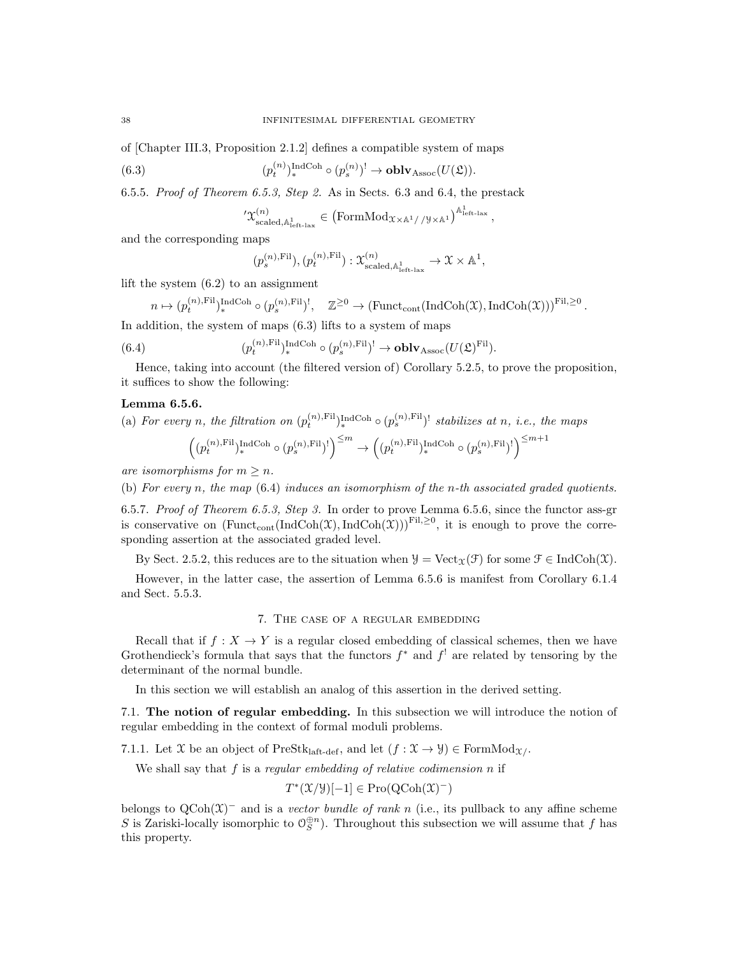of [Chapter III.3, Proposition 2.1.2] defines a compatible system of maps

 $(6.3)$  $\mathcal{L}_t^{(n)}\big)_*^{\operatorname{IndCoh}} \circ (p_s^{(n)})^! \to \mathbf{oblv}_{\operatorname{Assoc}}(U(\mathfrak{L})).$ 

6.5.5. Proof of Theorem 6.5.3, Step 2. As in Sects. 6.3 and 6.4, the prestack

$$
'\mathfrak{X}^{(n)}_{\rm scaled, \mathbb{A}^1_{\rm left\text{-}lax}} \in \left(\text{FormMod}_{\mathfrak{X}\times\mathbb{A}^1//\mathfrak{Y}\times\mathbb{A}^1}\right)^{\mathbb{A}^1_{\rm left\text{-}lax}},
$$

and the corresponding maps

$$
(p_s^{(n),\mathrm{Fil}}), (p_t^{(n),\mathrm{Fil}}): \mathfrak{X}_{\text{scaled},\mathbb{A}_{\text{left-law}}^1}^{(n)} \to \mathfrak{X} \times \mathbb{A}^1,
$$

lift the system (6.2) to an assignment

$$
n \mapsto (p_t^{(n),\mathrm{Fil}})_*^{\mathrm{IndCoh}} \circ (p_s^{(n),\mathrm{Fil}})^!, \quad \mathbb{Z}^{\geq 0} \to (\mathrm{Funct}_{\mathrm{cont}}(\mathrm{IndCoh}(\mathfrak{X}),\mathrm{IndCoh}(\mathfrak{X})))^{\mathrm{Fil},\geq 0}.
$$

In addition, the system of maps (6.3) lifts to a system of maps

(6.4) 
$$
(p_t^{(n),\mathrm{Fil}})_*^{\mathrm{IndCoh}} \circ (p_s^{(n),\mathrm{Fil}})^! \to \mathbf{oblv}_{\mathrm{Assoc}}(U(\mathfrak{L})^{\mathrm{Fil}}).
$$

Hence, taking into account (the filtered version of) Corollary 5.2.5, to prove the proposition, it suffices to show the following:

#### Lemma 6.5.6.

(a) For every n, the filtration on 
$$
(p_t^{(n),\text{Fil}})_*^{\text{IndCoh}} \circ (p_s^{(n),\text{Fil}})^!
$$
 stabilizes at n, i.e., the maps  $\left( (p_t^{(n),\text{Fil}})_*^{\text{IndCoh}} \circ (p_s^{(n),\text{Fil}})^! \right)^{\leq m} \to \left( (p_t^{(n),\text{Fil}})_*^{\text{IndCoh}} \circ (p_s^{(n),\text{Fil}})^! \right)^{\leq m+1}$ 

are isomorphisms for  $m \geq n$ .

(b) For every n, the map  $(6.4)$  induces an isomorphism of the n-th associated graded quotients.

6.5.7. Proof of Theorem 6.5.3, Step 3. In order to prove Lemma 6.5.6, since the functor ass-gr is conservative on  $(\text{Funct}_{\text{cont}}(\text{IndCoh}(\mathfrak{X}),\text{IndCoh}(\mathfrak{X})))^{\text{Fil},\geq0}$ , it is enough to prove the corresponding assertion at the associated graded level.

By Sect. 2.5.2, this reduces are to the situation when  $\mathcal{Y} = \text{Vect}_{\mathcal{X}}(\mathcal{F})$  for some  $\mathcal{F} \in \text{IndCoh}(\mathcal{X})$ .

However, in the latter case, the assertion of Lemma 6.5.6 is manifest from Corollary 6.1.4 and Sect. 5.5.3.

## 7. The case of a regular embedding

Recall that if  $f : X \to Y$  is a regular closed embedding of classical schemes, then we have Grothendieck's formula that says that the functors  $f^*$  and  $f^!$  are related by tensoring by the determinant of the normal bundle.

In this section we will establish an analog of this assertion in the derived setting.

7.1. The notion of regular embedding. In this subsection we will introduce the notion of regular embedding in the context of formal moduli problems.

7.1.1. Let X be an object of PreStk<sub>laft-def</sub>, and let  $(f : \mathfrak{X} \to \mathcal{Y}) \in \mathrm{FormMod}_{\mathfrak{X}}$ .

We shall say that  $f$  is a regular embedding of relative codimension  $n$  if

$$
T^*(\mathfrak{X}/\mathfrak{Y})[-1] \in \mathrm{Pro}(\mathrm{QCoh}(\mathfrak{X})^-)
$$

belongs to  $QCoh(\mathfrak{X})^-$  and is a vector bundle of rank n (i.e., its pullback to any affine scheme S is Zariski-locally isomorphic to  $\mathcal{O}_S^{\oplus n}$ . Throughout this subsection we will assume that f has this property.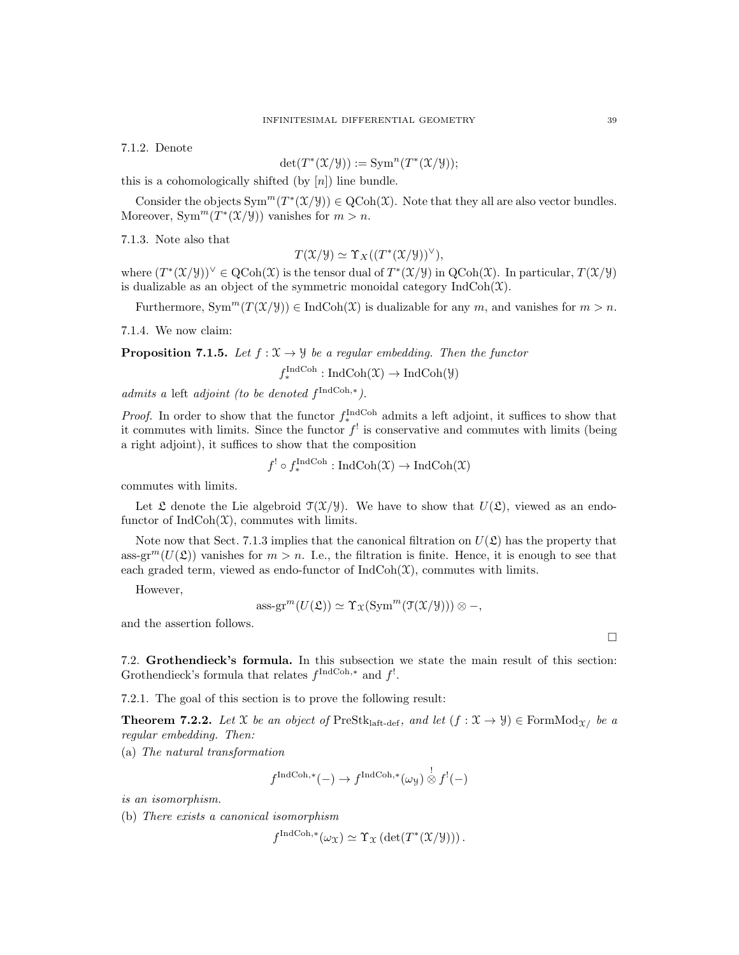7.1.2. Denote

$$
\det(T^*(\mathfrak{X}/\mathcal{Y})) := \operatorname{Sym}^n(T^*(\mathfrak{X}/\mathcal{Y}));
$$

this is a cohomologically shifted (by  $[n]$ ) line bundle.

Consider the objects  $Sym^m(T^*(\mathcal{X}/\mathcal{Y})) \in \mathrm{QCoh}(\mathcal{X})$ . Note that they all are also vector bundles. Moreover,  $Sym^m(T^*(\mathfrak{X}/\mathcal{Y}))$  vanishes for  $m > n$ .

7.1.3. Note also that

$$
T(\mathfrak{X}/\mathfrak{Y}) \simeq \Upsilon_X((T^*(\mathfrak{X}/\mathfrak{Y}))^{\vee}),
$$

where  $(T^*(\mathfrak{X}/\mathfrak{Y}))^{\vee} \in \mathrm{QCoh}(\mathfrak{X})$  is the tensor dual of  $T^*(\mathfrak{X}/\mathfrak{Y})$  in  $\mathrm{QCoh}(\mathfrak{X})$ . In particular,  $T(\mathfrak{X}/\mathfrak{Y})$ is dualizable as an object of the symmetric monoidal category  $\text{IndCoh}(\mathfrak{X})$ .

Furthermore,  $Sym^m(T(\mathcal{X}/\mathcal{Y})) \in \text{IndCoh}(\mathcal{X})$  is dualizable for any m, and vanishes for  $m > n$ .

7.1.4. We now claim:

**Proposition 7.1.5.** Let  $f : \mathfrak{X} \to \mathcal{Y}$  be a regular embedding. Then the functor

 $f_*^{\text{IndCoh}}: \text{IndCoh}(\mathfrak{X}) \to \text{IndCoh}(\mathcal{Y})$ 

admits a left adjoint (to be denoted  $f^{\text{IndCoh},*}$ ).

*Proof.* In order to show that the functor  $f_*^{\text{IndCoh}}$  admits a left adjoint, it suffices to show that it commutes with limits. Since the functor  $f^!$  is conservative and commutes with limits (being a right adjoint), it suffices to show that the composition

$$
f' \circ f_*^{\text{IndCoh}} : \text{IndCoh}(\mathfrak{X}) \to \text{IndCoh}(\mathfrak{X})
$$

commutes with limits.

Let  $\mathfrak L$  denote the Lie algebroid  $\mathfrak T(\mathfrak X/\mathfrak Y)$ . We have to show that  $U(\mathfrak L)$ , viewed as an endofunctor of  $IndCoh(\mathfrak{X})$ , commutes with limits.

Note now that Sect. 7.1.3 implies that the canonical filtration on  $U(\mathfrak{L})$  has the property that ass-gr<sup>m</sup>( $U(\mathfrak{L})$ ) vanishes for  $m > n$ . I.e., the filtration is finite. Hence, it is enough to see that each graded term, viewed as endo-functor of  $IndCoh(\mathfrak{X})$ , commutes with limits.

However,

$$
\operatorname{ass-gr}^m(U(\mathfrak{L})) \simeq \Upsilon_{\mathfrak{X}}(\operatorname{Sym}^m(\mathfrak{T}(\mathfrak{X}/\mathcal{Y}))) \otimes -,
$$

and the assertion follows.

7.2. Grothendieck's formula. In this subsection we state the main result of this section: Grothendieck's formula that relates  $f^{\text{IndCoh},*}$  and  $f^!$ .

7.2.1. The goal of this section is to prove the following result:

**Theorem 7.2.2.** Let X be an object of PreStklatt-def, and let  $(f : \mathcal{X} \to \mathcal{Y}) \in \text{FormMod}_{\mathcal{X}}$  be a regular embedding. Then:

(a) The natural transformation

$$
f^{\text{IndCoh},*}(-) \to f^{\text{IndCoh},*}(\omega_{\mathcal{Y}}) \overset{!}{\otimes} f^{!}(-)
$$

is an isomorphism.

(b) There exists a canonical isomorphism

$$
f^{\text{IndCoh},*}(\omega_{\mathfrak{X}}) \simeq \Upsilon_{\mathfrak{X}}(\det(T^*(\mathfrak{X}/\mathcal{Y}))).
$$

 $\Box$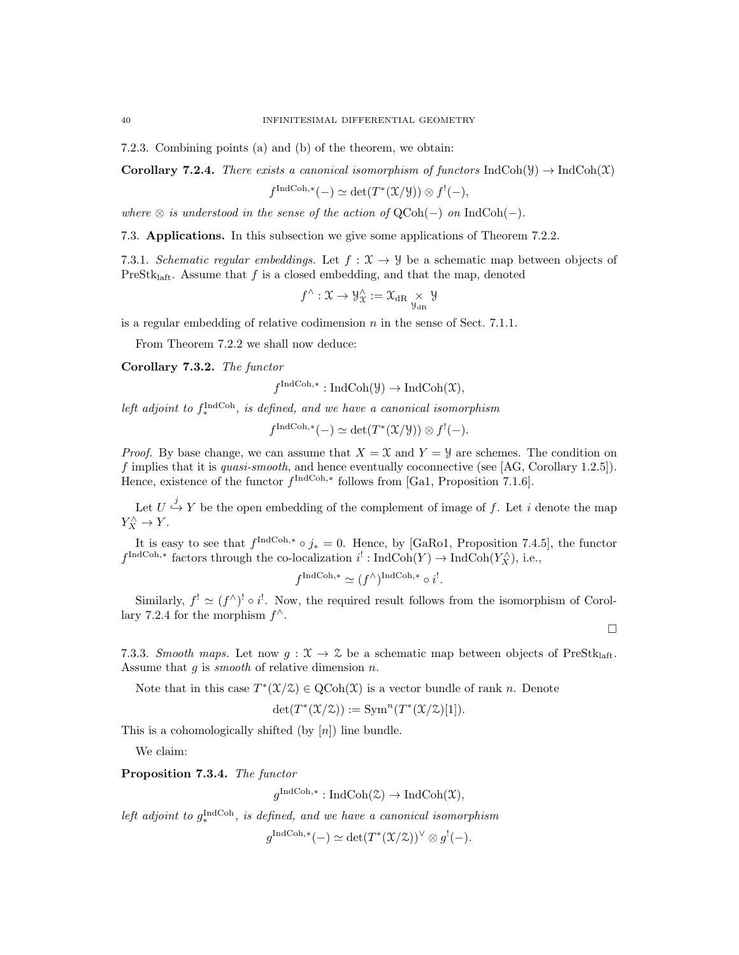7.2.3. Combining points (a) and (b) of the theorem, we obtain:

**Corollary 7.2.4.** There exists a canonical isomorphism of functors IndCoh( $\mathcal{Y}$ )  $\rightarrow$  IndCoh( $\mathcal{X}$ )

$$
f^{\text{IndCoh},*}(-) \simeq \det(T^*(\mathfrak{X}/\mathfrak{Y})) \otimes f^!(-),
$$

where  $\otimes$  is understood in the sense of the action of QCoh(-) on IndCoh(-).

7.3. Applications. In this subsection we give some applications of Theorem 7.2.2.

7.3.1. Schematic regular embeddings. Let  $f: \mathcal{X} \to \mathcal{Y}$  be a schematic map between objects of PreSt $k_{\text{laff}}$ . Assume that f is a closed embedding, and that the map, denoted

$$
f^{\wedge} : \mathfrak{X} \to \mathcal{Y}_{\mathfrak{X}}^{\wedge} := \mathfrak{X}_{\mathrm{dR}} \underset{\mathcal{Y}_{\mathrm{dR}}}{\times} \mathcal{Y}
$$

is a regular embedding of relative codimension  $n$  in the sense of Sect. 7.1.1.

From Theorem 7.2.2 we shall now deduce:

Corollary 7.3.2. The functor

$$
f^{\text{IndCoh},*}: \text{IndCoh}(\mathcal{Y}) \to \text{IndCoh}(\mathcal{X}),
$$

left adjoint to  $f_*^{\text{IndCoh}}$ , is defined, and we have a canonical isomorphism

$$
f^{\text{IndCoh},*}(-) \simeq \det(T^*(\mathfrak{X}/\mathfrak{Y})) \otimes f^!(-).
$$

*Proof.* By base change, we can assume that  $X = \mathcal{X}$  and  $Y = \mathcal{Y}$  are schemes. The condition on f implies that it is quasi-smooth, and hence eventually coconnective (see [AG, Corollary 1.2.5]). Hence, existence of the functor  $f^{\text{IndCoh},*}$  follows from [Ga1, Proposition 7.1.6].

Let  $U \stackrel{j}{\hookrightarrow} Y$  be the open embedding of the complement of image of f. Let i denote the map  $Y_X^{\wedge} \to Y.$ 

It is easy to see that  $f^{\text{IndCoh},*} \circ j_* = 0$ . Hence, by [GaRo1, Proposition 7.4.5], the functor  $f^{\text{IndCoh},*}$  factors through the co-localization  $i^!: \text{IndCoh}(Y) \to \text{IndCoh}(Y_X^{\wedge}),$  i.e.,

$$
f^{\text{IndCoh},*} \simeq (f^\wedge)^{\text{IndCoh},*} \circ i^!
$$
.

Similarly,  $f' \simeq (f^{\wedge})^! \circ i^!$ . Now, the required result follows from the isomorphism of Corollary 7.2.4 for the morphism  $f^{\wedge}$ .

 $\Box$ 

7.3.3. Smooth maps. Let now  $g: \mathcal{X} \to \mathcal{Z}$  be a schematic map between objects of PreStkl<sub>laft</sub>. Assume that  $g$  is *smooth* of relative dimension  $n$ .

Note that in this case  $T^*(\mathfrak{X}/\mathfrak{X}) \in \mathrm{QCoh}(\mathfrak{X})$  is a vector bundle of rank n. Denote

$$
\det(T^*(\mathfrak{X}/\mathfrak{Z})) := \operatorname{Sym}^n(T^*(\mathfrak{X}/\mathfrak{Z})[1]).
$$

This is a cohomologically shifted (by  $[n]$ ) line bundle.

We claim:

Proposition 7.3.4. The functor

 $g^{\text{IndCoh},*}: \text{IndCoh}(\mathcal{Z}) \to \text{IndCoh}(\mathcal{X}),$ 

left adjoint to  $g_*^{\text{IndCoh}}$ , is defined, and we have a canonical isomorphism

 $g^{\text{IndCoh},*}(-) \simeq \det(T^*(\mathfrak{X}/\mathfrak{X}))^{\vee} \otimes g^{!}(-).$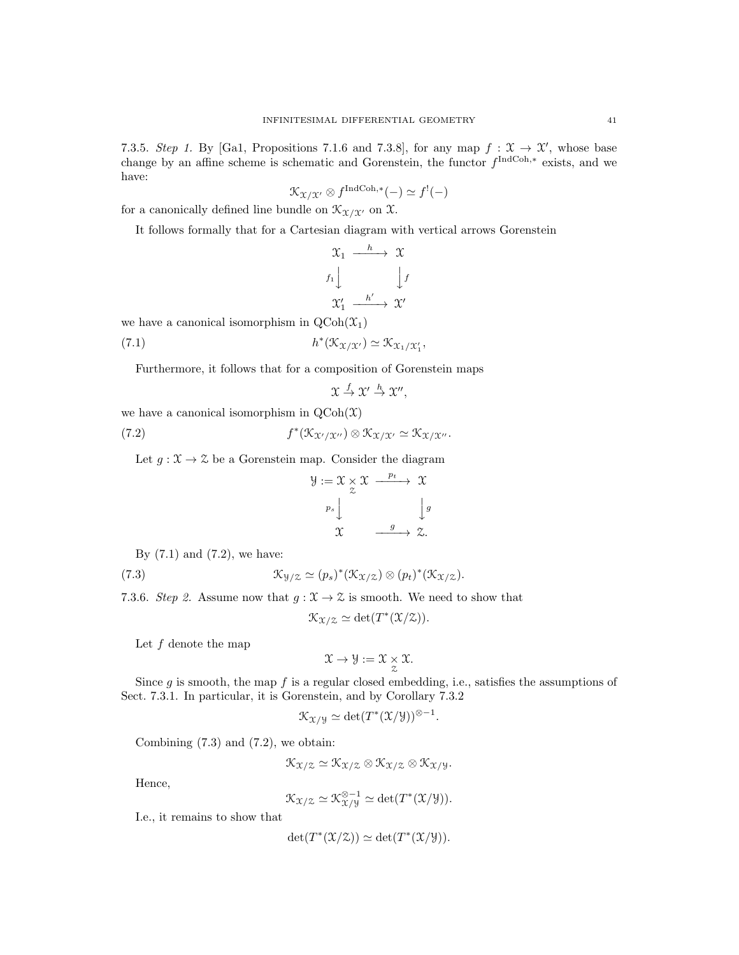7.3.5. Step 1. By [Ga1, Propositions 7.1.6 and 7.3.8], for any map  $f: \mathfrak{X} \to \mathfrak{X}'$ , whose base change by an affine scheme is schematic and Gorenstein, the functor  $f^{\text{IndCoh},*}$  exists, and we have:

$$
\mathcal{K}_{\mathfrak{X}/\mathfrak{X}'} \otimes f^{\text{IndCoh},*}(-) \simeq f^!(-)
$$

for a canonically defined line bundle on  $\mathcal{K}_{\mathfrak{X}/\mathfrak{X}'}$  on X.

It follows formally that for a Cartesian diagram with vertical arrows Gorenstein

$$
\begin{array}{ccc}\n\mathfrak{X}_{1} & \xrightarrow{h} & \mathfrak{X} \\
f_{1} & & \downarrow f \\
\mathfrak{X}_{1}' & \xrightarrow{h'} & \mathfrak{X}'\n\end{array}
$$

we have a canonical isomorphism in  $\text{QCoh}(\mathfrak{X}_1)$ 

(7.1) 
$$
h^*(\mathfrak{K}_{\mathfrak{X}/\mathfrak{X}'}) \simeq \mathfrak{K}_{\mathfrak{X}_1/\mathfrak{X}_1'},
$$

Furthermore, it follows that for a composition of Gorenstein maps

$$
\mathfrak{X} \stackrel{f}{\to} \mathfrak{X}' \stackrel{h}{\to} \mathfrak{X}'',
$$

we have a canonical isomorphism in  $Q\text{Coh}(\mathfrak{X})$ 

(7.2) 
$$
f^*(\mathfrak{K}_{\mathfrak{X}'/\mathfrak{X}''}) \otimes \mathfrak{K}_{\mathfrak{X}/\mathfrak{X}'} \simeq \mathfrak{K}_{\mathfrak{X}/\mathfrak{X}''}.
$$

Let  $g: \mathfrak{X} \to \mathfrak{X}$  be a Gorenstein map. Consider the diagram

$$
\mathcal{Y} := \mathcal{X} \times \mathcal{X} \xrightarrow{p_t} \mathcal{X}
$$

$$
\begin{array}{c} p_s \downarrow \qquad \qquad \downarrow g \\ \mathcal{X} \qquad \qquad \frac{g}{\longrightarrow} \mathcal{Z}. \end{array}
$$

By  $(7.1)$  and  $(7.2)$ , we have:

(7.3) 
$$
\mathcal{K}_{\mathcal{Y}/\mathcal{Z}} \simeq (p_s)^* (\mathcal{K}_{\mathcal{X}/\mathcal{Z}}) \otimes (p_t)^* (\mathcal{K}_{\mathcal{X}/\mathcal{Z}}).
$$

7.3.6. Step 2. Assume now that  $g: \mathfrak{X} \to \mathfrak{X}$  is smooth. We need to show that

$$
\mathcal{K}_{\mathfrak{X}/\mathfrak{X}} \simeq \det(T^*(\mathfrak{X}/\mathfrak{X})).
$$

Let  $f$  denote the map

$$
\mathfrak{X} \to \mathfrak{Y} := \mathfrak{X} \underset{\mathfrak{Z}}{\times} \mathfrak{X}.
$$

Since g is smooth, the map f is a regular closed embedding, i.e., satisfies the assumptions of Sect. 7.3.1. In particular, it is Gorenstein, and by Corollary 7.3.2

$$
\mathcal{K}_{\mathfrak{X}/\mathfrak{Y}} \simeq \det(T^*(\mathfrak{X}/\mathfrak{Y}))^{\otimes -1}.
$$

Combining  $(7.3)$  and  $(7.2)$ , we obtain:

$$
\mathcal{K}_{\mathfrak{X}/\mathfrak{Z}} \simeq \mathcal{K}_{\mathfrak{X}/\mathfrak{Z}} \otimes \mathcal{K}_{\mathfrak{X}/\mathfrak{Z}} \otimes \mathcal{K}_{\mathfrak{X}/\mathfrak{Y}}.
$$

Hence,

$$
\mathcal{K}_{\mathfrak{X}/\mathfrak{Z}} \simeq \mathcal{K}_{\mathfrak{X}/\mathfrak{Y}}^{\otimes -1} \simeq \det(T^*(\mathfrak{X}/\mathfrak{Y})).
$$

I.e., it remains to show that

$$
\det(T^*(\mathfrak{X}/\mathfrak{X})) \simeq \det(T^*(\mathfrak{X}/\mathfrak{Y})).
$$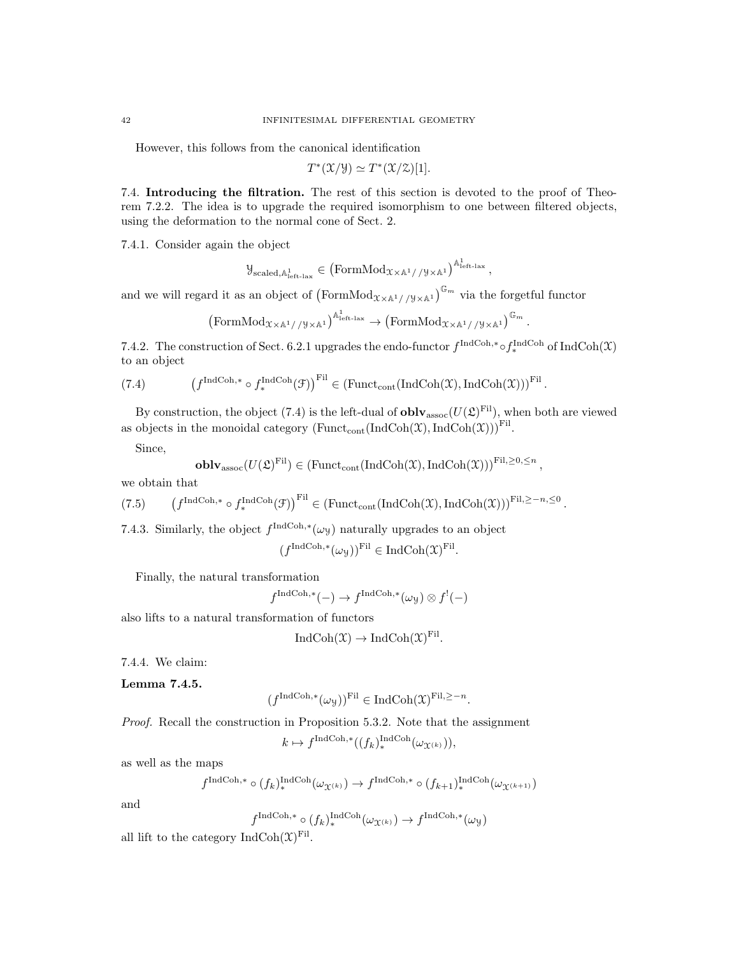However, this follows from the canonical identification

$$
T^*(\mathfrak{X}/\mathfrak{Y}) \simeq T^*(\mathfrak{X}/\mathfrak{X})[1].
$$

7.4. Introducing the filtration. The rest of this section is devoted to the proof of Theorem 7.2.2. The idea is to upgrade the required isomorphism to one between filtered objects, using the deformation to the normal cone of Sect. 2.

7.4.1. Consider again the object

$$
\mathcal{Y}_{\text{scaled},\mathbb{A}^1_\text{left-law}} \in \left(\text{FormMod}_{\mathcal{X} \times \mathbb{A}^1//\mathcal{Y} \times \mathbb{A}^1}\right)^{\mathbb{A}^1_\text{left-law}},
$$

and we will regard it as an object of  $(\text{FormMod}_{\mathfrak{X}\times\mathbb{A}^1//\mathfrak{y}\times\mathbb{A}^1})^{\mathbb{G}_m}$  via the forgetful functor

$$
\left(\mathrm{FormMod}_{\mathfrak{X}\times\mathbb{A}^1//\mathfrak{y}\times\mathbb{A}^1}\right)^{\mathbb{A}^1_{\mathrm{left-lax}}}\to \left(\mathrm{FormMod}_{\mathfrak{X}\times\mathbb{A}^1//\mathfrak{y}\times\mathbb{A}^1}\right)^{\mathbb{G}_m}
$$

.

,

7.4.2. The construction of Sect. 6.2.1 upgrades the endo-functor  $f^{\text{IndCoh},*} \circ f^{\text{IndCoh}}_*$  of  $\text{IndCoh}(\mathfrak{X})$ to an object

(7.4) 
$$
\left(f^{\text{IndCoh},*} \circ f_*^{\text{IndCoh}}(\mathcal{F})\right)^{\text{Fil}} \in \left(\text{Funct}_{\text{cont}}(\text{IndCoh}(\mathcal{X}), \text{IndCoh}(\mathcal{X}))\right)^{\text{Fil}}.
$$

By construction, the object (7.4) is the left-dual of  $\textbf{oblv}_{\text{assoc}}(U(\mathfrak{L})^{\text{Fil}})$ , when both are viewed as objects in the monoidal category  $(\text{Funct}_{\text{cont}}(\text{IndCoh}(\mathfrak{X}),\text{IndCoh}(\mathfrak{X})))^{\text{Fil}}$ .

Since,

**oblv**<sub>assoc</sub>
$$
(U(\mathfrak{L})^{\mathrm{Fil}}) \in (\mathrm{Funct}_{\mathrm{cont}}(\mathrm{IndCoh}(\mathfrak{X}), \mathrm{IndCoh}(\mathfrak{X})))^{\mathrm{Fil}, \geq 0, \leq n}
$$

we obtain that

(7.5) 
$$
\left(f^{\text{IndCoh},*} \circ f^{\text{IndCoh}}_*(\mathcal{F})\right)^{\text{Fil}} \in \left(\text{Funct}_{\text{cont}}(\text{IndCoh}(\mathcal{X}),\text{IndCoh}(\mathcal{X}))\right)^{\text{Fil},\geq -n,\leq 0}.
$$

7.4.3. Similarly, the object  $f^{\text{IndCoh},*}(\omega_y)$  naturally upgrades to an object

$$
(f^{\text{IndCoh},*}(\omega_{\mathcal{Y}}))^{\text{Fil}} \in \text{IndCoh}(\mathfrak{X})^{\text{Fil}}.
$$

Finally, the natural transformation

$$
f^{\text{IndCoh},*}(-) \to f^{\text{IndCoh},*}(\omega_{\mathcal{Y}}) \otimes f^{!}(-)
$$

also lifts to a natural transformation of functors

$$
IndCoh(\mathfrak{X}) \to IndCoh(\mathfrak{X})^{Fil}.
$$

7.4.4. We claim:

Lemma 7.4.5.

$$
(f^{\text{IndCoh},*}(\omega_{\mathcal{Y}}))^{\text{Fil}} \in \text{IndCoh}(\mathfrak{X})^{\text{Fil}, \geq -n}.
$$

Proof. Recall the construction in Proposition 5.3.2. Note that the assignment

 $k \mapsto f^{\text{IndCoh},*}((f_k)_{*}^{\text{IndCoh}}(\omega_{\mathfrak{X}^{(k)}})),$ 

as well as the maps

$$
f^{\operatorname{IndCoh},*} \circ (f_k)^{\operatorname{IndCoh}}_*(\omega_{\mathfrak{X}^{(k)}}) \to f^{\operatorname{IndCoh},*} \circ (f_{k+1})_*^{\operatorname{IndCoh}}(\omega_{\mathfrak{X}^{(k+1)}})
$$

and

$$
f^{\operatorname{IndCoh},*} \circ (f_k)_*^{\operatorname{IndCoh}}(\omega_{\mathfrak{X}^{(k)}}) \to f^{\operatorname{IndCoh},*}(\omega_{\mathcal{Y}})
$$

all lift to the category  $\text{IndCoh}(\mathfrak{X})^{\text{Fil}}$ .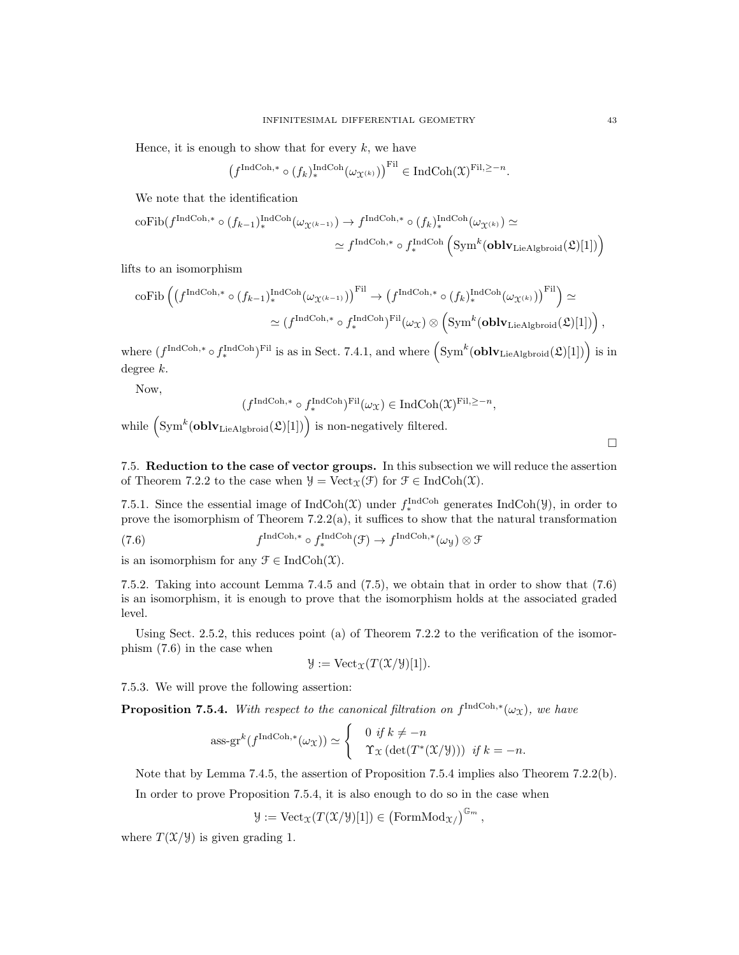Hence, it is enough to show that for every  $k$ , we have

$$
\left(f^{\operatorname{IndCoh},*} \circ (f_k)_*^{\operatorname{IndCoh}}(\omega_{\mathfrak{X}^{(k)}})\right)^{\operatorname{Fil}} \in \operatorname{IndCoh}(\mathfrak{X})^{\operatorname{Fil},\geq -n}.
$$

We note that the identification

$$
\begin{aligned} \mathrm{coFib}(f^{\mathrm{IndCoh},*}\circ (f_{k-1})_{*}^{\mathrm{IndCoh}}(\omega_{\mathfrak{X}^{(k-1)}})\rightarrow f^{\mathrm{IndCoh},*}\circ (f_{k})_{*}^{\mathrm{IndCoh}}(\omega_{\mathfrak{X}^{(k)}})\simeq\\ &\simeq f^{\mathrm{IndCoh},*}\circ f_{*}^{\mathrm{IndCoh}}\left(\mathrm{Sym}^{k}(\mathbf{oblv}_{\mathrm{LieAlgbroid}}(\mathfrak{L})[1])\right) \end{aligned}
$$

lifts to an isomorphism

$$
\begin{aligned} \text{coFib}\left(\left(f^{\text{IndCoh},*}\circ (f_{k-1})_{*}^{\text{IndCoh}}(\omega_{\mathfrak{X}^{(k-1)}})\right)^{\text{Fil}}&\to \left(f^{\text{IndCoh},*}\circ (f_{k})_{*}^{\text{IndCoh}}(\omega_{\mathfrak{X}^{(k)}})\right)^{\text{Fil}}\right)\simeq \\ &\simeq \left(f^{\text{IndCoh},*}\circ f^{\text{IndCoh}}_{*}\right)^{\text{Fil}}(\omega_{\mathfrak{X}})\otimes \left(\text{Sym}^{k}(\textbf{oblv}_{\text{LieAlgbroid}}(\mathfrak{L})[1])\right), \end{aligned}
$$

where  $(f^{\text{IndCoh},*} \circ f_*^{\text{IndCoh}})^{\text{Fil}}$  is as in Sect. 7.4.1, and where  $(\text{Sym}^k(\text{oblv}_{\text{LieAlgbroid}}(\mathfrak{L})[1])$  is in degree k.

Now,

$$
(f^{\operatorname{IndCoh}, *} \circ f^{\operatorname{IndCoh}}_*)^{\operatorname{Fil}}(\omega_{\mathfrak{X}}) \in \operatorname{IndCoh}(\mathfrak{X})^{\operatorname{Fil}, \geq -n},
$$

while  $(\text{Sym}^k(\textbf{oblv}_{\text{LieAlgbroid}}(\mathfrak{L})[1])$  is non-negatively filtered.

 $\Box$ 

7.5. Reduction to the case of vector groups. In this subsection we will reduce the assertion of Theorem 7.2.2 to the case when  $\mathcal{Y} = \text{Vect}_{\mathcal{X}}(\mathcal{F})$  for  $\mathcal{F} \in \text{IndCoh}(\mathcal{X})$ .

7.5.1. Since the essential image of  $IndCoh(\mathfrak{X})$  under  $f_*^{IndCoh}$  generates  $IndCoh(\mathfrak{Y})$ , in order to prove the isomorphism of Theorem  $7.2.2(a)$ , it suffices to show that the natural transformation

(7.6) 
$$
f^{\text{IndCoh},*} \circ f^{\text{IndCoh},*}(\mathcal{F}) \to f^{\text{IndCoh},*}(\omega_{\mathcal{Y}}) \otimes \mathcal{F}
$$

is an isomorphism for any  $\mathfrak{F} \in \text{IndCoh}(\mathfrak{X})$ .

7.5.2. Taking into account Lemma 7.4.5 and (7.5), we obtain that in order to show that (7.6) is an isomorphism, it is enough to prove that the isomorphism holds at the associated graded level.

Using Sect. 2.5.2, this reduces point (a) of Theorem 7.2.2 to the verification of the isomorphism (7.6) in the case when

$$
\mathcal{Y} := \text{Vect}_{\mathcal{X}}(T(\mathcal{X}/\mathcal{Y})[1]).
$$

7.5.3. We will prove the following assertion:

**Proposition 7.5.4.** With respect to the canonical filtration on  $f^{\text{IndCoh},*}(\omega_{\mathfrak{X}})$ , we have

$$
\operatorname{ass-gr}^k(f^{\operatorname{IndCoh},*}(\omega_{\mathfrak{X}})) \simeq \begin{cases} 0 \text{ if } k \neq -n \\ \Upsilon_{\mathfrak{X}}(\det(T^*(\mathfrak{X}/\mathfrak{Y}))) \text{ if } k = -n. \end{cases}
$$

Note that by Lemma 7.4.5, the assertion of Proposition 7.5.4 implies also Theorem 7.2.2(b).

In order to prove Proposition 7.5.4, it is also enough to do so in the case when

$$
\mathcal{Y}:= {\rm Vect}_{\mathcal{X}}(T(\mathcal{X}/\mathcal{Y})[1])\in \left({\rm FormMod}_{{\mathcal{X}}/}\right)^{\mathbb{G}_m},
$$

where  $T(\mathfrak{X}/\mathfrak{Y})$  is given grading 1.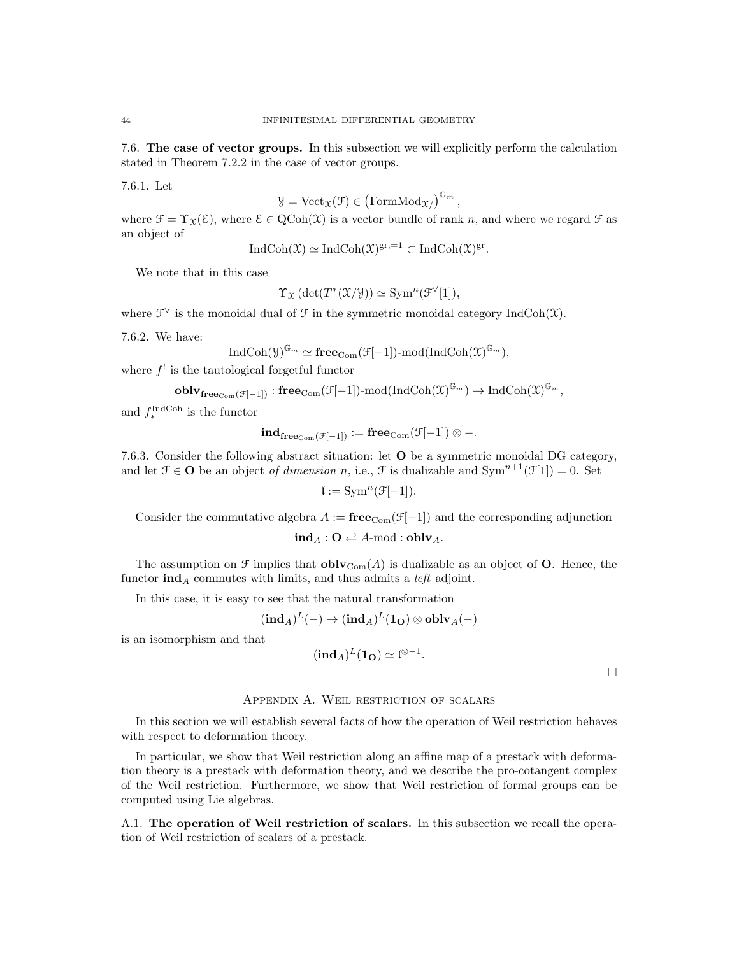7.6. The case of vector groups. In this subsection we will explicitly perform the calculation stated in Theorem 7.2.2 in the case of vector groups.

7.6.1. Let

$$
\mathcal{Y} = \text{Vect}_{\mathcal{X}}(\mathcal{F}) \in (\text{FormMod}_{\mathcal{X}})^{\mathbb{G}_m}
$$

,

where  $\mathcal{F} = \Upsilon_{\mathcal{X}}(\mathcal{E})$ , where  $\mathcal{E} \in \mathrm{QCoh}(\mathcal{X})$  is a vector bundle of rank n, and where we regard  $\mathcal{F}$  as an object of

$$
IndCoh(\mathfrak{X}) \simeq IndCoh(\mathfrak{X})^{gr,=1} \subset IndCoh(\mathfrak{X})^{gr}.
$$

We note that in this case

$$
\Upsilon_{\mathfrak{X}}\left(\det(T^*(\mathfrak{X}/\mathcal{Y}))\simeq \text{Sym}^n(\mathfrak{F}^{\vee}[1]),\right.
$$

where  $\mathcal{F}^{\vee}$  is the monoidal dual of  $\mathcal F$  in the symmetric monoidal category IndCoh(X).

7.6.2. We have:

$$
\operatorname{IndCoh}(\mathcal{Y})^{\mathbb{G}_m} \simeq \mathbf{free}_{\mathrm{Com}}(\mathcal{F}[-1])\text{-mod}(\operatorname{IndCoh}(\mathfrak{X})^{\mathbb{G}_m}),
$$

where  $f'$  is the tautological forgetful functor

$$
\textbf{oblv}_{\mathbf{free}_{\mathrm{Com}}(\mathcal{F}[-1])}:\mathbf{free}_{\mathrm{Com}}(\mathcal{F}[-1])\text{-}\mathrm{mod}(\mathrm{IndCoh}(\mathfrak{X})^{\mathbb{G}_m})\to \mathrm{IndCoh}(\mathfrak{X})^{\mathbb{G}_m},
$$

and  $f_*^{\text{IndCoh}}$  is the functor

$$
\mathbf{ind_{free_{Com}(\mathcal{F}[-1])}} \mathrel{\mathop:}= \mathbf{free_{Com}(\mathcal{F}[-1])} \otimes -.
$$

7.6.3. Consider the following abstract situation: let O be a symmetric monoidal DG category, and let  $\mathcal{F} \in \mathbf{O}$  be an object of dimension n, i.e.,  $\mathcal{F}$  is dualizable and  $\text{Sym}^{n+1}(\mathcal{F}[1]) = 0$ . Set

$$
\mathfrak{l} := \operatorname{Sym}^n(\mathfrak{F}[-1]).
$$

Consider the commutative algebra  $A := \mathbf{free}_{Com}(\mathcal{F}[-1])$  and the corresponding adjunction

$$
\mathbf{ind}_A : \mathbf{O} \rightleftarrows A\text{-mod} : \mathbf{oblv}_A.
$$

The assumption on  $\mathcal F$  implies that  $\textbf{oblv}_{\text{Com}}(A)$  is dualizable as an object of **O**. Hence, the functor  $\text{ind}_A$  commutes with limits, and thus admits a *left* adjoint.

In this case, it is easy to see that the natural transformation

$$
(\textbf{ind}_A)^L(-)\rightarrow (\textbf{ind}_A)^L(\mathbf{1_O})\otimes\textbf{oblv}_A(-)
$$

is an isomorphism and that

$$
(\mathbf{ind}_A)^L(\mathbf{1}_\mathbf{O}) \simeq \mathfrak{l}^{\otimes -1}.
$$

 $\Box$ 

## Appendix A. Weil restriction of scalars

In this section we will establish several facts of how the operation of Weil restriction behaves with respect to deformation theory.

In particular, we show that Weil restriction along an affine map of a prestack with deformation theory is a prestack with deformation theory, and we describe the pro-cotangent complex of the Weil restriction. Furthermore, we show that Weil restriction of formal groups can be computed using Lie algebras.

A.1. The operation of Weil restriction of scalars. In this subsection we recall the operation of Weil restriction of scalars of a prestack.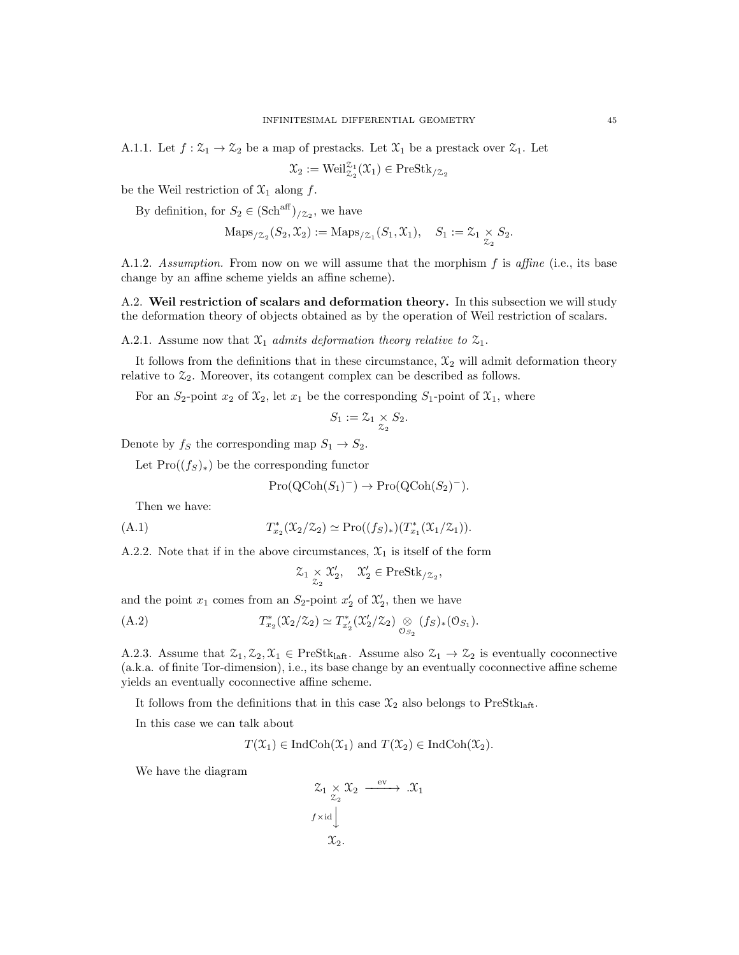A.1.1. Let  $f: \mathcal{Z}_1 \to \mathcal{Z}_2$  be a map of prestacks. Let  $\mathcal{X}_1$  be a prestack over  $\mathcal{Z}_1$ . Let

$$
\mathfrak{X}_2 := \text{Weil}_{\mathfrak{Z}_2}^{\mathfrak{Z}_1}(\mathfrak{X}_1) \in \text{PreStk}_{/\mathfrak{Z}_2}
$$

be the Weil restriction of  $\mathfrak{X}_1$  along f.

By definition, for  $S_2 \in (\text{Sch}^{\text{aff}})_{/\mathbb{Z}_2}$ , we have

$$
\mathrm{Maps}_{/\mathcal{Z}_2}(S_2, \mathcal{X}_2) := \mathrm{Maps}_{/\mathcal{Z}_1}(S_1, \mathcal{X}_1), \quad S_1 := \mathcal{Z}_1 \underset{\mathcal{Z}_2}{\times} S_2.
$$

A.1.2. Assumption. From now on we will assume that the morphism  $f$  is affine (i.e., its base change by an affine scheme yields an affine scheme).

A.2. Weil restriction of scalars and deformation theory. In this subsection we will study the deformation theory of objects obtained as by the operation of Weil restriction of scalars.

A.2.1. Assume now that  $\mathfrak{X}_1$  admits deformation theory relative to  $\mathfrak{X}_1$ .

It follows from the definitions that in these circumstance,  $\mathfrak{X}_2$  will admit deformation theory relative to  $\mathfrak{Z}_2$ . Moreover, its cotangent complex can be described as follows.

For an  $S_2$ -point  $x_2$  of  $\mathfrak{X}_2$ , let  $x_1$  be the corresponding  $S_1$ -point of  $\mathfrak{X}_1$ , where

$$
S_1:=\mathcal{Z}_1\underset{\mathcal{Z}_2}{\times}S_2.
$$

Denote by  $f_S$  the corresponding map  $S_1 \rightarrow S_2$ .

Let  $\text{Pro}((f_S)_*)$  be the corresponding functor

$$
Pro(QCoh(S_1)^-) \to Pro(QCoh(S_2)^-).
$$

Then we have:

(A.1) 
$$
T_{x_2}^*(\mathfrak{X}_2/\mathfrak{X}_2) \simeq \mathrm{Pro}((f_S)_*)(T_{x_1}^*(\mathfrak{X}_1/\mathfrak{X}_1)).
$$

A.2.2. Note that if in the above circumstances,  $\mathfrak{X}_1$  is itself of the form

$$
\mathcal{Z}_1 \underset{\mathcal{Z}_2}{\times} \mathcal{X}'_2, \quad \mathcal{X}'_2 \in \text{PreStk}_{/\mathcal{Z}_2},
$$

and the point  $x_1$  comes from an  $S_2$ -point  $x_2'$  of  $\mathfrak{X}'_2$ , then we have

(A.2) 
$$
T_{x_2}^*(\mathfrak{X}_2/\mathfrak{X}_2) \simeq T_{x_2}^*(\mathfrak{X}_2'/\mathfrak{X}_2) \underset{\mathcal{O}_{S_2}}{\otimes} (fs)_*(\mathcal{O}_{S_1}).
$$

A.2.3. Assume that  $\mathcal{Z}_1, \mathcal{Z}_2, \mathcal{X}_1 \in \text{PreStk}_{\text{laff}}$ . Assume also  $\mathcal{Z}_1 \to \mathcal{Z}_2$  is eventually coconnective (a.k.a. of finite Tor-dimension), i.e., its base change by an eventually coconnective affine scheme yields an eventually coconnective affine scheme.

It follows from the definitions that in this case  $\mathfrak{X}_2$  also belongs to PreStk<sub>laft</sub>.

In this case we can talk about

$$
T(\mathfrak{X}_1) \in \mathrm{IndCoh}(\mathfrak{X}_1)
$$
 and  $T(\mathfrak{X}_2) \in \mathrm{IndCoh}(\mathfrak{X}_2)$ .

We have the diagram

$$
\begin{array}{ccc}\n\mathcal{Z}_1 \times \mathcal{X}_2 & \xrightarrow{\text{ev}} & \mathcal{X}_1 \\
\downarrow & & \\
f \times \text{id} & & \\
\mathcal{X}_2 & & \\
\end{array}
$$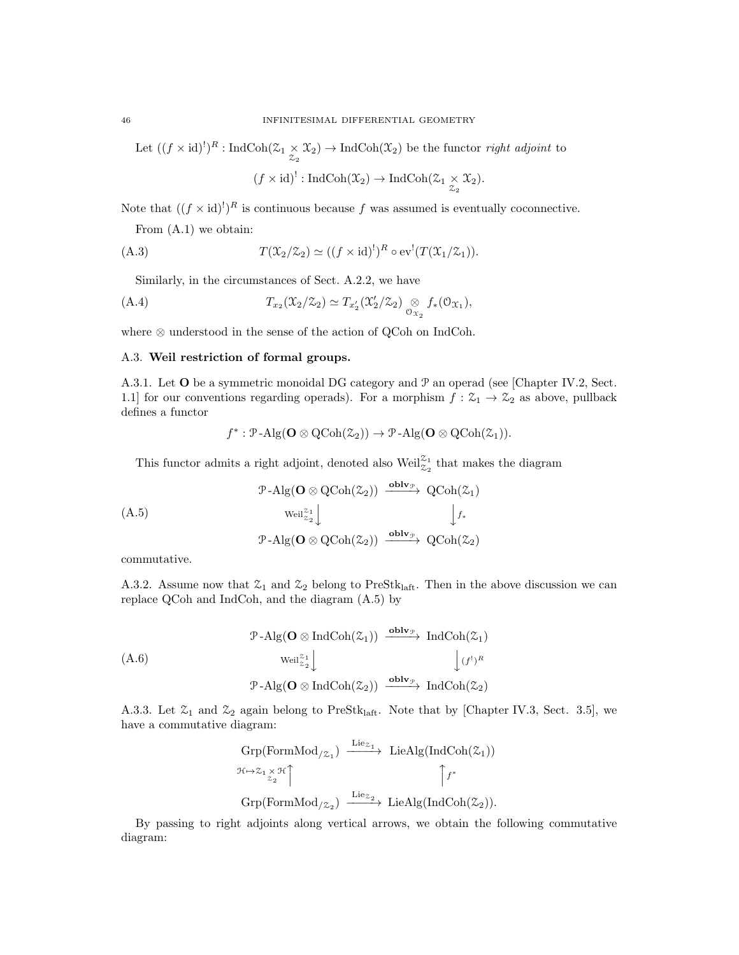Let  $((f \times id)^!)^R$ : IndCoh $(\mathcal{Z}_1 \times \mathcal{X}_2) \to \text{IndCoh}(\mathcal{X}_2)$  be the functor *right adjoint* to

$$
(f \times id)^!: \operatorname{IndCoh}(\mathfrak{X}_2) \to \operatorname{IndCoh}(\mathfrak{X}_1 \underset{\mathfrak{X}_2}{\times} \mathfrak{X}_2).
$$

Note that  $((f \times id)^!)^R$  is continuous because f was assumed is eventually coconnective.

From (A.1) we obtain:

(A.3) 
$$
T(\mathfrak{X}_2/\mathfrak{X}_2) \simeq ((f \times \mathrm{id})^!)^R \circ \mathrm{ev}^! (T(\mathfrak{X}_1/\mathfrak{X}_1)).
$$

Similarly, in the circumstances of Sect. A.2.2, we have

(A.4) 
$$
T_{x_2}(\mathfrak{X}_2/\mathfrak{X}_2) \simeq T_{x'_2}(\mathfrak{X}'_2/\mathfrak{X}_2) \underset{\mathfrak{O}_{\mathfrak{X}_2}}{\otimes} f_*(\mathfrak{O}_{\mathfrak{X}_1}),
$$

where ⊗ understood in the sense of the action of QCoh on IndCoh.

# A.3. Weil restriction of formal groups.

A.3.1. Let O be a symmetric monoidal DG category and P an operad (see [Chapter IV.2, Sect. 1.1] for our conventions regarding operads). For a morphism  $f: \mathcal{Z}_1 \to \mathcal{Z}_2$  as above, pullback defines a functor

$$
f^* : \mathcal{P}\text{-}\mathrm{Alg}(\mathbf{O} \otimes \mathrm{QCoh}(\mathcal{Z}_2)) \to \mathcal{P}\text{-}\mathrm{Alg}(\mathbf{O} \otimes \mathrm{QCoh}(\mathcal{Z}_1)).
$$

This functor admits a right adjoint, denoted also  $\text{Weil}_{\mathcal{Z}_2}^{\mathcal{Z}_1}$  that makes the diagram

$$
\begin{array}{ccc}\n\mathcal{P}\text{-}\mathrm{Alg}(\mathbf{O}\otimes \mathrm{QCoh}(\mathcal{Z}_2)) & \xrightarrow{\mathrm{oblv}_{\mathcal{P}}} \mathrm{QCoh}(\mathcal{Z}_1) \\
\downarrow^{\mathrm{Weil}_{\mathcal{Z}_2}^{\mathcal{Z}_1}} & & \downarrow^{\mathrm{fv}} \\
\mathcal{P}\text{-}\mathrm{Alg}(\mathbf{O}\otimes \mathrm{QCoh}(\mathcal{Z}_2)) & \xrightarrow{\mathrm{oblv}_{\mathcal{P}}} \mathrm{QCoh}(\mathcal{Z}_2)\n\end{array}
$$

commutative.

A.3.2. Assume now that  $\mathcal{Z}_1$  and  $\mathcal{Z}_2$  belong to PreStk<sub>laft</sub>. Then in the above discussion we can replace QCoh and IndCoh, and the diagram (A.5) by

$$
\begin{array}{ccc}\n\mathcal{P}\text{-}\mathrm{Alg}(\mathbf{O}\otimes\mathrm{Ind}\mathrm{Coh}(\mathcal{Z}_1)) & \xrightarrow{\mathbf{oblv}_{\mathcal{P}}} \mathrm{Ind}\mathrm{Coh}(\mathcal{Z}_1) \\
&\downarrow \text{(A.6)} \\
&\text{Weil}_{z_2}^{z_1} \downarrow & \downarrow \text{(f}')^R \\
&\mathcal{P}\text{-}\mathrm{Alg}(\mathbf{O}\otimes\mathrm{Ind}\mathrm{Coh}(\mathcal{Z}_2)) & \xrightarrow{\mathbf{oblv}_{\mathcal{P}}} \mathrm{Ind}\mathrm{Coh}(\mathcal{Z}_2)\n\end{array}
$$

A.3.3. Let  $\mathfrak{L}_1$  and  $\mathfrak{L}_2$  again belong to PreStk<sub>laft</sub>. Note that by [Chapter IV.3, Sect. 3.5], we have a commutative diagram:

$$
\begin{array}{ccc}\n\operatorname{Grp}(\operatorname{FormMod}_{/\mathcal{Z}_1}) & \xrightarrow{\operatorname{Lie}_{\mathcal{Z}_1}} & \operatorname{LieAlg}(\operatorname{IndCoh}(\mathcal{Z}_1)) \\
\mathcal{H} \mapsto \mathcal{Z}_1 \times \mathcal{H} \uparrow & & \uparrow f^* \\
\operatorname{Grp}(\operatorname{FormMod}_{/\mathcal{Z}_2}) & \xrightarrow{\operatorname{Lie}_{\mathcal{Z}_2}} & \operatorname{LieAlg}(\operatorname{IndCoh}(\mathcal{Z}_2)).\n\end{array}
$$

By passing to right adjoints along vertical arrows, we obtain the following commutative diagram: